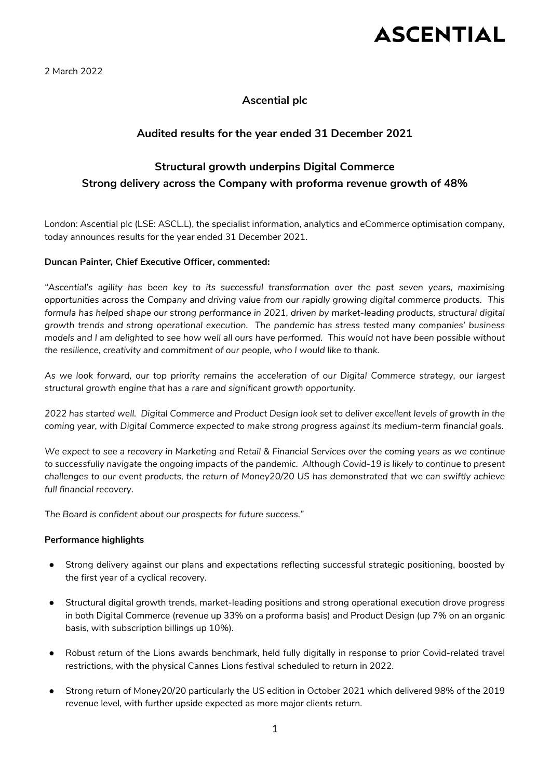### **Ascential plc**

### **Audited results for the year ended 31 December 2021**

### **Structural growth underpins Digital Commerce Strong delivery across the Company with proforma revenue growth of 48%**

London: Ascential plc (LSE: ASCL.L), the specialist information, analytics and eCommerce optimisation company, today announces results for the year ended 31 December 2021.

#### **Duncan Painter, Chief Executive Officer, commented:**

*"Ascential's agility has been key to its successful transformation over the past seven years, maximising opportunities across the Company and driving value from our rapidly growing digital commerce products. This formula has helped shape our strong performance in 2021, driven by market-leading products, structural digital growth trends and strong operational execution. The pandemic has stress tested many companies' business models and I am delighted to see how well all ours have performed. This would not have been possible without the resilience, creativity and commitment of our people, who I would like to thank.* 

*As we look forward, our top priority remains the acceleration of our Digital Commerce strategy, our largest structural growth engine that has a rare and significant growth opportunity.*

*2022 has started well. Digital Commerce and Product Design look set to deliver excellent levels of growth in the coming year, with Digital Commerce expected to make strong progress against its medium-term financial goals.*

*We expect to see a recovery in Marketing and Retail & Financial Services over the coming years as we continue to successfully navigate the ongoing impacts of the pandemic. Although Covid-19 is likely to continue to present challenges to our event products, the return of Money20/20 US has demonstrated that we can swiftly achieve full financial recovery.*

*The Board is confident about our prospects for future success."*

#### **Performance highlights**

- Strong delivery against our plans and expectations reflecting successful strategic positioning, boosted by the first year of a cyclical recovery.
- Structural digital growth trends, market-leading positions and strong operational execution drove progress in both Digital Commerce (revenue up 33% on a proforma basis) and Product Design (up 7% on an organic basis, with subscription billings up 10%).
- Robust return of the Lions awards benchmark, held fully digitally in response to prior Covid-related travel restrictions, with the physical Cannes Lions festival scheduled to return in 2022.
- Strong return of Money20/20 particularly the US edition in October 2021 which delivered 98% of the 2019 revenue level, with further upside expected as more major clients return.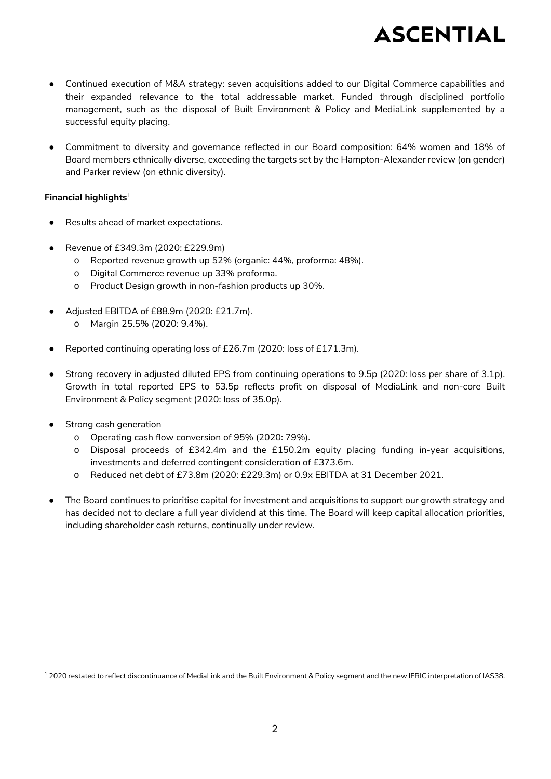- Continued execution of M&A strategy: seven acquisitions added to our Digital Commerce capabilities and their expanded relevance to the total addressable market. Funded through disciplined portfolio management, such as the disposal of Built Environment & Policy and MediaLink supplemented by a successful equity placing.
- Commitment to diversity and governance reflected in our Board composition: 64% women and 18% of Board members ethnically diverse, exceeding the targets set by the Hampton-Alexander review (on gender) and Parker review (on ethnic diversity).

#### **Financial highlights**<sup>1</sup>

- Results ahead of market expectations.
- Revenue of £349.3m (2020: £229.9m)
	- o Reported revenue growth up 52% (organic: 44%, proforma: 48%).
	- o Digital Commerce revenue up 33% proforma.
	- o Product Design growth in non-fashion products up 30%.
- Adjusted EBITDA of £88.9m (2020: £21.7m).
	- o Margin 25.5% (2020: 9.4%).
- Reported continuing operating loss of £26.7m (2020: loss of £171.3m).
- Strong recovery in adjusted diluted EPS from continuing operations to 9.5p (2020: loss per share of 3.1p). Growth in total reported EPS to 53.5p reflects profit on disposal of MediaLink and non-core Built Environment & Policy segment (2020: loss of 35.0p).
- Strong cash generation
	- o Operating cash flow conversion of 95% (2020: 79%).
	- o Disposal proceeds of £342.4m and the £150.2m equity placing funding in-year acquisitions, investments and deferred contingent consideration of £373.6m.
	- o Reduced net debt of £73.8m (2020: £229.3m) or 0.9x EBITDA at 31 December 2021.
- The Board continues to prioritise capital for investment and acquisitions to support our growth strategy and has decided not to declare a full year dividend at this time. The Board will keep capital allocation priorities, including shareholder cash returns, continually under review.

<sup>1</sup> 2020 restated to reflect discontinuance of MediaLink and the Built Environment & Policy segment and the new IFRIC interpretation of IAS38.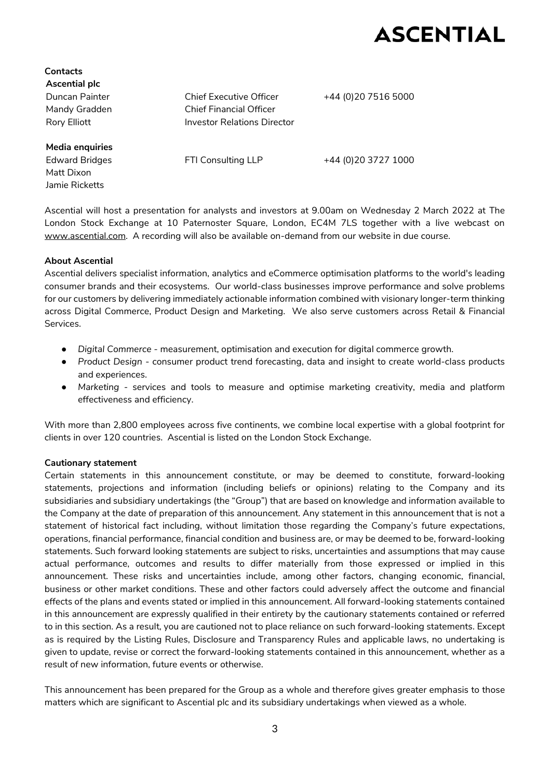**Contacts Ascential plc**

Duncan Painter Chief Executive Officer +44 (0)20 7516 5000 Mandy Gradden Chief Financial Officer Rory Elliott **Investor Relations Director** 

**Media enquiries** Matt Dixon

Jamie Ricketts

Edward Bridges FTI Consulting LLP +44 (0)20 3727 1000

Ascential will host a presentation for analysts and investors at 9.00am on Wednesday 2 March 2022 at The London Stock Exchange at 10 Paternoster Square, London, EC4M 7LS together with a live webcast on [www.ascential.com.](http://www.ascential.com/) A recording will also be available on-demand from our website in due course.

#### **About Ascential**

Ascential delivers specialist information, analytics and eCommerce optimisation platforms to the world's leading consumer brands and their ecosystems. Our world-class businesses improve performance and solve problems for our customers by delivering immediately actionable information combined with visionary longer-term thinking across Digital Commerce, Product Design and Marketing. We also serve customers across Retail & Financial Services.

- *Digital Commerce* measurement, optimisation and execution for digital commerce growth.
- *Product Design* consumer product trend forecasting, data and insight to create world-class products and experiences.
- *Marketing* services and tools to measure and optimise marketing creativity, media and platform effectiveness and efficiency.

With more than 2,800 employees across five continents, we combine local expertise with a global footprint for clients in over 120 countries. Ascential is listed on the London Stock Exchange.

#### **Cautionary statement**

Certain statements in this announcement constitute, or may be deemed to constitute, forward-looking statements, projections and information (including beliefs or opinions) relating to the Company and its subsidiaries and subsidiary undertakings (the "Group") that are based on knowledge and information available to the Company at the date of preparation of this announcement. Any statement in this announcement that is not a statement of historical fact including, without limitation those regarding the Company's future expectations, operations, financial performance, financial condition and business are, or may be deemed to be, forward-looking statements. Such forward looking statements are subject to risks, uncertainties and assumptions that may cause actual performance, outcomes and results to differ materially from those expressed or implied in this announcement. These risks and uncertainties include, among other factors, changing economic, financial, business or other market conditions. These and other factors could adversely affect the outcome and financial effects of the plans and events stated or implied in this announcement. All forward-looking statements contained in this announcement are expressly qualified in their entirety by the cautionary statements contained or referred to in this section. As a result, you are cautioned not to place reliance on such forward-looking statements. Except as is required by the Listing Rules, Disclosure and Transparency Rules and applicable laws, no undertaking is given to update, revise or correct the forward-looking statements contained in this announcement, whether as a result of new information, future events or otherwise.

This announcement has been prepared for the Group as a whole and therefore gives greater emphasis to those matters which are significant to Ascential plc and its subsidiary undertakings when viewed as a whole.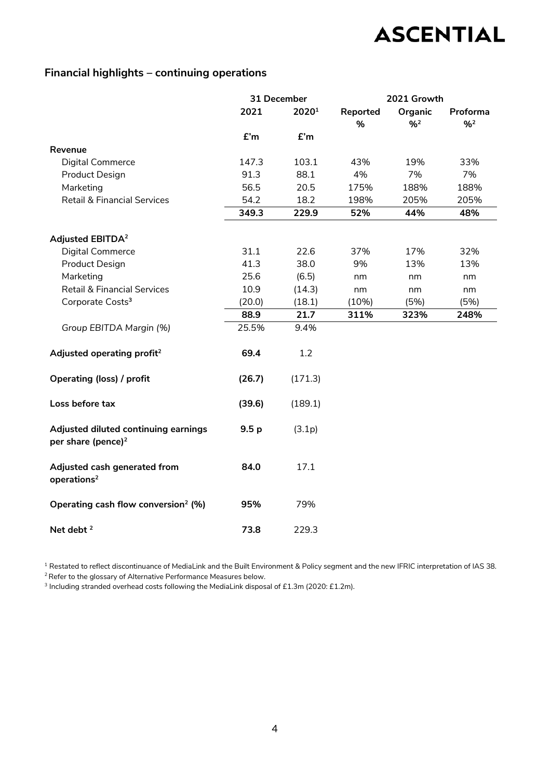### **Financial highlights – continuing operations**

|                                                                        |                  | 31 December |          | 2021 Growth |          |
|------------------------------------------------------------------------|------------------|-------------|----------|-------------|----------|
|                                                                        | 2021             | 20201       | Reported | Organic     | Proforma |
|                                                                        |                  |             | %        | $^{9}/^{2}$ | $9/6^2$  |
|                                                                        | £'m              | £'m         |          |             |          |
| Revenue                                                                |                  |             |          |             |          |
| Digital Commerce                                                       | 147.3            | 103.1       | 43%      | 19%         | 33%      |
| Product Design                                                         | 91.3             | 88.1        | 4%       | 7%          | 7%       |
| Marketing                                                              | 56.5             | 20.5        | 175%     | 188%        | 188%     |
| <b>Retail &amp; Financial Services</b>                                 | 54.2             | 18.2        | 198%     | 205%        | 205%     |
|                                                                        | 349.3            | 229.9       | 52%      | 44%         | 48%      |
| Adjusted EBITDA <sup>2</sup>                                           |                  |             |          |             |          |
| Digital Commerce                                                       | 31.1             | 22.6        | 37%      | 17%         | 32%      |
| <b>Product Design</b>                                                  | 41.3             | 38.0        | 9%       | 13%         | 13%      |
| Marketing                                                              | 25.6             | (6.5)       | nm       | nm          | nm       |
| <b>Retail &amp; Financial Services</b>                                 | 10.9             | (14.3)      | nm       | nm          | nm       |
| Corporate Costs <sup>3</sup>                                           | (20.0)           | (18.1)      | (10%)    | (5%)        | (5%)     |
|                                                                        | 88.9             | 21.7        | 311%     | 323%        | 248%     |
| Group EBITDA Margin (%)                                                | 25.5%            | 9.4%        |          |             |          |
| Adjusted operating profit <sup>2</sup>                                 | 69.4             | 1.2         |          |             |          |
| Operating (loss) / profit                                              | (26.7)           | (171.3)     |          |             |          |
| Loss before tax                                                        | (39.6)           | (189.1)     |          |             |          |
| Adjusted diluted continuing earnings<br>per share (pence) <sup>2</sup> | 9.5 <sub>p</sub> | (3.1p)      |          |             |          |
| Adjusted cash generated from<br>operations <sup>2</sup>                | 84.0             | 17.1        |          |             |          |
| Operating cash flow conversion <sup>2</sup> (%)                        | 95%              | 79%         |          |             |          |
| Net debt <sup>2</sup>                                                  | 73.8             | 229.3       |          |             |          |

<sup>1</sup> Restated to reflect discontinuance of MediaLink and the Built Environment & Policy segment and the new IFRIC interpretation of IAS 38.

 $2$  Refer to the glossary of Alternative Performance Measures below.

3 Including stranded overhead costs following the MediaLink disposal of £1.3m (2020: £1.2m).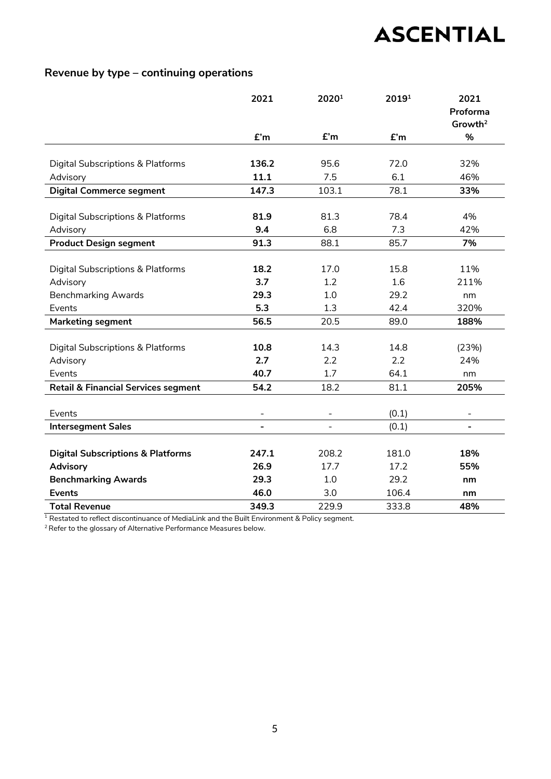### **Revenue by type – continuing operations**

|                                                | 2021                     | 20201                    | 20191 | 2021                |
|------------------------------------------------|--------------------------|--------------------------|-------|---------------------|
|                                                |                          |                          |       | Proforma            |
|                                                |                          |                          |       | Growth <sup>2</sup> |
|                                                | £'m                      | £'m                      | E'm   | $\%$                |
|                                                |                          |                          |       |                     |
| Digital Subscriptions & Platforms              | 136.2                    | 95.6                     | 72.0  | 32%                 |
| Advisory                                       | 11.1                     | 7.5                      | 6.1   | 46%                 |
| <b>Digital Commerce segment</b>                | 147.3                    | 103.1                    | 78.1  | 33%                 |
|                                                |                          |                          |       |                     |
| Digital Subscriptions & Platforms              | 81.9                     | 81.3                     | 78.4  | 4%                  |
| Advisory                                       | 9.4                      | 6.8                      | 7.3   | 42%                 |
| <b>Product Design segment</b>                  | 91.3                     | 88.1                     | 85.7  | 7%                  |
|                                                |                          |                          |       |                     |
| Digital Subscriptions & Platforms              | 18.2                     | 17.0                     | 15.8  | 11%                 |
| Advisory                                       | 3.7                      | 1.2                      | 1.6   | 211%                |
| <b>Benchmarking Awards</b>                     | 29.3                     | 1.0                      | 29.2  | nm                  |
| Events                                         | 5.3                      | 1.3                      | 42.4  | 320%                |
| <b>Marketing segment</b>                       | 56.5                     | 20.5                     | 89.0  | 188%                |
|                                                |                          |                          |       |                     |
| Digital Subscriptions & Platforms              | 10.8                     | 14.3                     | 14.8  | (23%)               |
| Advisory                                       | 2.7                      | 2.2                      | 2.2   | 24%                 |
| Events                                         | 40.7                     | 1.7                      | 64.1  | nm                  |
| <b>Retail &amp; Financial Services segment</b> | 54.2                     | 18.2                     | 81.1  | 205%                |
|                                                |                          |                          |       |                     |
| Events                                         | ÷                        |                          | (0.1) |                     |
| <b>Intersegment Sales</b>                      | $\overline{\phantom{a}}$ | $\overline{\phantom{0}}$ | (0.1) | $\blacksquare$      |
|                                                |                          |                          |       |                     |
| <b>Digital Subscriptions &amp; Platforms</b>   | 247.1                    | 208.2                    | 181.0 | 18%                 |
| <b>Advisory</b>                                | 26.9                     | 17.7                     | 17.2  | 55%                 |
| <b>Benchmarking Awards</b>                     | 29.3                     | 1.0                      | 29.2  | nm                  |
| <b>Events</b>                                  | 46.0                     | 3.0                      | 106.4 | nm                  |
| <b>Total Revenue</b>                           | 349.3                    | 229.9                    | 333.8 | 48%                 |

<sup>1</sup> Restated to reflect discontinuance of MediaLink and the Built Environment & Policy segment.

2 Refer to the glossary of Alternative Performance Measures below.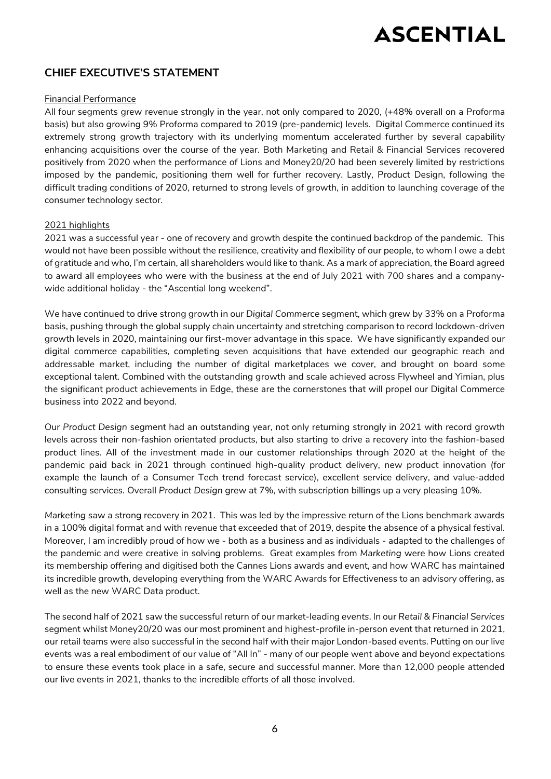### **CHIEF EXECUTIVE'S STATEMENT**

#### Financial Performance

All four segments grew revenue strongly in the year, not only compared to 2020, (+48% overall on a Proforma basis) but also growing 9% Proforma compared to 2019 (pre-pandemic) levels. Digital Commerce continued its extremely strong growth trajectory with its underlying momentum accelerated further by several capability enhancing acquisitions over the course of the year. Both Marketing and Retail & Financial Services recovered positively from 2020 when the performance of Lions and Money20/20 had been severely limited by restrictions imposed by the pandemic, positioning them well for further recovery. Lastly, Product Design, following the difficult trading conditions of 2020, returned to strong levels of growth, in addition to launching coverage of the consumer technology sector.

#### 2021 highlights

2021 was a successful year - one of recovery and growth despite the continued backdrop of the pandemic. This would not have been possible without the resilience, creativity and flexibility of our people, to whom I owe a debt of gratitude and who, I'm certain, all shareholders would like to thank. As a mark of appreciation, the Board agreed to award all employees who were with the business at the end of July 2021 with 700 shares and a companywide additional holiday - the "Ascential long weekend".

We have continued to drive strong growth in our *Digital Commerce* segment, which grew by 33% on a Proforma basis, pushing through the global supply chain uncertainty and stretching comparison to record lockdown-driven growth levels in 2020, maintaining our first-mover advantage in this space. We have significantly expanded our digital commerce capabilities, completing seven acquisitions that have extended our geographic reach and addressable market, including the number of digital marketplaces we cover, and brought on board some exceptional talent. Combined with the outstanding growth and scale achieved across Flywheel and Yimian, plus the significant product achievements in Edge, these are the cornerstones that will propel our Digital Commerce business into 2022 and beyond.

Our *Product Design* segment had an outstanding year, not only returning strongly in 2021 with record growth levels across their non-fashion orientated products, but also starting to drive a recovery into the fashion-based product lines. All of the investment made in our customer relationships through 2020 at the height of the pandemic paid back in 2021 through continued high-quality product delivery, new product innovation (for example the launch of a Consumer Tech trend forecast service), excellent service delivery, and value-added consulting services. Overall *Product Design* grew at 7%, with subscription billings up a very pleasing 10%.

*Marketing* saw a strong recovery in 2021. This was led by the impressive return of the Lions benchmark awards in a 100% digital format and with revenue that exceeded that of 2019, despite the absence of a physical festival. Moreover, I am incredibly proud of how we - both as a business and as individuals - adapted to the challenges of the pandemic and were creative in solving problems. Great examples from *Marketing* were how Lions created its membership offering and digitised both the Cannes Lions awards and event, and how WARC has maintained its incredible growth, developing everything from the WARC Awards for Effectiveness to an advisory offering, as well as the new WARC Data product.

The second half of 2021 saw the successful return of our market-leading *events*. In our *Retail & Financial Services* segment whilst Money20/20 was our most prominent and highest-profile in-person event that returned in 2021, our retail teams were also successful in the second half with their major London-based events. Putting on our live events was a real embodiment of our value of "All In" - many of our people went above and beyond expectations to ensure these events took place in a safe, secure and successful manner. More than 12,000 people attended our live events in 2021, thanks to the incredible efforts of all those involved.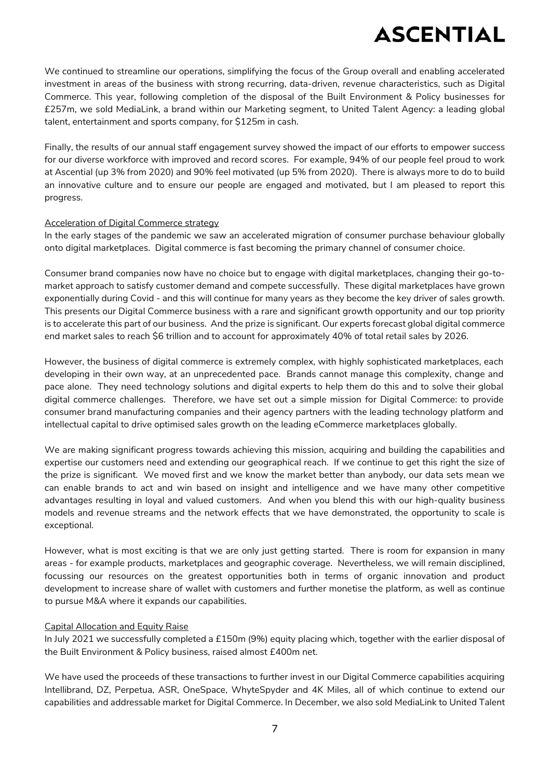We continued to streamline our operations, simplifying the focus of the Group overall and enabling accelerated investment in areas of the business with strong recurring, data-driven, revenue characteristics, such as Digital Commerce. This year, following completion of the disposal of the Built Environment & Policy businesses for £257m, we sold MediaLink, a brand within our Marketing segment, to United Talent Agency: a leading global talent, entertainment and sports company, for \$125m in cash.

Finally, the results of our annual staff engagement survey showed the impact of our efforts to empower success for our diverse workforce with improved and record scores. For example, 94% of our people feel proud to work at Ascential (up 3% from 2020) and 90% feel motivated (up 5% from 2020). There is always more to do to build an innovative culture and to ensure our people are engaged and motivated, but I am pleased to report this progress.

#### Acceleration of Digital Commerce strategy

In the early stages of the pandemic we saw an accelerated migration of consumer purchase behaviour globally onto digital marketplaces. Digital commerce is fast becoming the primary channel of consumer choice.

Consumer brand companies now have no choice but to engage with digital marketplaces, changing their go-tomarket approach to satisfy customer demand and compete successfully. These digital marketplaces have grown exponentially during Covid - and this will continue for many years as they become the key driver of sales growth. This presents our Digital Commerce business with a rare and significant growth opportunity and our top priority is to accelerate this part of our business. And the prize is significant. Our experts forecast global digital commerce end market sales to reach \$6 trillion and to account for approximately 40% of total retail sales by 2026.

However, the business of digital commerce is extremely complex, with highly sophisticated marketplaces, each developing in their own way, at an unprecedented pace. Brands cannot manage this complexity, change and pace alone. They need technology solutions and digital experts to help them do this and to solve their global digital commerce challenges. Therefore, we have set out a simple mission for Digital Commerce: to provide consumer brand manufacturing companies and their agency partners with the leading technology platform and intellectual capital to drive optimised sales growth on the leading eCommerce marketplaces globally.

We are making significant progress towards achieving this mission, acquiring and building the capabilities and expertise our customers need and extending our geographical reach. If we continue to get this right the size of the prize is significant. We moved first and we know the market better than anybody, our data sets mean we can enable brands to act and win based on insight and intelligence and we have many other competitive advantages resulting in loyal and valued customers. And when you blend this with our high-quality business models and revenue streams and the network effects that we have demonstrated, the opportunity to scale is exceptional.

However, what is most exciting is that we are only just getting started. There is room for expansion in many areas - for example products, marketplaces and geographic coverage. Nevertheless, we will remain disciplined, focussing our resources on the greatest opportunities both in terms of organic innovation and product development to increase share of wallet with customers and further monetise the platform, as well as continue to pursue M&A where it expands our capabilities.

#### Capital Allocation and Equity Raise

In July 2021 we successfully completed a £150m (9%) equity placing which, together with the earlier disposal of the Built Environment & Policy business, raised almost £400m net.

We have used the proceeds of these transactions to further invest in our Digital Commerce capabilities acquiring Intellibrand, DZ, Perpetua, ASR, OneSpace, WhyteSpyder and 4K Miles, all of which continue to extend our capabilities and addressable market for Digital Commerce. In December, we also sold MediaLink to United Talent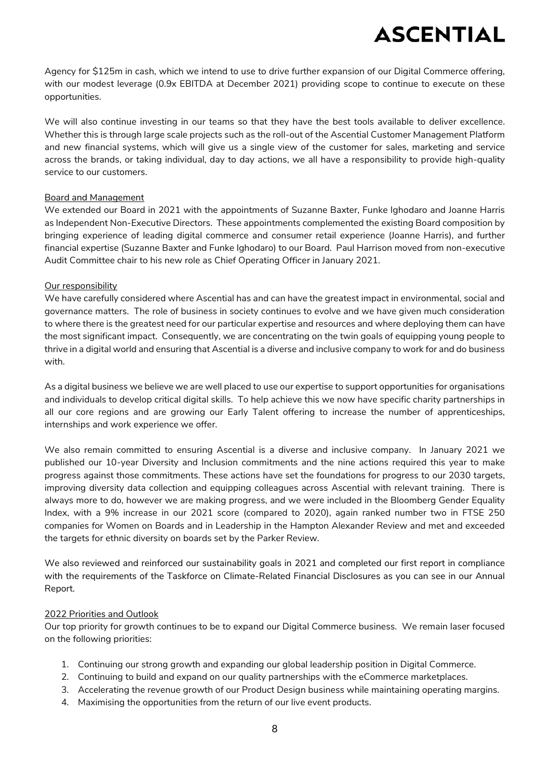Agency for \$125m in cash, which we intend to use to drive further expansion of our Digital Commerce offering, with our modest leverage (0.9x EBITDA at December 2021) providing scope to continue to execute on these opportunities.

We will also continue investing in our teams so that they have the best tools available to deliver excellence. Whether this is through large scale projects such as the roll-out of the Ascential Customer Management Platform and new financial systems, which will give us a single view of the customer for sales, marketing and service across the brands, or taking individual, day to day actions, we all have a responsibility to provide high-quality service to our customers.

#### Board and Management

We extended our Board in 2021 with the appointments of Suzanne Baxter, Funke Ighodaro and Joanne Harris as Independent Non-Executive Directors. These appointments complemented the existing Board composition by bringing experience of leading digital commerce and consumer retail experience (Joanne Harris), and further financial expertise (Suzanne Baxter and Funke Ighodaro) to our Board. Paul Harrison moved from non-executive Audit Committee chair to his new role as Chief Operating Officer in January 2021.

#### Our responsibility

We have carefully considered where Ascential has and can have the greatest impact in environmental, social and governance matters. The role of business in society continues to evolve and we have given much consideration to where there is the greatest need for our particular expertise and resources and where deploying them can have the most significant impact. Consequently, we are concentrating on the twin goals of equipping young people to thrive in a digital world and ensuring that Ascential is a diverse and inclusive company to work for and do business with.

As a digital business we believe we are well placed to use our expertise to support opportunities for organisations and individuals to develop critical digital skills. To help achieve this we now have specific charity partnerships in all our core regions and are growing our Early Talent offering to increase the number of apprenticeships, internships and work experience we offer.

We also remain committed to ensuring Ascential is a diverse and inclusive company. In January 2021 we published our 10-year Diversity and Inclusion commitments and the nine actions required this year to make progress against those commitments. These actions have set the foundations for progress to our 2030 targets, improving diversity data collection and equipping colleagues across Ascential with relevant training. There is always more to do, however we are making progress, and we were included in the Bloomberg Gender Equality Index, with a 9% increase in our 2021 score (compared to 2020), again ranked number two in FTSE 250 companies for Women on Boards and in Leadership in the Hampton Alexander Review and met and exceeded the targets for ethnic diversity on boards set by the Parker Review.

We also reviewed and reinforced our sustainability goals in 2021 and completed our first report in compliance with the requirements of the Taskforce on Climate-Related Financial Disclosures as you can see in our Annual Report.

#### 2022 Priorities and Outlook

Our top priority for growth continues to be to expand our Digital Commerce business. We remain laser focused on the following priorities:

- 1. Continuing our strong growth and expanding our global leadership position in Digital Commerce.
- 2. Continuing to build and expand on our quality partnerships with the eCommerce marketplaces.
- 3. Accelerating the revenue growth of our Product Design business while maintaining operating margins.
- 4. Maximising the opportunities from the return of our live event products.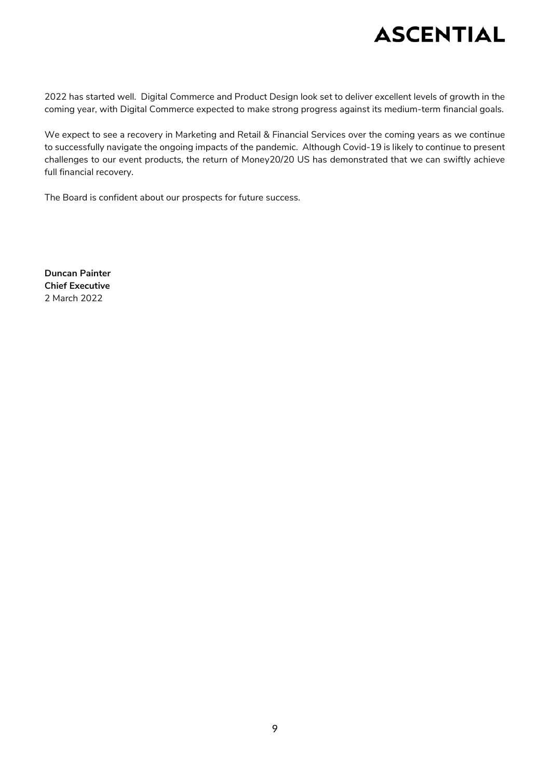2022 has started well. Digital Commerce and Product Design look set to deliver excellent levels of growth in the coming year, with Digital Commerce expected to make strong progress against its medium-term financial goals.

We expect to see a recovery in Marketing and Retail & Financial Services over the coming years as we continue to successfully navigate the ongoing impacts of the pandemic. Although Covid-19 is likely to continue to present challenges to our event products, the return of Money20/20 US has demonstrated that we can swiftly achieve full financial recovery.

The Board is confident about our prospects for future success.

**Duncan Painter Chief Executive** 2 March 2022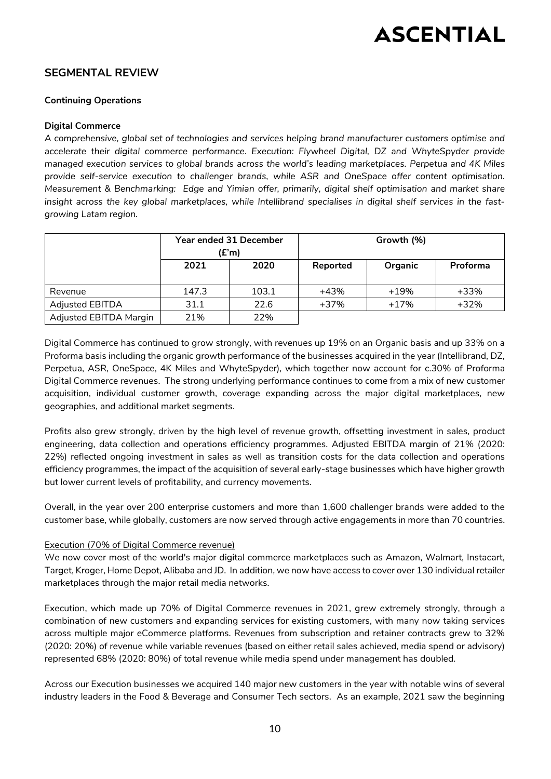### **SEGMENTAL REVIEW**

#### **Continuing Operations**

#### **Digital Commerce**

*A comprehensive, global set of technologies and services helping brand manufacturer customers optimise and accelerate their digital commerce performance. Execution: Flywheel Digital, DZ and WhyteSpyder provide managed execution services to global brands across the world's leading marketplaces. Perpetua and 4K Miles provide self-service execution to challenger brands, while ASR and OneSpace offer content optimisation. Measurement & Benchmarking: Edge and Yimian offer, primarily, digital shelf optimisation and market share insight across the key global marketplaces, while Intellibrand specialises in digital shelf services in the fastgrowing Latam region.* 

|                        | Year ended 31 December<br>(£'m) |       | Growth (%) |         |          |
|------------------------|---------------------------------|-------|------------|---------|----------|
|                        | 2021                            | 2020  | Reported   | Organic | Proforma |
| Revenue                | 147.3                           | 103.1 | $+43%$     | $+19%$  | $+33%$   |
| <b>Adjusted EBITDA</b> | 31.1                            | 22.6  | +37%       | $+17%$  | $+32%$   |
| Adjusted EBITDA Margin | 21%                             | 22%   |            |         |          |

Digital Commerce has continued to grow strongly, with revenues up 19% on an Organic basis and up 33% on a Proforma basis including the organic growth performance of the businesses acquired in the year (Intellibrand, DZ, Perpetua, ASR, OneSpace, 4K Miles and WhyteSpyder), which together now account for c.30% of Proforma Digital Commerce revenues. The strong underlying performance continues to come from a mix of new customer acquisition, individual customer growth, coverage expanding across the major digital marketplaces, new geographies, and additional market segments.

Profits also grew strongly, driven by the high level of revenue growth, offsetting investment in sales, product engineering, data collection and operations efficiency programmes. Adjusted EBITDA margin of 21% (2020: 22%) reflected ongoing investment in sales as well as transition costs for the data collection and operations efficiency programmes, the impact of the acquisition of several early-stage businesses which have higher growth but lower current levels of profitability, and currency movements.

Overall, in the year over 200 enterprise customers and more than 1,600 challenger brands were added to the customer base, while globally, customers are now served through active engagements in more than 70 countries.

#### Execution (70% of Digital Commerce revenue)

We now cover most of the world's major digital commerce marketplaces such as Amazon, Walmart, Instacart, Target, Kroger, Home Depot, Alibaba and JD. In addition, we now have access to cover over 130 individual retailer marketplaces through the major retail media networks.

Execution, which made up 70% of Digital Commerce revenues in 2021, grew extremely strongly, through a combination of new customers and expanding services for existing customers, with many now taking services across multiple major eCommerce platforms. Revenues from subscription and retainer contracts grew to 32% (2020: 20%) of revenue while variable revenues (based on either retail sales achieved, media spend or advisory) represented 68% (2020: 80%) of total revenue while media spend under management has doubled.

Across our Execution businesses we acquired 140 major new customers in the year with notable wins of several industry leaders in the Food & Beverage and Consumer Tech sectors. As an example, 2021 saw the beginning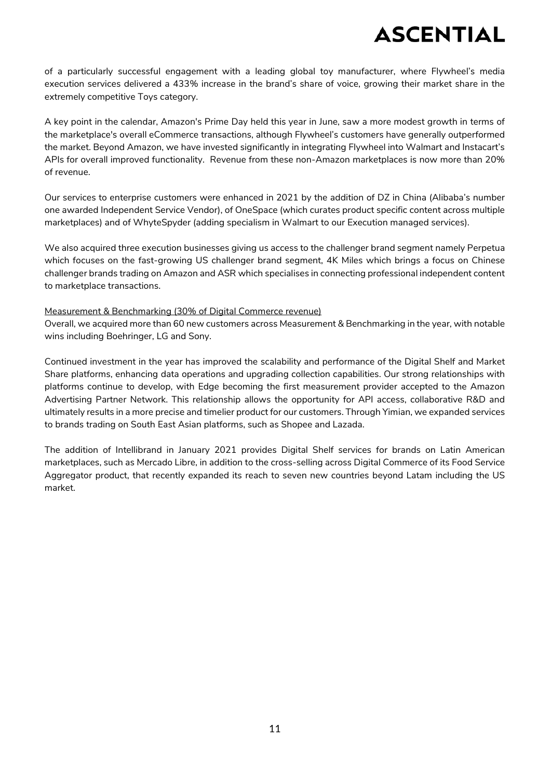of a particularly successful engagement with a leading global toy manufacturer, where Flywheel's media execution services delivered a 433% increase in the brand's share of voice, growing their market share in the extremely competitive Toys category.

A key point in the calendar, Amazon's Prime Day held this year in June, saw a more modest growth in terms of the marketplace's overall eCommerce transactions, although Flywheel's customers have generally outperformed the market. Beyond Amazon, we have invested significantly in integrating Flywheel into Walmart and Instacart's APIs for overall improved functionality. Revenue from these non-Amazon marketplaces is now more than 20% of revenue.

Our services to enterprise customers were enhanced in 2021 by the addition of DZ in China (Alibaba's number one awarded Independent Service Vendor), of OneSpace (which curates product specific content across multiple marketplaces) and of WhyteSpyder (adding specialism in Walmart to our Execution managed services).

We also acquired three execution businesses giving us access to the challenger brand segment namely Perpetua which focuses on the fast-growing US challenger brand segment, 4K Miles which brings a focus on Chinese challenger brands trading on Amazon and ASR which specialises in connecting professional independent content to marketplace transactions.

#### Measurement & Benchmarking (30% of Digital Commerce revenue)

Overall, we acquired more than 60 new customers across Measurement & Benchmarking in the year, with notable wins including Boehringer, LG and Sony.

Continued investment in the year has improved the scalability and performance of the Digital Shelf and Market Share platforms, enhancing data operations and upgrading collection capabilities. Our strong relationships with platforms continue to develop, with Edge becoming the first measurement provider accepted to the Amazon Advertising Partner Network. This relationship allows the opportunity for API access, collaborative R&D and ultimately results in a more precise and timelier product for our customers. Through Yimian, we expanded services to brands trading on South East Asian platforms, such as Shopee and Lazada.

The addition of Intellibrand in January 2021 provides Digital Shelf services for brands on Latin American marketplaces, such as Mercado Libre, in addition to the cross-selling across Digital Commerce of its Food Service Aggregator product, that recently expanded its reach to seven new countries beyond Latam including the US market.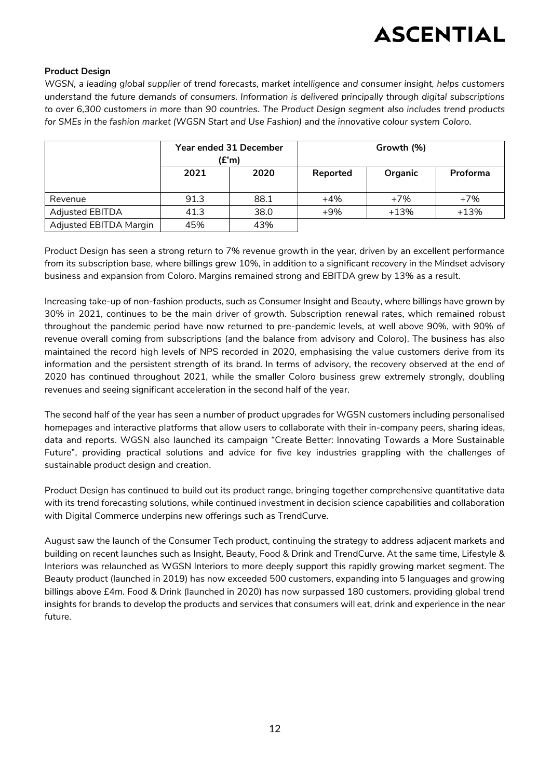#### **Product Design**

*WGSN, a leading global supplier of trend forecasts, market intelligence and consumer insight, helps customers understand the future demands of consumers. Information is delivered principally through digital subscriptions to over 6,300 customers in more than 90 countries. The Product Design segment also includes trend products for SMEs in the fashion market (WGSN Start and Use Fashion) and the innovative colour system Coloro.*

|                        |      | Year ended 31 December<br>(£'m) | Growth (%) |         |          |
|------------------------|------|---------------------------------|------------|---------|----------|
|                        | 2021 | 2020                            | Reported   | Organic | Proforma |
| Revenue                | 91.3 | 88.1                            | $+4%$      | $+7%$   | $+7%$    |
| <b>Adjusted EBITDA</b> | 41.3 | 38.0                            | $+9%$      | $+13%$  | $+13%$   |
| Adjusted EBITDA Margin | 45%  | 43%                             |            |         |          |

Product Design has seen a strong return to 7% revenue growth in the year, driven by an excellent performance from its subscription base, where billings grew 10%, in addition to a significant recovery in the Mindset advisory business and expansion from Coloro. Margins remained strong and EBITDA grew by 13% as a result.

Increasing take-up of non-fashion products, such as Consumer Insight and Beauty, where billings have grown by 30% in 2021, continues to be the main driver of growth. Subscription renewal rates, which remained robust throughout the pandemic period have now returned to pre-pandemic levels, at well above 90%, with 90% of revenue overall coming from subscriptions (and the balance from advisory and Coloro). The business has also maintained the record high levels of NPS recorded in 2020, emphasising the value customers derive from its information and the persistent strength of its brand. In terms of advisory, the recovery observed at the end of 2020 has continued throughout 2021, while the smaller Coloro business grew extremely strongly, doubling revenues and seeing significant acceleration in the second half of the year.

The second half of the year has seen a number of product upgrades for WGSN customers including personalised homepages and interactive platforms that allow users to collaborate with their in-company peers, sharing ideas, data and reports. WGSN also launched its campaign "Create Better: Innovating Towards a More Sustainable Future", providing practical solutions and advice for five key industries grappling with the challenges of sustainable product design and creation.

Product Design has continued to build out its product range, bringing together comprehensive quantitative data with its trend forecasting solutions, while continued investment in decision science capabilities and collaboration with Digital Commerce underpins new offerings such as TrendCurve.

August saw the launch of the Consumer Tech product, continuing the strategy to address adjacent markets and building on recent launches such as Insight, Beauty, Food & Drink and TrendCurve. At the same time, Lifestyle & Interiors was relaunched as WGSN Interiors to more deeply support this rapidly growing market segment. The Beauty product (launched in 2019) has now exceeded 500 customers, expanding into 5 languages and growing billings above £4m. Food & Drink (launched in 2020) has now surpassed 180 customers, providing global trend insights for brands to develop the products and services that consumers will eat, drink and experience in the near future.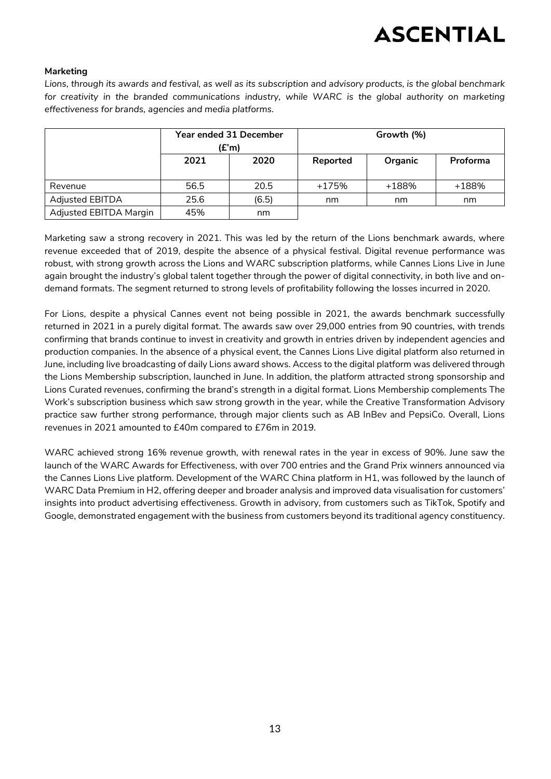#### **Marketing**

*Lions, through its awards and festival, as well as its subscription and advisory products, is the global benchmark*  for creativity in the branded communications industry, while WARC is the global authority on marketing *effectiveness for brands, agencies and media platforms.* 

|                        |      | Year ended 31 December<br>(£'m) | Growth (%) |         |          |
|------------------------|------|---------------------------------|------------|---------|----------|
|                        | 2021 | 2020                            | Reported   | Organic | Proforma |
| Revenue                | 56.5 | 20.5                            | $+175%$    | +188%   | +188%    |
| <b>Adjusted EBITDA</b> | 25.6 | (6.5)                           | nm         | nm      | nm       |
| Adjusted EBITDA Margin | 45%  | nm                              |            |         |          |

Marketing saw a strong recovery in 2021. This was led by the return of the Lions benchmark awards, where revenue exceeded that of 2019, despite the absence of a physical festival. Digital revenue performance was robust, with strong growth across the Lions and WARC subscription platforms, while Cannes Lions Live in June again brought the industry's global talent together through the power of digital connectivity, in both live and ondemand formats. The segment returned to strong levels of profitability following the losses incurred in 2020.

For Lions, despite a physical Cannes event not being possible in 2021, the awards benchmark successfully returned in 2021 in a purely digital format. The awards saw over 29,000 entries from 90 countries, with trends confirming that brands continue to invest in creativity and growth in entries driven by independent agencies and production companies. In the absence of a physical event, the Cannes Lions Live digital platform also returned in June, including live broadcasting of daily Lions award shows. Access to the digital platform was delivered through the Lions Membership subscription, launched in June. In addition, the platform attracted strong sponsorship and Lions Curated revenues, confirming the brand's strength in a digital format. Lions Membership complements The Work's subscription business which saw strong growth in the year, while the Creative Transformation Advisory practice saw further strong performance, through major clients such as AB InBev and PepsiCo. Overall, Lions revenues in 2021 amounted to £40m compared to £76m in 2019.

WARC achieved strong 16% revenue growth, with renewal rates in the year in excess of 90%. June saw the launch of the WARC Awards for Effectiveness, with over 700 entries and the Grand Prix winners announced via the Cannes Lions Live platform. Development of the WARC China platform in H1, was followed by the launch of WARC Data Premium in H2, offering deeper and broader analysis and improved data visualisation for customers' insights into product advertising effectiveness. Growth in advisory, from customers such as TikTok, Spotify and Google, demonstrated engagement with the business from customers beyond its traditional agency constituency.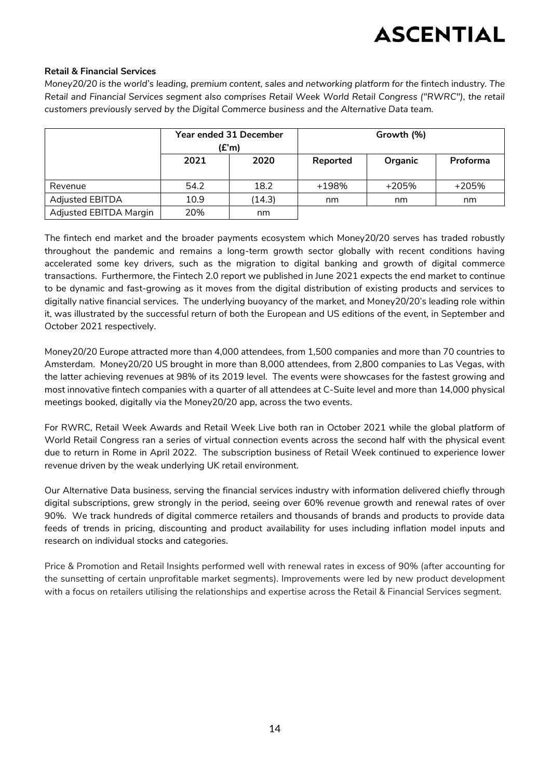#### **Retail & Financial Services**

*Money20/20 is the world's leading, premium content, sales and networking platform for the fintech industry. The Retail and Financial Services segment also comprises Retail Week World Retail Congress ("RWRC"), the retail customers previously served by the Digital Commerce business and the Alternative Data team.* 

|                        | Year ended 31 December<br>(£'m) |        | Growth (%) |         |          |
|------------------------|---------------------------------|--------|------------|---------|----------|
|                        | 2021                            | 2020   | Reported   | Organic | Proforma |
| Revenue                | 54.2                            | 18.2   | +198%      | +205%   | +205%    |
| <b>Adjusted EBITDA</b> | 10.9                            | (14.3) | nm         | nm      | nm       |
| Adjusted EBITDA Margin | 20%                             | nm     |            |         |          |

The fintech end market and the broader payments ecosystem which Money20/20 serves has traded robustly throughout the pandemic and remains a long-term growth sector globally with recent conditions having accelerated some key drivers, such as the migration to digital banking and growth of digital commerce transactions. Furthermore, the Fintech 2.0 report we published in June 2021 expects the end market to continue to be dynamic and fast-growing as it moves from the digital distribution of existing products and services to digitally native financial services. The underlying buoyancy of the market, and Money20/20's leading role within it, was illustrated by the successful return of both the European and US editions of the event, in September and October 2021 respectively.

Money20/20 Europe attracted more than 4,000 attendees, from 1,500 companies and more than 70 countries to Amsterdam. Money20/20 US brought in more than 8,000 attendees, from 2,800 companies to Las Vegas, with the latter achieving revenues at 98% of its 2019 level. The events were showcases for the fastest growing and most innovative fintech companies with a quarter of all attendees at C-Suite level and more than 14,000 physical meetings booked, digitally via the Money20/20 app, across the two events.

For RWRC, Retail Week Awards and Retail Week Live both ran in October 2021 while the global platform of World Retail Congress ran a series of virtual connection events across the second half with the physical event due to return in Rome in April 2022. The subscription business of Retail Week continued to experience lower revenue driven by the weak underlying UK retail environment.

Our Alternative Data business, serving the financial services industry with information delivered chiefly through digital subscriptions, grew strongly in the period, seeing over 60% revenue growth and renewal rates of over 90%. We track hundreds of digital commerce retailers and thousands of brands and products to provide data feeds of trends in pricing, discounting and product availability for uses including inflation model inputs and research on individual stocks and categories.

Price & Promotion and Retail Insights performed well with renewal rates in excess of 90% (after accounting for the sunsetting of certain unprofitable market segments). Improvements were led by new product development with a focus on retailers utilising the relationships and expertise across the Retail & Financial Services segment.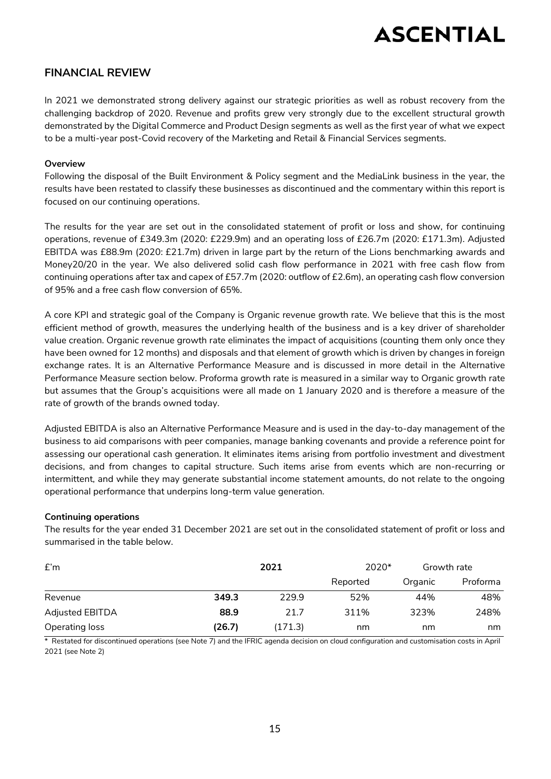#### **FINANCIAL REVIEW**

In 2021 we demonstrated strong delivery against our strategic priorities as well as robust recovery from the challenging backdrop of 2020. Revenue and profits grew very strongly due to the excellent structural growth demonstrated by the Digital Commerce and Product Design segments as well as the first year of what we expect to be a multi-year post-Covid recovery of the Marketing and Retail & Financial Services segments.

#### **Overview**

Following the disposal of the Built Environment & Policy segment and the MediaLink business in the year, the results have been restated to classify these businesses as discontinued and the commentary within this report is focused on our continuing operations.

The results for the year are set out in the consolidated statement of profit or loss and show, for continuing operations, revenue of £349.3m (2020: £229.9m) and an operating loss of £26.7m (2020: £171.3m). Adjusted EBITDA was £88.9m (2020: £21.7m) driven in large part by the return of the Lions benchmarking awards and Money20/20 in the year. We also delivered solid cash flow performance in 2021 with free cash flow from continuing operations after tax and capex of £57.7m (2020: outflow of £2.6m), an operating cash flow conversion of 95% and a free cash flow conversion of 65%.

A core KPI and strategic goal of the Company is Organic revenue growth rate. We believe that this is the most efficient method of growth, measures the underlying health of the business and is a key driver of shareholder value creation. Organic revenue growth rate eliminates the impact of acquisitions (counting them only once they have been owned for 12 months) and disposals and that element of growth which is driven by changes in foreign exchange rates. It is an Alternative Performance Measure and is discussed in more detail in the Alternative Performance Measure section below. Proforma growth rate is measured in a similar way to Organic growth rate but assumes that the Group's acquisitions were all made on 1 January 2020 and is therefore a measure of the rate of growth of the brands owned today.

Adjusted EBITDA is also an Alternative Performance Measure and is used in the day-to-day management of the business to aid comparisons with peer companies, manage banking covenants and provide a reference point for assessing our operational cash generation. It eliminates items arising from portfolio investment and divestment decisions, and from changes to capital structure. Such items arise from events which are non-recurring or intermittent, and while they may generate substantial income statement amounts, do not relate to the ongoing operational performance that underpins long-term value generation.

#### **Continuing operations**

The results for the year ended 31 December 2021 are set out in the consolidated statement of profit or loss and summarised in the table below.

| f'm                    |        | 2021    | $2020*$  |         | Growth rate |  |
|------------------------|--------|---------|----------|---------|-------------|--|
|                        |        |         | Reported | Organic | Proforma    |  |
| Revenue                | 349.3  | 229.9   | 52%      | 44%     | 48%         |  |
| <b>Adjusted EBITDA</b> | 88.9   | 21.7    | 311%     | 323%    | 248%        |  |
| Operating loss         | (26.7) | (171.3) | nm       | nm      | nm          |  |

\* Restated for discontinued operations (see Note 7) and the IFRIC agenda decision on cloud configuration and customisation costs in April 2021 (see Note 2)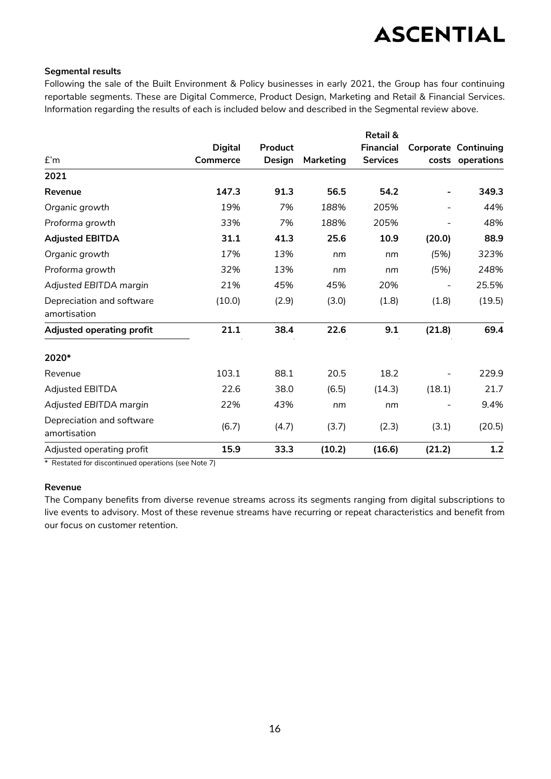#### **Segmental results**

Following the sale of the Built Environment & Policy businesses in early 2021, the Group has four continuing reportable segments. These are Digital Commerce, Product Design, Marketing and Retail & Financial Services. Information regarding the results of each is included below and described in the Segmental review above.

|                                           |                 |         |           | Retail &        |        |                             |
|-------------------------------------------|-----------------|---------|-----------|-----------------|--------|-----------------------------|
|                                           | <b>Digital</b>  | Product |           | Financial       |        | <b>Corporate Continuing</b> |
| £'m                                       | <b>Commerce</b> | Design  | Marketing | <b>Services</b> |        | costs operations            |
| 2021                                      |                 |         |           |                 |        |                             |
| Revenue                                   | 147.3           | 91.3    | 56.5      | 54.2            |        | 349.3                       |
| Organic growth                            | 19%             | 7%      | 188%      | 205%            |        | 44%                         |
| Proforma growth                           | 33%             | 7%      | 188%      | 205%            |        | 48%                         |
| <b>Adjusted EBITDA</b>                    | 31.1            | 41.3    | 25.6      | 10.9            | (20.0) | 88.9                        |
| Organic growth                            | 17%             | 13%     | nm        | nm              | (5%)   | 323%                        |
| Proforma growth                           | 32%             | 13%     | nm        | nm              | (5%)   | 248%                        |
| Adjusted EBITDA margin                    | 21%             | 45%     | 45%       | 20%             |        | 25.5%                       |
| Depreciation and software<br>amortisation | (10.0)          | (2.9)   | (3.0)     | (1.8)           | (1.8)  | (19.5)                      |
| Adjusted operating profit                 | 21.1            | 38.4    | 22.6      | 9.1             | (21.8) | 69.4                        |
| 2020*                                     |                 |         |           |                 |        |                             |
| Revenue                                   | 103.1           | 88.1    | 20.5      | 18.2            |        | 229.9                       |
| <b>Adjusted EBITDA</b>                    | 22.6            | 38.0    | (6.5)     | (14.3)          | (18.1) | 21.7                        |
| Adjusted EBITDA margin                    | 22%             | 43%     | nm        | nm              |        | 9.4%                        |
| Depreciation and software<br>amortisation | (6.7)           | (4.7)   | (3.7)     | (2.3)           | (3.1)  | (20.5)                      |
| Adjusted operating profit                 | 15.9            | 33.3    | (10.2)    | (16.6)          | (21.2) | 1.2                         |

\* Restated for discontinued operations (see Note 7)

#### **Revenue**

The Company benefits from diverse revenue streams across its segments ranging from digital subscriptions to live events to advisory. Most of these revenue streams have recurring or repeat characteristics and benefit from our focus on customer retention.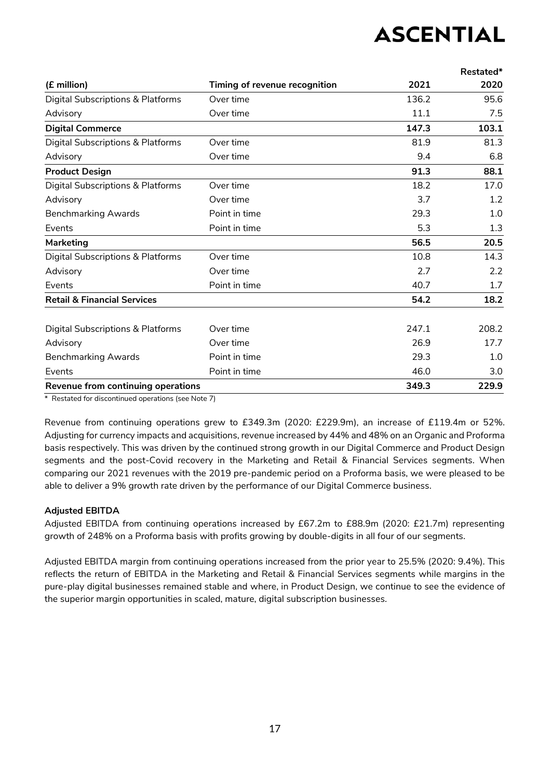|                                        |                               |       | Restated* |
|----------------------------------------|-------------------------------|-------|-----------|
| (£ million)                            | Timing of revenue recognition | 2021  | 2020      |
| Digital Subscriptions & Platforms      | Over time                     | 136.2 | 95.6      |
| Advisory                               | Over time                     | 11.1  | 7.5       |
| <b>Digital Commerce</b>                |                               | 147.3 | 103.1     |
| Digital Subscriptions & Platforms      | Over time                     | 81.9  | 81.3      |
| Advisory                               | Over time                     | 9.4   | 6.8       |
| <b>Product Design</b>                  |                               | 91.3  | 88.1      |
| Digital Subscriptions & Platforms      | Over time                     | 18.2  | 17.0      |
| Advisory                               | Over time                     | 3.7   | 1.2       |
| <b>Benchmarking Awards</b>             | Point in time                 | 29.3  | 1.0       |
| Events                                 | Point in time                 | 5.3   | 1.3       |
| <b>Marketing</b>                       |                               | 56.5  | 20.5      |
| Digital Subscriptions & Platforms      | Over time                     | 10.8  | 14.3      |
| Advisory                               | Over time                     | 2.7   | 2.2       |
| Events                                 | Point in time                 | 40.7  | 1.7       |
| <b>Retail &amp; Financial Services</b> |                               | 54.2  | 18.2      |
| Digital Subscriptions & Platforms      | Over time                     | 247.1 | 208.2     |
| Advisory                               | Over time                     | 26.9  | 17.7      |
| <b>Benchmarking Awards</b>             | Point in time                 | 29.3  | 1.0       |
| Events                                 | Point in time                 | 46.0  | 3.0       |
| Revenue from continuing operations     |                               | 349.3 | 229.9     |
|                                        |                               |       |           |

\* Restated for discontinued operations (see Note 7)

Revenue from continuing operations grew to £349.3m (2020: £229.9m), an increase of £119.4m or 52%. Adjusting for currency impacts and acquisitions, revenue increased by 44% and 48% on an Organic and Proforma basis respectively. This was driven by the continued strong growth in our Digital Commerce and Product Design segments and the post-Covid recovery in the Marketing and Retail & Financial Services segments. When comparing our 2021 revenues with the 2019 pre-pandemic period on a Proforma basis, we were pleased to be able to deliver a 9% growth rate driven by the performance of our Digital Commerce business.

#### **Adjusted EBITDA**

Adjusted EBITDA from continuing operations increased by £67.2m to £88.9m (2020: £21.7m) representing growth of 248% on a Proforma basis with profits growing by double-digits in all four of our segments.

Adjusted EBITDA margin from continuing operations increased from the prior year to 25.5% (2020: 9.4%). This reflects the return of EBITDA in the Marketing and Retail & Financial Services segments while margins in the pure-play digital businesses remained stable and where, in Product Design, we continue to see the evidence of the superior margin opportunities in scaled, mature, digital subscription businesses.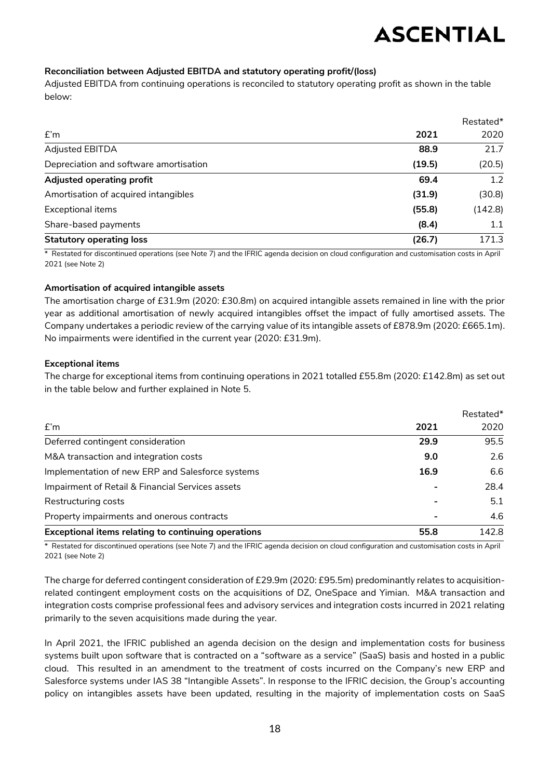#### **Reconciliation between Adjusted EBITDA and statutory operating profit/(loss)**

Adjusted EBITDA from continuing operations is reconciled to statutory operating profit as shown in the table below:

|                                        |        | Restated* |
|----------------------------------------|--------|-----------|
| f'm                                    | 2021   | 2020      |
| Adjusted EBITDA                        | 88.9   | 21.7      |
| Depreciation and software amortisation | (19.5) | (20.5)    |
| Adjusted operating profit              | 69.4   | 1.2       |
| Amortisation of acquired intangibles   | (31.9) | (30.8)    |
| <b>Exceptional items</b>               | (55.8) | (142.8)   |
| Share-based payments                   | (8.4)  | 1.1       |
| <b>Statutory operating loss</b>        | (26.7) | 171.3     |

\* Restated for discontinued operations (see Note 7) and the IFRIC agenda decision on cloud configuration and customisation costs in April 2021 (see Note 2)

#### **Amortisation of acquired intangible assets**

The amortisation charge of £31.9m (2020: £30.8m) on acquired intangible assets remained in line with the prior year as additional amortisation of newly acquired intangibles offset the impact of fully amortised assets. The Company undertakes a periodic review of the carrying value of its intangible assets of £878.9m (2020: £665.1m). No impairments were identified in the current year (2020: £31.9m).

#### **Exceptional items**

The charge for exceptional items from continuing operations in 2021 totalled £55.8m (2020: £142.8m) as set out in the table below and further explained in Note 5.

|                                                     |      | Restated* |
|-----------------------------------------------------|------|-----------|
| f'm                                                 | 2021 | 2020      |
| Deferred contingent consideration                   | 29.9 | 95.5      |
| M&A transaction and integration costs               | 9.0  | 2.6       |
| Implementation of new ERP and Salesforce systems    | 16.9 | 6.6       |
| Impairment of Retail & Financial Services assets    |      | 28.4      |
| Restructuring costs                                 |      | 5.1       |
| Property impairments and onerous contracts          |      | 4.6       |
| Exceptional items relating to continuing operations | 55.8 | 142.8     |

\* Restated for discontinued operations (see Note 7) and the IFRIC agenda decision on cloud configuration and customisation costs in April 2021 (see Note 2)

The charge for deferred contingent consideration of £29.9m (2020: £95.5m) predominantly relates to acquisitionrelated contingent employment costs on the acquisitions of DZ, OneSpace and Yimian. M&A transaction and integration costs comprise professional fees and advisory services and integration costs incurred in 2021 relating primarily to the seven acquisitions made during the year.

In April 2021, the IFRIC published an agenda decision on the design and implementation costs for business systems built upon software that is contracted on a "software as a service" (SaaS) basis and hosted in a public cloud. This resulted in an amendment to the treatment of costs incurred on the Company's new ERP and Salesforce systems under IAS 38 "Intangible Assets". In response to the IFRIC decision, the Group's accounting policy on intangibles assets have been updated, resulting in the majority of implementation costs on SaaS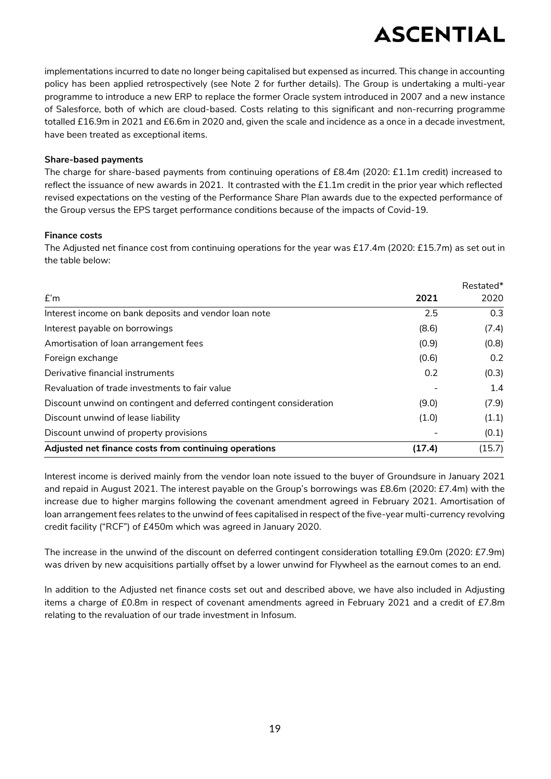implementations incurred to date no longer being capitalised but expensed as incurred. This change in accounting policy has been applied retrospectively (see Note 2 for further details). The Group is undertaking a multi-year programme to introduce a new ERP to replace the former Oracle system introduced in 2007 and a new instance of Salesforce, both of which are cloud-based. Costs relating to this significant and non-recurring programme totalled £16.9m in 2021 and £6.6m in 2020 and, given the scale and incidence as a once in a decade investment, have been treated as exceptional items.

#### **Share-based payments**

The charge for share-based payments from continuing operations of £8.4m (2020: £1.1m credit) increased to reflect the issuance of new awards in 2021. It contrasted with the £1.1m credit in the prior year which reflected revised expectations on the vesting of the Performance Share Plan awards due to the expected performance of the Group versus the EPS target performance conditions because of the impacts of Covid-19.

#### **Finance costs**

The Adjusted net finance cost from continuing operations for the year was £17.4m (2020: £15.7m) as set out in the table below:

|                                                                     |        | Restated* |
|---------------------------------------------------------------------|--------|-----------|
| f'm                                                                 | 2021   | 2020      |
| Interest income on bank deposits and vendor loan note               | 2.5    | 0.3       |
| Interest payable on borrowings                                      | (8.6)  | (7.4)     |
| Amortisation of loan arrangement fees                               | (0.9)  | (0.8)     |
| Foreign exchange                                                    | (0.6)  | 0.2       |
| Derivative financial instruments                                    | 0.2    | (0.3)     |
| Revaluation of trade investments to fair value                      |        | 1.4       |
| Discount unwind on contingent and deferred contingent consideration | (9.0)  | (7.9)     |
| Discount unwind of lease liability                                  | (1.0)  | (1.1)     |
| Discount unwind of property provisions                              |        | (0.1)     |
| Adjusted net finance costs from continuing operations               | (17.4) | (15.7)    |

Interest income is derived mainly from the vendor loan note issued to the buyer of Groundsure in January 2021 and repaid in August 2021. The interest payable on the Group's borrowings was £8.6m (2020: £7.4m) with the increase due to higher margins following the covenant amendment agreed in February 2021. Amortisation of loan arrangement fees relates to the unwind of fees capitalised in respect of the five-year multi-currency revolving credit facility ("RCF") of £450m which was agreed in January 2020.

The increase in the unwind of the discount on deferred contingent consideration totalling £9.0m (2020: £7.9m) was driven by new acquisitions partially offset by a lower unwind for Flywheel as the earnout comes to an end.

In addition to the Adjusted net finance costs set out and described above, we have also included in Adjusting items a charge of £0.8m in respect of covenant amendments agreed in February 2021 and a credit of £7.8m relating to the revaluation of our trade investment in Infosum.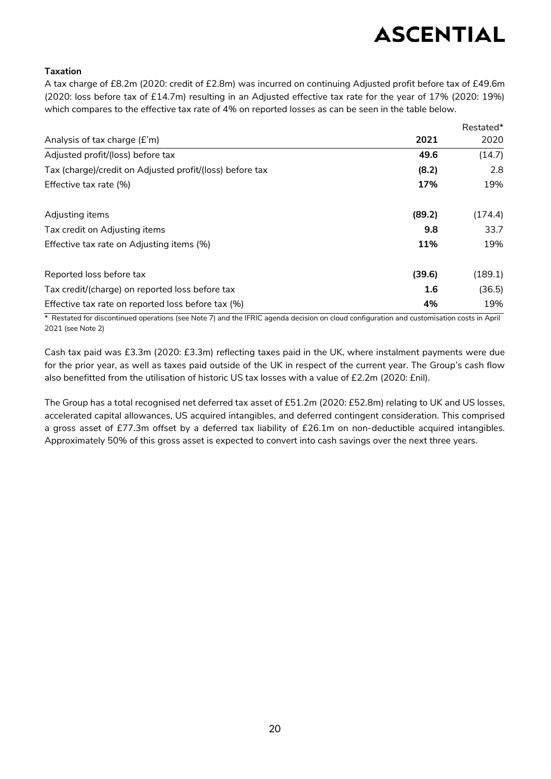#### **Taxation**

A tax charge of £8.2m (2020: credit of £2.8m) was incurred on continuing Adjusted profit before tax of £49.6m (2020: loss before tax of £14.7m) resulting in an Adjusted effective tax rate for the year of 17% (2020: 19%) which compares to the effective tax rate of 4% on reported losses as can be seen in the table below.

|                                                          |        | Restated* |
|----------------------------------------------------------|--------|-----------|
| Analysis of tax charge (£'m)                             | 2021   | 2020      |
| Adjusted profit/(loss) before tax                        | 49.6   | (14.7)    |
| Tax (charge)/credit on Adjusted profit/(loss) before tax | (8.2)  | 2.8       |
| Effective tax rate (%)                                   | 17%    | 19%       |
| Adjusting items                                          | (89.2) | (174.4)   |
| Tax credit on Adjusting items                            | 9.8    | 33.7      |
| Effective tax rate on Adjusting items (%)                | 11%    | 19%       |
| Reported loss before tax                                 | (39.6) | (189.1)   |
| Tax credit/(charge) on reported loss before tax          | 1.6    | (36.5)    |
| Effective tax rate on reported loss before tax (%)       | 4%     | 19%       |

\* Restated for discontinued operations (see Note 7) and the IFRIC agenda decision on cloud configuration and customisation costs in April 2021 (see Note 2)

Cash tax paid was £3.3m (2020: £3.3m) reflecting taxes paid in the UK, where instalment payments were due for the prior year, as well as taxes paid outside of the UK in respect of the current year. The Group's cash flow also benefitted from the utilisation of historic US tax losses with a value of £2.2m (2020: £nil).

The Group has a total recognised net deferred tax asset of £51.2m (2020: £52.8m) relating to UK and US losses, accelerated capital allowances, US acquired intangibles, and deferred contingent consideration. This comprised a gross asset of £77.3m offset by a deferred tax liability of £26.1m on non-deductible acquired intangibles. Approximately 50% of this gross asset is expected to convert into cash savings over the next three years.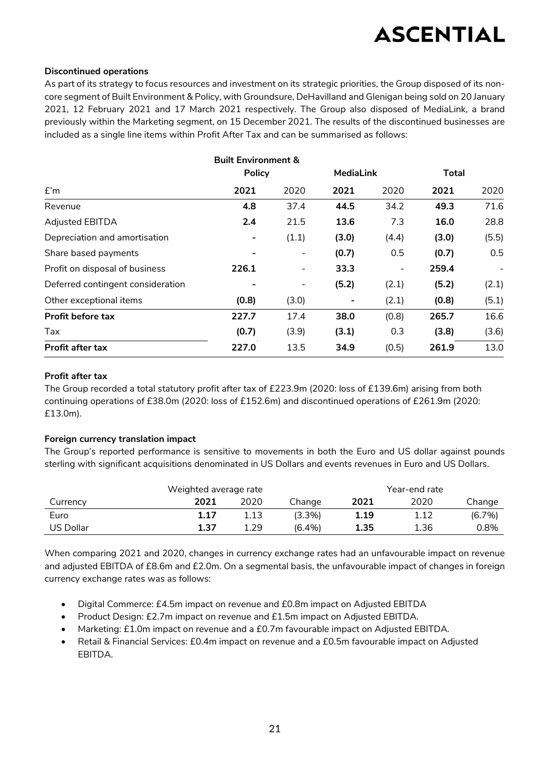#### **Discontinued operations**

As part of its strategy to focus resources and investment on its strategic priorities, the Group disposed of its noncore segment of Built Environment & Policy, with Groundsure, DeHavilland and Glenigan being sold on 20 January 2021, 12 February 2021 and 17 March 2021 respectively. The Group also disposed of MediaLink, a brand previously within the Marketing segment, on 15 December 2021. The results of the discontinued businesses are included as a single line items within Profit After Tax and can be summarised as follows:

|                                   | <b>Built Environment &amp;</b> |       |                  |                              |              |       |
|-----------------------------------|--------------------------------|-------|------------------|------------------------------|--------------|-------|
|                                   | <b>Policy</b>                  |       | <b>MediaLink</b> |                              | <b>Total</b> |       |
| E'm                               | 2021                           | 2020  | 2021             | 2020                         | 2021         | 2020  |
| Revenue                           | 4.8                            | 37.4  | 44.5             | 34.2                         | 49.3         | 71.6  |
| <b>Adjusted EBITDA</b>            | 2.4                            | 21.5  | 13.6             | 7.3                          | 16.0         | 28.8  |
| Depreciation and amortisation     |                                | (1.1) | (3.0)            | (4.4)                        | (3.0)        | (5.5) |
| Share based payments              |                                | -     | (0.7)            | 0.5                          | (0.7)        | 0.5   |
| Profit on disposal of business    | 226.1                          | -     | 33.3             | $\qquad \qquad \blacksquare$ | 259.4        |       |
| Deferred contingent consideration |                                | -     | (5.2)            | (2.1)                        | (5.2)        | (2.1) |
| Other exceptional items           | (0.8)                          | (3.0) |                  | (2.1)                        | (0.8)        | (5.1) |
| <b>Profit before tax</b>          | 227.7                          | 17.4  | 38.0             | (0.8)                        | 265.7        | 16.6  |
| Tax                               | (0.7)                          | (3.9) | (3.1)            | 0.3                          | (3.8)        | (3.6) |
| Profit after tax                  | 227.0                          | 13.5  | 34.9             | (0.5)                        | 261.9        | 13.0  |

#### **Profit after tax**

The Group recorded a total statutory profit after tax of £223.9m (2020: loss of £139.6m) arising from both continuing operations of £38.0m (2020: loss of £152.6m) and discontinued operations of £261.9m (2020: £13.0m).

#### **Foreign currency translation impact**

The Group's reported performance is sensitive to movements in both the Euro and US dollar against pounds sterling with significant acquisitions denominated in US Dollars and events revenues in Euro and US Dollars.

| Weighted average rate |      |      |           | Year-end rate |      |         |
|-----------------------|------|------|-----------|---------------|------|---------|
| Currency              | 2021 | 2020 | Change    | 2021          | 2020 | Change  |
| Euro                  | 1.17 | 1.13 | $(3.3\%)$ | 1.19          | 1.12 | (6.7%)  |
| US Dollar             | 1.37 | 1.29 | $(6.4\%)$ | 1.35          | 1.36 | $0.8\%$ |

When comparing 2021 and 2020, changes in currency exchange rates had an unfavourable impact on revenue and adjusted EBITDA of £8.6m and £2.0m. On a segmental basis, the unfavourable impact of changes in foreign currency exchange rates was as follows:

- Digital Commerce: £4.5m impact on revenue and £0.8m impact on Adjusted EBITDA
- Product Design: £2.7m impact on revenue and £1.5m impact on Adjusted EBITDA.
- Marketing: £1.0m impact on revenue and a £0.7m favourable impact on Adjusted EBITDA.
- Retail & Financial Services: £0.4m impact on revenue and a £0.5m favourable impact on Adjusted EBITDA.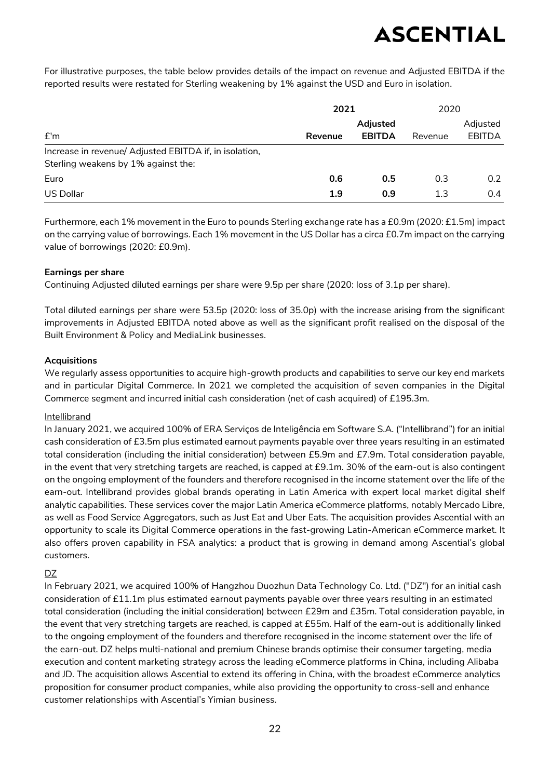For illustrative purposes, the table below provides details of the impact on revenue and Adjusted EBITDA if the reported results were restated for Sterling weakening by 1% against the USD and Euro in isolation.

|                                                        | 2021    |               | 2020    |               |
|--------------------------------------------------------|---------|---------------|---------|---------------|
|                                                        |         | Adjusted      |         | Adjusted      |
| E'm                                                    | Revenue | <b>EBITDA</b> | Revenue | <b>EBITDA</b> |
| Increase in revenue/ Adjusted EBITDA if, in isolation, |         |               |         |               |
| Sterling weakens by 1% against the:                    |         |               |         |               |
| Euro                                                   | 0.6     | 0.5           | 0.3     | $0.2^{\circ}$ |
| US Dollar                                              | 1.9     | 0.9           | 1.3     | 0.4           |

Furthermore, each 1% movement in the Euro to pounds Sterling exchange rate has a £0.9m (2020: £1.5m) impact on the carrying value of borrowings. Each 1% movement in the US Dollar has a circa £0.7m impact on the carrying value of borrowings (2020: £0.9m).

#### **Earnings per share**

Continuing Adjusted diluted earnings per share were 9.5p per share (2020: loss of 3.1p per share).

Total diluted earnings per share were 53.5p (2020: loss of 35.0p) with the increase arising from the significant improvements in Adjusted EBITDA noted above as well as the significant profit realised on the disposal of the Built Environment & Policy and MediaLink businesses.

#### **Acquisitions**

We regularly assess opportunities to acquire high-growth products and capabilities to serve our key end markets and in particular Digital Commerce. In 2021 we completed the acquisition of seven companies in the Digital Commerce segment and incurred initial cash consideration (net of cash acquired) of £195.3m.

#### **Intellibrand**

In January 2021, we acquired 100% of ERA Serviços de Inteligência em Software S.A. ("Intellibrand") for an initial cash consideration of £3.5m plus estimated earnout payments payable over three years resulting in an estimated total consideration (including the initial consideration) between £5.9m and £7.9m. Total consideration payable, in the event that very stretching targets are reached, is capped at £9.1m. 30% of the earn-out is also contingent on the ongoing employment of the founders and therefore recognised in the income statement over the life of the earn-out. Intellibrand provides global brands operating in Latin America with expert local market digital shelf analytic capabilities. These services cover the major Latin America eCommerce platforms, notably Mercado Libre, as well as Food Service Aggregators, such as Just Eat and Uber Eats. The acquisition provides Ascential with an opportunity to scale its Digital Commerce operations in the fast-growing Latin-American eCommerce market. It also offers proven capability in FSA analytics: a product that is growing in demand among Ascential's global customers.

#### DZ

In February 2021, we acquired 100% of Hangzhou Duozhun Data Technology Co. Ltd. ("DZ") for an initial cash consideration of £11.1m plus estimated earnout payments payable over three years resulting in an estimated total consideration (including the initial consideration) between £29m and £35m. Total consideration payable, in the event that very stretching targets are reached, is capped at £55m. Half of the earn-out is additionally linked to the ongoing employment of the founders and therefore recognised in the income statement over the life of the earn-out. DZ helps multi-national and premium Chinese brands optimise their consumer targeting, media execution and content marketing strategy across the leading eCommerce platforms in China, including Alibaba and JD. The acquisition allows Ascential to extend its offering in China, with the broadest eCommerce analytics proposition for consumer product companies, while also providing the opportunity to cross-sell and enhance customer relationships with Ascential's Yimian business.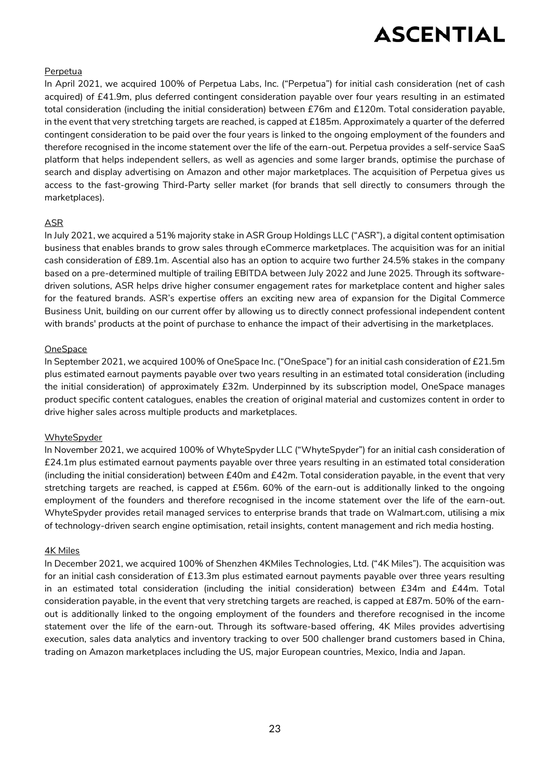#### **Perpetua**

In April 2021, we acquired 100% of Perpetua Labs, Inc. ("Perpetua") for initial cash consideration (net of cash acquired) of £41.9m, plus deferred contingent consideration payable over four years resulting in an estimated total consideration (including the initial consideration) between £76m and £120m. Total consideration payable, in the event that very stretching targets are reached, is capped at £185m. Approximately a quarter of the deferred contingent consideration to be paid over the four years is linked to the ongoing employment of the founders and therefore recognised in the income statement over the life of the earn-out. Perpetua provides a self-service SaaS platform that helps independent sellers, as well as agencies and some larger brands, optimise the purchase of search and display advertising on Amazon and other major marketplaces. The acquisition of Perpetua gives us access to the fast-growing Third-Party seller market (for brands that sell directly to consumers through the marketplaces).

#### ASR

In July 2021, we acquired a 51% majority stake in ASR Group Holdings LLC ("ASR"), a digital content optimisation business that enables brands to grow sales through eCommerce marketplaces. The acquisition was for an initial cash consideration of £89.1m. Ascential also has an option to acquire two further 24.5% stakes in the company based on a pre-determined multiple of trailing EBITDA between July 2022 and June 2025. Through its softwaredriven solutions, ASR helps drive higher consumer engagement rates for marketplace content and higher sales for the featured brands. ASR's expertise offers an exciting new area of expansion for the Digital Commerce Business Unit, building on our current offer by allowing us to directly connect professional independent content with brands' products at the point of purchase to enhance the impact of their advertising in the marketplaces.

#### **OneSpace**

In September 2021, we acquired 100% of OneSpace Inc. ("OneSpace") for an initial cash consideration of £21.5m plus estimated earnout payments payable over two years resulting in an estimated total consideration (including the initial consideration) of approximately £32m. Underpinned by its subscription model, OneSpace manages product specific content catalogues, enables the creation of original material and customizes content in order to drive higher sales across multiple products and marketplaces.

#### **WhyteSpyder**

In November 2021, we acquired 100% of WhyteSpyder LLC ("WhyteSpyder") for an initial cash consideration of £24.1m plus estimated earnout payments payable over three years resulting in an estimated total consideration (including the initial consideration) between £40m and £42m. Total consideration payable, in the event that very stretching targets are reached, is capped at £56m. 60% of the earn-out is additionally linked to the ongoing employment of the founders and therefore recognised in the income statement over the life of the earn-out. WhyteSpyder provides retail managed services to enterprise brands that trade on Walmart.com, utilising a mix of technology-driven search engine optimisation, retail insights, content management and rich media hosting.

#### 4K Miles

In December 2021, we acquired 100% of Shenzhen 4KMiles Technologies, Ltd. ("4K Miles"). The acquisition was for an initial cash consideration of £13.3m plus estimated earnout payments payable over three years resulting in an estimated total consideration (including the initial consideration) between £34m and £44m. Total consideration payable, in the event that very stretching targets are reached, is capped at £87m. 50% of the earnout is additionally linked to the ongoing employment of the founders and therefore recognised in the income statement over the life of the earn-out. Through its software-based offering, 4K Miles provides advertising execution, sales data analytics and inventory tracking to over 500 challenger brand customers based in China, trading on Amazon marketplaces including the US, major European countries, Mexico, India and Japan.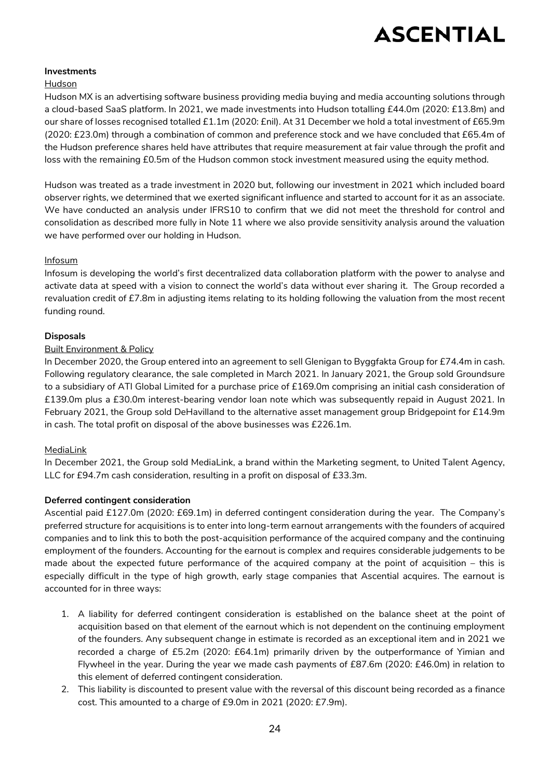#### **Investments**

#### **Hudson**

Hudson MX is an advertising software business providing media buying and media accounting solutions through a cloud-based SaaS platform. In 2021, we made investments into Hudson totalling £44.0m (2020: £13.8m) and our share of losses recognised totalled £1.1m (2020: £nil). At 31 December we hold a total investment of £65.9m (2020: £23.0m) through a combination of common and preference stock and we have concluded that £65.4m of the Hudson preference shares held have attributes that require measurement at fair value through the profit and loss with the remaining £0.5m of the Hudson common stock investment measured using the equity method.

Hudson was treated as a trade investment in 2020 but, following our investment in 2021 which included board observer rights, we determined that we exerted significant influence and started to account for it as an associate. We have conducted an analysis under IFRS10 to confirm that we did not meet the threshold for control and consolidation as described more fully in Note 11 where we also provide sensitivity analysis around the valuation we have performed over our holding in Hudson.

#### Infosum

Infosum is developing the world's first decentralized data collaboration platform with the power to analyse and activate data at speed with a vision to connect the world's data without ever sharing it. The Group recorded a revaluation credit of £7.8m in adjusting items relating to its holding following the valuation from the most recent funding round.

#### **Disposals**

#### Built Environment & Policy

In December 2020, the Group entered into an agreement to sell Glenigan to Byggfakta Group for £74.4m in cash. Following regulatory clearance, the sale completed in March 2021. In January 2021, the Group sold Groundsure to a subsidiary of ATI Global Limited for a purchase price of £169.0m comprising an initial cash consideration of £139.0m plus a £30.0m interest-bearing vendor loan note which was subsequently repaid in August 2021. In February 2021, the Group sold DeHavilland to the alternative asset management group Bridgepoint for £14.9m in cash. The total profit on disposal of the above businesses was £226.1m.

#### MediaLink

In December 2021, the Group sold MediaLink, a brand within the Marketing segment, to United Talent Agency, LLC for £94.7m cash consideration, resulting in a profit on disposal of £33.3m.

#### **Deferred contingent consideration**

Ascential paid £127.0m (2020: £69.1m) in deferred contingent consideration during the year. The Company's preferred structure for acquisitions is to enter into long-term earnout arrangements with the founders of acquired companies and to link this to both the post-acquisition performance of the acquired company and the continuing employment of the founders. Accounting for the earnout is complex and requires considerable judgements to be made about the expected future performance of the acquired company at the point of acquisition – this is especially difficult in the type of high growth, early stage companies that Ascential acquires. The earnout is accounted for in three ways:

- 1. A liability for deferred contingent consideration is established on the balance sheet at the point of acquisition based on that element of the earnout which is not dependent on the continuing employment of the founders. Any subsequent change in estimate is recorded as an exceptional item and in 2021 we recorded a charge of £5.2m (2020: £64.1m) primarily driven by the outperformance of Yimian and Flywheel in the year. During the year we made cash payments of £87.6m (2020: £46.0m) in relation to this element of deferred contingent consideration.
- 2. This liability is discounted to present value with the reversal of this discount being recorded as a finance cost. This amounted to a charge of £9.0m in 2021 (2020: £7.9m).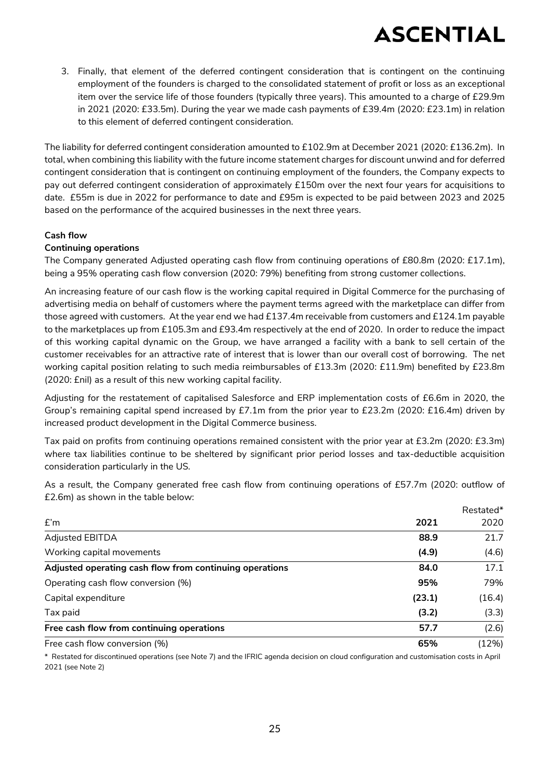3. Finally, that element of the deferred contingent consideration that is contingent on the continuing employment of the founders is charged to the consolidated statement of profit or loss as an exceptional item over the service life of those founders (typically three years). This amounted to a charge of £29.9m in 2021 (2020: £33.5m). During the year we made cash payments of £39.4m (2020: £23.1m) in relation to this element of deferred contingent consideration.

The liability for deferred contingent consideration amounted to £102.9m at December 2021 (2020: £136.2m). In total, when combining this liability with the future income statement charges for discount unwind and for deferred contingent consideration that is contingent on continuing employment of the founders, the Company expects to pay out deferred contingent consideration of approximately £150m over the next four years for acquisitions to date. £55m is due in 2022 for performance to date and £95m is expected to be paid between 2023 and 2025 based on the performance of the acquired businesses in the next three years.

#### **Cash flow**

#### **Continuing operations**

The Company generated Adjusted operating cash flow from continuing operations of £80.8m (2020: £17.1m), being a 95% operating cash flow conversion (2020: 79%) benefiting from strong customer collections.

An increasing feature of our cash flow is the working capital required in Digital Commerce for the purchasing of advertising media on behalf of customers where the payment terms agreed with the marketplace can differ from those agreed with customers. At the year end we had £137.4m receivable from customers and £124.1m payable to the marketplaces up from £105.3m and £93.4m respectively at the end of 2020. In order to reduce the impact of this working capital dynamic on the Group, we have arranged a facility with a bank to sell certain of the customer receivables for an attractive rate of interest that is lower than our overall cost of borrowing. The net working capital position relating to such media reimbursables of £13.3m (2020: £11.9m) benefited by £23.8m (2020: £nil) as a result of this new working capital facility.

Adjusting for the restatement of capitalised Salesforce and ERP implementation costs of £6.6m in 2020, the Group's remaining capital spend increased by £7.1m from the prior year to £23.2m (2020: £16.4m) driven by increased product development in the Digital Commerce business.

Tax paid on profits from continuing operations remained consistent with the prior year at £3.2m (2020: £3.3m) where tax liabilities continue to be sheltered by significant prior period losses and tax-deductible acquisition consideration particularly in the US.

|                                                         |        | Restated* |
|---------------------------------------------------------|--------|-----------|
| f'm                                                     | 2021   | 2020      |
| <b>Adjusted EBITDA</b>                                  | 88.9   | 21.7      |
| Working capital movements                               | (4.9)  | (4.6)     |
| Adjusted operating cash flow from continuing operations | 84.0   | 17.1      |
| Operating cash flow conversion (%)                      | 95%    | 79%       |
| Capital expenditure                                     | (23.1) | (16.4)    |
| Tax paid                                                | (3.2)  | (3.3)     |
| Free cash flow from continuing operations               | 57.7   | (2.6)     |
| Free cash flow conversion (%)                           | 65%    | (12%)     |

As a result, the Company generated free cash flow from continuing operations of £57.7m (2020: outflow of £2.6m) as shown in the table below:

\* Restated for discontinued operations (see Note 7) and the IFRIC agenda decision on cloud configuration and customisation costs in April 2021 (see Note 2)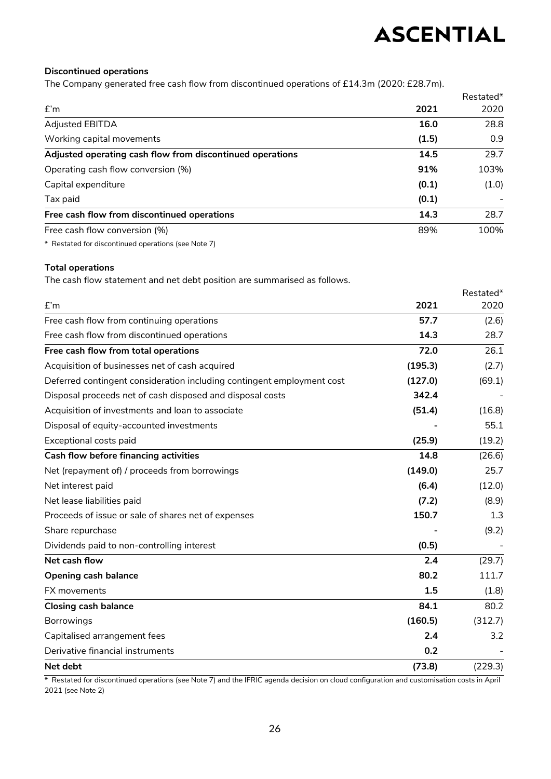#### **Discontinued operations**

The Company generated free cash flow from discontinued operations of £14.3m (2020: £28.7m).

|                                                           |       | Restated* |
|-----------------------------------------------------------|-------|-----------|
| f'm                                                       | 2021  | 2020      |
| Adjusted EBITDA                                           | 16.0  | 28.8      |
| Working capital movements                                 | (1.5) | 0.9       |
| Adjusted operating cash flow from discontinued operations | 14.5  | 29.7      |
| Operating cash flow conversion (%)                        | 91%   | 103%      |
| Capital expenditure                                       | (0.1) | (1.0)     |
| Tax paid                                                  | (0.1) |           |
| Free cash flow from discontinued operations               | 14.3  | 28.7      |
| Free cash flow conversion (%)                             | 89%   | 100%      |

\* Restated for discontinued operations (see Note 7)

#### **Total operations**

The cash flow statement and net debt position are summarised as follows.

|                                                                        |         | Restated* |
|------------------------------------------------------------------------|---------|-----------|
| f'm                                                                    | 2021    | 2020      |
| Free cash flow from continuing operations                              | 57.7    | (2.6)     |
| Free cash flow from discontinued operations                            | 14.3    | 28.7      |
| Free cash flow from total operations                                   | 72.0    | 26.1      |
| Acquisition of businesses net of cash acquired                         | (195.3) | (2.7)     |
| Deferred contingent consideration including contingent employment cost | (127.0) | (69.1)    |
| Disposal proceeds net of cash disposed and disposal costs              | 342.4   |           |
| Acquisition of investments and loan to associate                       | (51.4)  | (16.8)    |
| Disposal of equity-accounted investments                               |         | 55.1      |
| Exceptional costs paid                                                 | (25.9)  | (19.2)    |
| Cash flow before financing activities                                  | 14.8    | (26.6)    |
| Net (repayment of) / proceeds from borrowings                          | (149.0) | 25.7      |
| Net interest paid                                                      | (6.4)   | (12.0)    |
| Net lease liabilities paid                                             | (7.2)   | (8.9)     |
| Proceeds of issue or sale of shares net of expenses                    | 150.7   | 1.3       |
| Share repurchase                                                       |         | (9.2)     |
| Dividends paid to non-controlling interest                             | (0.5)   |           |
| Net cash flow                                                          | 2.4     | (29.7)    |
| <b>Opening cash balance</b>                                            | 80.2    | 111.7     |
| FX movements                                                           | 1.5     | (1.8)     |
| <b>Closing cash balance</b>                                            | 84.1    | 80.2      |
| Borrowings                                                             | (160.5) | (312.7)   |
| Capitalised arrangement fees                                           | 2.4     | 3.2       |
| Derivative financial instruments                                       | 0.2     |           |
| Net debt                                                               | (73.8)  | (229.3)   |

\* Restated for discontinued operations (see Note 7) and the IFRIC agenda decision on cloud configuration and customisation costs in April 2021 (see Note 2)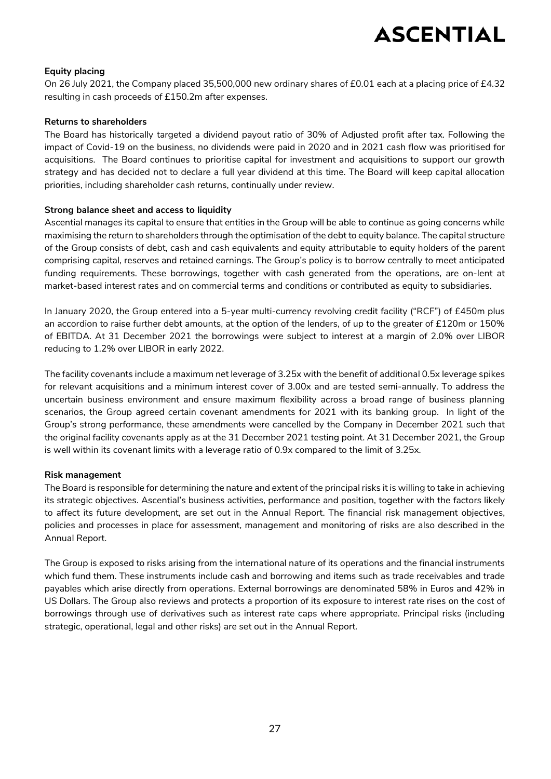#### **Equity placing**

On 26 July 2021, the Company placed 35,500,000 new ordinary shares of £0.01 each at a placing price of £4.32 resulting in cash proceeds of £150.2m after expenses.

#### **Returns to shareholders**

The Board has historically targeted a dividend payout ratio of 30% of Adjusted profit after tax. Following the impact of Covid-19 on the business, no dividends were paid in 2020 and in 2021 cash flow was prioritised for acquisitions. The Board continues to prioritise capital for investment and acquisitions to support our growth strategy and has decided not to declare a full year dividend at this time. The Board will keep capital allocation priorities, including shareholder cash returns, continually under review.

#### **Strong balance sheet and access to liquidity**

Ascential manages its capital to ensure that entities in the Group will be able to continue as going concerns while maximising the return to shareholders through the optimisation of the debt to equity balance. The capital structure of the Group consists of debt, cash and cash equivalents and equity attributable to equity holders of the parent comprising capital, reserves and retained earnings. The Group's policy is to borrow centrally to meet anticipated funding requirements. These borrowings, together with cash generated from the operations, are on-lent at market-based interest rates and on commercial terms and conditions or contributed as equity to subsidiaries.

In January 2020, the Group entered into a 5-year multi-currency revolving credit facility ("RCF") of £450m plus an accordion to raise further debt amounts, at the option of the lenders, of up to the greater of £120m or 150% of EBITDA. At 31 December 2021 the borrowings were subject to interest at a margin of 2.0% over LIBOR reducing to 1.2% over LIBOR in early 2022.

The facility covenants include a maximum net leverage of 3.25x with the benefit of additional 0.5x leverage spikes for relevant acquisitions and a minimum interest cover of 3.00x and are tested semi-annually. To address the uncertain business environment and ensure maximum flexibility across a broad range of business planning scenarios, the Group agreed certain covenant amendments for 2021 with its banking group. In light of the Group's strong performance, these amendments were cancelled by the Company in December 2021 such that the original facility covenants apply as at the 31 December 2021 testing point. At 31 December 2021, the Group is well within its covenant limits with a leverage ratio of 0.9x compared to the limit of 3.25x.

#### **Risk management**

The Board is responsible for determining the nature and extent of the principal risks it is willing to take in achieving its strategic objectives. Ascential's business activities, performance and position, together with the factors likely to affect its future development, are set out in the Annual Report. The financial risk management objectives, policies and processes in place for assessment, management and monitoring of risks are also described in the Annual Report.

The Group is exposed to risks arising from the international nature of its operations and the financial instruments which fund them. These instruments include cash and borrowing and items such as trade receivables and trade payables which arise directly from operations. External borrowings are denominated 58% in Euros and 42% in US Dollars. The Group also reviews and protects a proportion of its exposure to interest rate rises on the cost of borrowings through use of derivatives such as interest rate caps where appropriate. Principal risks (including strategic, operational, legal and other risks) are set out in the Annual Report.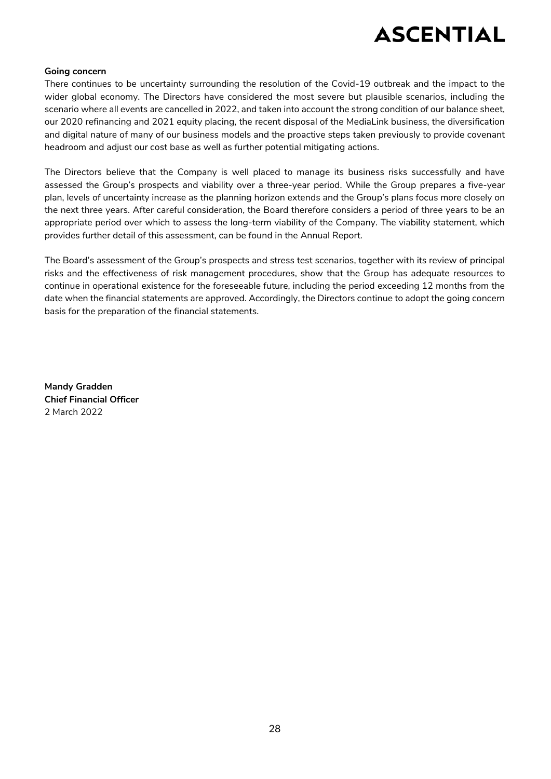#### **Going concern**

There continues to be uncertainty surrounding the resolution of the Covid-19 outbreak and the impact to the wider global economy. The Directors have considered the most severe but plausible scenarios, including the scenario where all events are cancelled in 2022, and taken into account the strong condition of our balance sheet, our 2020 refinancing and 2021 equity placing, the recent disposal of the MediaLink business, the diversification and digital nature of many of our business models and the proactive steps taken previously to provide covenant headroom and adjust our cost base as well as further potential mitigating actions.

The Directors believe that the Company is well placed to manage its business risks successfully and have assessed the Group's prospects and viability over a three-year period. While the Group prepares a five-year plan, levels of uncertainty increase as the planning horizon extends and the Group's plans focus more closely on the next three years. After careful consideration, the Board therefore considers a period of three years to be an appropriate period over which to assess the long-term viability of the Company. The viability statement, which provides further detail of this assessment, can be found in the Annual Report.

The Board's assessment of the Group's prospects and stress test scenarios, together with its review of principal risks and the effectiveness of risk management procedures, show that the Group has adequate resources to continue in operational existence for the foreseeable future, including the period exceeding 12 months from the date when the financial statements are approved. Accordingly, the Directors continue to adopt the going concern basis for the preparation of the financial statements.

**Mandy Gradden Chief Financial Officer** 2 March 2022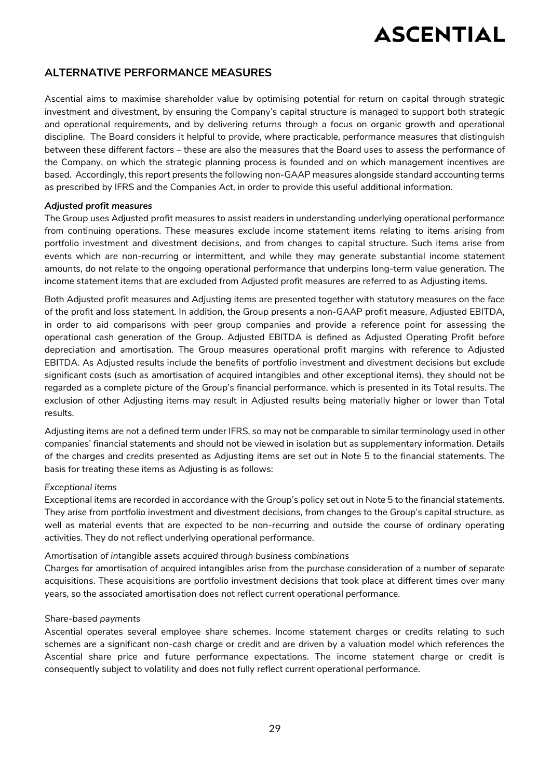### **ALTERNATIVE PERFORMANCE MEASURES**

Ascential aims to maximise shareholder value by optimising potential for return on capital through strategic investment and divestment, by ensuring the Company's capital structure is managed to support both strategic and operational requirements, and by delivering returns through a focus on organic growth and operational discipline. The Board considers it helpful to provide, where practicable, performance measures that distinguish between these different factors – these are also the measures that the Board uses to assess the performance of the Company, on which the strategic planning process is founded and on which management incentives are based. Accordingly, this report presents the following non-GAAP measures alongside standard accounting terms as prescribed by IFRS and the Companies Act, in order to provide this useful additional information.

#### *Adjusted profit measures*

The Group uses Adjusted profit measures to assist readers in understanding underlying operational performance from continuing operations. These measures exclude income statement items relating to items arising from portfolio investment and divestment decisions, and from changes to capital structure. Such items arise from events which are non-recurring or intermittent, and while they may generate substantial income statement amounts, do not relate to the ongoing operational performance that underpins long-term value generation. The income statement items that are excluded from Adjusted profit measures are referred to as Adjusting items.

Both Adjusted profit measures and Adjusting items are presented together with statutory measures on the face of the profit and loss statement. In addition, the Group presents a non-GAAP profit measure, Adjusted EBITDA, in order to aid comparisons with peer group companies and provide a reference point for assessing the operational cash generation of the Group. Adjusted EBITDA is defined as Adjusted Operating Profit before depreciation and amortisation. The Group measures operational profit margins with reference to Adjusted EBITDA. As Adjusted results include the benefits of portfolio investment and divestment decisions but exclude significant costs (such as amortisation of acquired intangibles and other exceptional items), they should not be regarded as a complete picture of the Group's financial performance, which is presented in its Total results. The exclusion of other Adjusting items may result in Adjusted results being materially higher or lower than Total results.

Adjusting items are not a defined term under IFRS, so may not be comparable to similar terminology used in other companies' financial statements and should not be viewed in isolation but as supplementary information. Details of the charges and credits presented as Adjusting items are set out in Note 5 to the financial statements. The basis for treating these items as Adjusting is as follows:

#### *Exceptional items*

Exceptional items are recorded in accordance with the Group's policy set out in Note 5 to the financial statements. They arise from portfolio investment and divestment decisions, from changes to the Group's capital structure, as well as material events that are expected to be non-recurring and outside the course of ordinary operating activities. They do not reflect underlying operational performance.

#### *Amortisation of intangible assets acquired through business combinations*

Charges for amortisation of acquired intangibles arise from the purchase consideration of a number of separate acquisitions. These acquisitions are portfolio investment decisions that took place at different times over many years, so the associated amortisation does not reflect current operational performance.

#### *Share-based payments*

Ascential operates several employee share schemes. Income statement charges or credits relating to such schemes are a significant non-cash charge or credit and are driven by a valuation model which references the Ascential share price and future performance expectations. The income statement charge or credit is consequently subject to volatility and does not fully reflect current operational performance.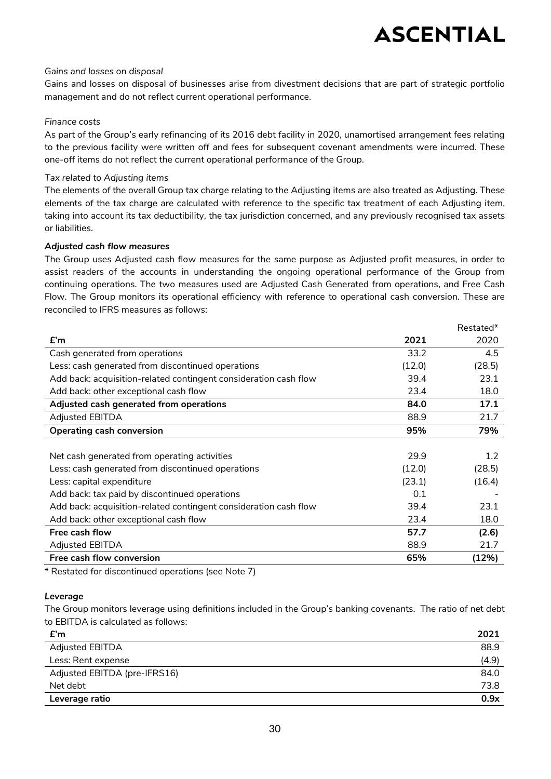#### *Gains and losses on disposal*

Gains and losses on disposal of businesses arise from divestment decisions that are part of strategic portfolio management and do not reflect current operational performance.

#### *Finance costs*

As part of the Group's early refinancing of its 2016 debt facility in 2020, unamortised arrangement fees relating to the previous facility were written off and fees for subsequent covenant amendments were incurred. These one-off items do not reflect the current operational performance of the Group.

#### *Tax related to Adjusting items*

The elements of the overall Group tax charge relating to the Adjusting items are also treated as Adjusting. These elements of the tax charge are calculated with reference to the specific tax treatment of each Adjusting item, taking into account its tax deductibility, the tax jurisdiction concerned, and any previously recognised tax assets or liabilities.

#### *Adjusted cash flow measures*

The Group uses Adjusted cash flow measures for the same purpose as Adjusted profit measures, in order to assist readers of the accounts in understanding the ongoing operational performance of the Group from continuing operations. The two measures used are Adjusted Cash Generated from operations, and Free Cash Flow. The Group monitors its operational efficiency with reference to operational cash conversion. These are reconciled to IFRS measures as follows:

|                                                                  |        | Restated* |
|------------------------------------------------------------------|--------|-----------|
| E'm                                                              | 2021   | 2020      |
| Cash generated from operations                                   | 33.2   | 4.5       |
| Less: cash generated from discontinued operations                | (12.0) | (28.5)    |
| Add back: acquisition-related contingent consideration cash flow | 39.4   | 23.1      |
| Add back: other exceptional cash flow                            | 23.4   | 18.0      |
| Adjusted cash generated from operations                          | 84.0   | 17.1      |
| <b>Adjusted EBITDA</b>                                           | 88.9   | 21.7      |
| <b>Operating cash conversion</b>                                 | 95%    | 79%       |
|                                                                  |        |           |
| Net cash generated from operating activities                     | 29.9   | 1.2       |
| Less: cash generated from discontinued operations                | (12.0) | (28.5)    |
| Less: capital expenditure                                        | (23.1) | (16.4)    |
| Add back: tax paid by discontinued operations                    | 0.1    |           |
| Add back: acquisition-related contingent consideration cash flow | 39.4   | 23.1      |
| Add back: other exceptional cash flow                            | 23.4   | 18.0      |
| Free cash flow                                                   | 57.7   | (2.6)     |
| <b>Adjusted EBITDA</b>                                           | 88.9   | 21.7      |
| Free cash flow conversion                                        | 65%    | (12%)     |

\* Restated for discontinued operations (see Note 7)

#### *Leverage*

The Group monitors leverage using definitions included in the Group's banking covenants. The ratio of net debt to EBITDA is calculated as follows:

| E'm                          | 2021  |
|------------------------------|-------|
| Adjusted EBITDA              | 88.9  |
| Less: Rent expense           | (4.9) |
| Adjusted EBITDA (pre-IFRS16) | 84.0  |
| Net debt                     | 73.8  |
| Leverage ratio               | 0.9x  |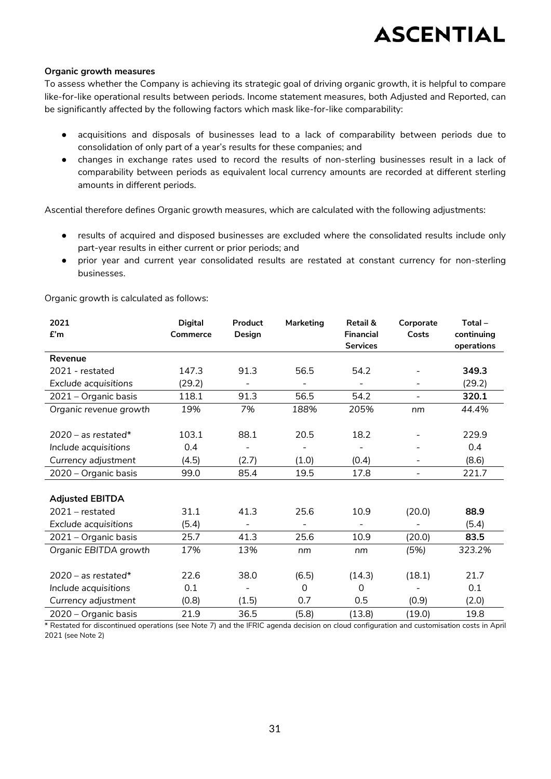#### **Organic growth measures**

To assess whether the Company is achieving its strategic goal of driving organic growth, it is helpful to compare like-for-like operational results between periods. Income statement measures, both Adjusted and Reported, can be significantly affected by the following factors which mask like-for-like comparability:

- acquisitions and disposals of businesses lead to a lack of comparability between periods due to consolidation of only part of a year's results for these companies; and
- changes in exchange rates used to record the results of non-sterling businesses result in a lack of comparability between periods as equivalent local currency amounts are recorded at different sterling amounts in different periods.

Ascential therefore defines Organic growth measures, which are calculated with the following adjustments:

- results of acquired and disposed businesses are excluded where the consolidated results include only part-year results in either current or prior periods; and
- prior year and current year consolidated results are restated at constant currency for non-sterling businesses.

| 2021<br>f'm            | <b>Digital</b><br>Commerce | Product<br>Design | Marketing | <b>Retail &amp;</b><br><b>Financial</b><br><b>Services</b> | Corporate<br>Costs       | $Total -$<br>continuing<br>operations |
|------------------------|----------------------------|-------------------|-----------|------------------------------------------------------------|--------------------------|---------------------------------------|
| Revenue                |                            |                   |           |                                                            |                          |                                       |
| 2021 - restated        | 147.3                      | 91.3              | 56.5      | 54.2                                                       |                          | 349.3                                 |
| Exclude acquisitions   | (29.2)                     |                   |           |                                                            |                          | (29.2)                                |
| 2021 – Organic basis   | 118.1                      | 91.3              | 56.5      | 54.2                                                       | $\overline{\phantom{0}}$ | 320.1                                 |
| Organic revenue growth | 19%                        | 7%                | 188%      | 205%                                                       | nm                       | 44.4%                                 |
|                        |                            |                   |           |                                                            |                          |                                       |
| $2020 - as$ restated*  | 103.1                      | 88.1              | 20.5      | 18.2                                                       |                          | 229.9                                 |
| Include acquisitions   | 0.4                        |                   |           |                                                            | $\overline{\phantom{0}}$ | 0.4                                   |
| Currency adjustment    | (4.5)                      | (2.7)             | (1.0)     | (0.4)                                                      |                          | (8.6)                                 |
| 2020 - Organic basis   | 99.0                       | 85.4              | 19.5      | 17.8                                                       | $\sim$                   | 221.7                                 |
|                        |                            |                   |           |                                                            |                          |                                       |
| <b>Adjusted EBITDA</b> |                            |                   |           |                                                            |                          |                                       |
| $2021$ – restated      | 31.1                       | 41.3              | 25.6      | 10.9                                                       | (20.0)                   | 88.9                                  |
| Exclude acquisitions   | (5.4)                      |                   |           |                                                            |                          | (5.4)                                 |
| 2021 - Organic basis   | 25.7                       | 41.3              | 25.6      | 10.9                                                       | (20.0)                   | 83.5                                  |
| Organic EBITDA growth  | 17%                        | 13%               | nm        | nm                                                         | (5%)                     | 323.2%                                |
|                        |                            |                   |           |                                                            |                          |                                       |
| $2020 - as restated*$  | 22.6                       | 38.0              | (6.5)     | (14.3)                                                     | (18.1)                   | 21.7                                  |
| Include acquisitions   | 0.1                        |                   | $\Omega$  | $\Omega$                                                   |                          | 0.1                                   |
| Currency adjustment    | (0.8)                      | (1.5)             | 0.7       | 0.5                                                        | (0.9)                    | (2.0)                                 |
| 2020 - Organic basis   | 21.9                       | 36.5              | (5.8)     | (13.8)                                                     | (19.0)                   | 19.8                                  |

Organic growth is calculated as follows:

\* Restated for discontinued operations (see Note 7) and the IFRIC agenda decision on cloud configuration and customisation costs in April 2021 (see Note 2)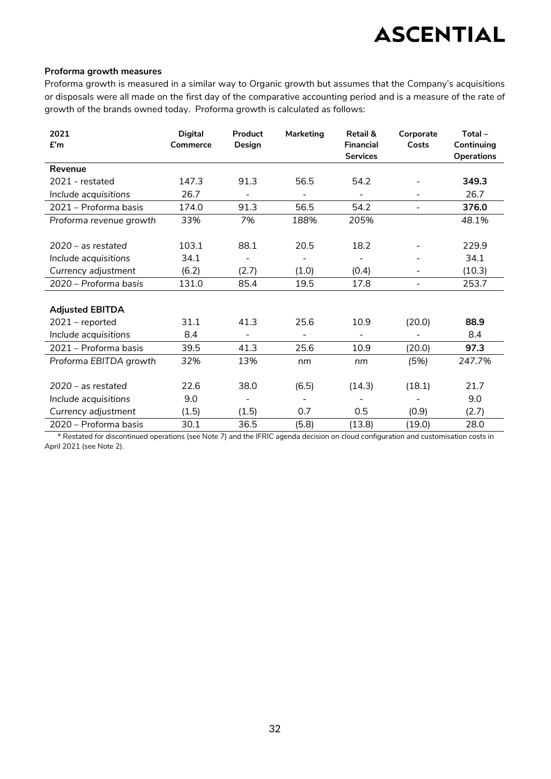#### **Proforma growth measures**

Proforma growth is measured in a similar way to Organic growth but assumes that the Company's acquisitions or disposals were all made on the first day of the comparative accounting period and is a measure of the rate of growth of the brands owned today. Proforma growth is calculated as follows:

| 2021                    | <b>Digital</b> | Product | Marketing | Retail &                            | Corporate                | Total $-$                       |
|-------------------------|----------------|---------|-----------|-------------------------------------|--------------------------|---------------------------------|
| f'm                     | Commerce       | Design  |           | <b>Financial</b><br><b>Services</b> | Costs                    | Continuing<br><b>Operations</b> |
| Revenue                 |                |         |           |                                     |                          |                                 |
| 2021 - restated         | 147.3          | 91.3    | 56.5      | 54.2                                |                          | 349.3                           |
| Include acquisitions    | 26.7           |         |           |                                     |                          | 26.7                            |
| 2021 – Proforma basis   | 174.0          | 91.3    | 56.5      | 54.2                                |                          | 376.0                           |
| Proforma revenue growth | 33%            | 7%      | 188%      | 205%                                |                          | 48.1%                           |
|                         |                |         |           |                                     |                          |                                 |
| $2020 - as$ restated    | 103.1          | 88.1    | 20.5      | 18.2                                |                          | 229.9                           |
| Include acquisitions    | 34.1           |         |           |                                     |                          | 34.1                            |
| Currency adjustment     | (6.2)          | (2.7)   | (1.0)     | (0.4)                               |                          | (10.3)                          |
| 2020 – Proforma basis   | 131.0          | 85.4    | 19.5      | 17.8                                | $\overline{\phantom{a}}$ | 253.7                           |
|                         |                |         |           |                                     |                          |                                 |
| <b>Adjusted EBITDA</b>  |                |         |           |                                     |                          |                                 |
| $2021$ – reported       | 31.1           | 41.3    | 25.6      | 10.9                                | (20.0)                   | 88.9                            |
| Include acquisitions    | 8.4            |         |           |                                     |                          | 8.4                             |
| 2021 - Proforma basis   | 39.5           | 41.3    | 25.6      | 10.9                                | (20.0)                   | 97.3                            |
| Proforma EBITDA growth  | 32%            | 13%     | nm        | nm                                  | (5%)                     | 247.7%                          |
|                         |                |         |           |                                     |                          |                                 |
| $2020 - as$ restated    | 22.6           | 38.0    | (6.5)     | (14.3)                              | (18.1)                   | 21.7                            |
| Include acquisitions    | 9.0            |         |           |                                     |                          | 9.0                             |
| Currency adjustment     | (1.5)          | (1.5)   | 0.7       | 0.5                                 | (0.9)                    | (2.7)                           |
| 2020 – Proforma basis   | 30.1           | 36.5    | (5.8)     | (13.8)                              | (19.0)                   | 28.0                            |

\* Restated for discontinued operations (see Note 7) and the IFRIC agenda decision on cloud configuration and customisation costs in April 2021 (see Note 2).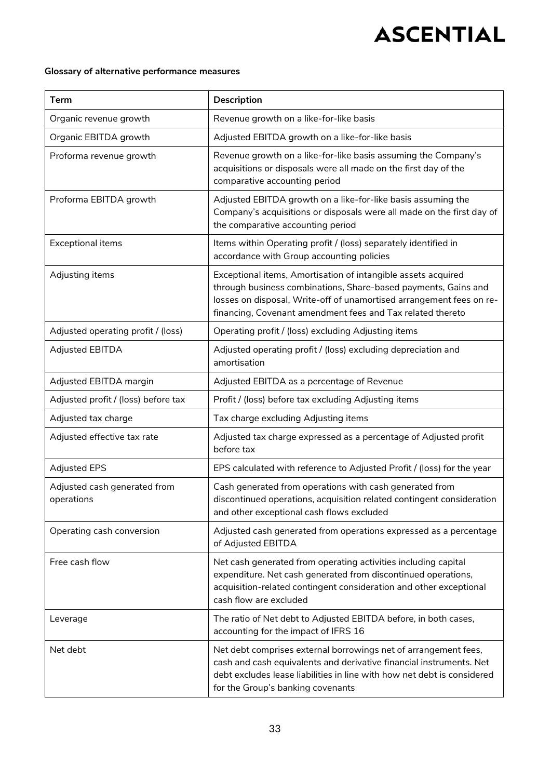#### **Glossary of alternative performance measures**

| <b>Term</b>                                | Description                                                                                                                                                                                                                                                           |
|--------------------------------------------|-----------------------------------------------------------------------------------------------------------------------------------------------------------------------------------------------------------------------------------------------------------------------|
| Organic revenue growth                     | Revenue growth on a like-for-like basis                                                                                                                                                                                                                               |
| Organic EBITDA growth                      | Adjusted EBITDA growth on a like-for-like basis                                                                                                                                                                                                                       |
| Proforma revenue growth                    | Revenue growth on a like-for-like basis assuming the Company's<br>acquisitions or disposals were all made on the first day of the<br>comparative accounting period                                                                                                    |
| Proforma EBITDA growth                     | Adjusted EBITDA growth on a like-for-like basis assuming the<br>Company's acquisitions or disposals were all made on the first day of<br>the comparative accounting period                                                                                            |
| <b>Exceptional items</b>                   | Items within Operating profit / (loss) separately identified in<br>accordance with Group accounting policies                                                                                                                                                          |
| Adjusting items                            | Exceptional items, Amortisation of intangible assets acquired<br>through business combinations, Share-based payments, Gains and<br>losses on disposal, Write-off of unamortised arrangement fees on re-<br>financing, Covenant amendment fees and Tax related thereto |
| Adjusted operating profit / (loss)         | Operating profit / (loss) excluding Adjusting items                                                                                                                                                                                                                   |
| <b>Adjusted EBITDA</b>                     | Adjusted operating profit / (loss) excluding depreciation and<br>amortisation                                                                                                                                                                                         |
| Adjusted EBITDA margin                     | Adjusted EBITDA as a percentage of Revenue                                                                                                                                                                                                                            |
| Adjusted profit / (loss) before tax        | Profit / (loss) before tax excluding Adjusting items                                                                                                                                                                                                                  |
| Adjusted tax charge                        | Tax charge excluding Adjusting items                                                                                                                                                                                                                                  |
| Adjusted effective tax rate                | Adjusted tax charge expressed as a percentage of Adjusted profit<br>before tax                                                                                                                                                                                        |
| <b>Adjusted EPS</b>                        | EPS calculated with reference to Adjusted Profit / (loss) for the year                                                                                                                                                                                                |
| Adjusted cash generated from<br>operations | Cash generated from operations with cash generated from<br>discontinued operations, acquisition related contingent consideration<br>and other exceptional cash flows excluded                                                                                         |
| Operating cash conversion                  | Adjusted cash generated from operations expressed as a percentage<br>of Adjusted EBITDA                                                                                                                                                                               |
| Free cash flow                             | Net cash generated from operating activities including capital<br>expenditure. Net cash generated from discontinued operations,<br>acquisition-related contingent consideration and other exceptional<br>cash flow are excluded                                       |
| Leverage                                   | The ratio of Net debt to Adjusted EBITDA before, in both cases,<br>accounting for the impact of IFRS 16                                                                                                                                                               |
| Net debt                                   | Net debt comprises external borrowings net of arrangement fees,<br>cash and cash equivalents and derivative financial instruments. Net<br>debt excludes lease liabilities in line with how net debt is considered<br>for the Group's banking covenants                |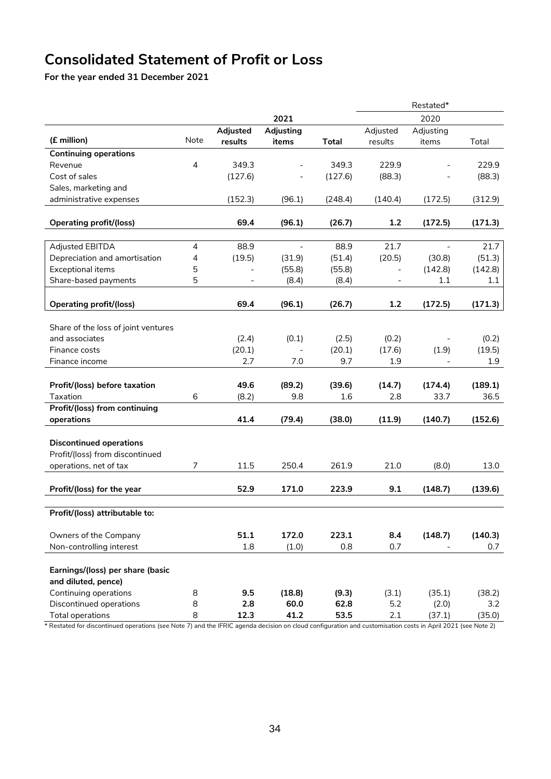### **Consolidated Statement of Profit or Loss**

**For the year ended 31 December 2021**

| 2021<br>2020<br>Adjusted<br>Adjusting<br>Adjusted<br>Adjusting<br>(£ million)<br>Note<br>results<br>Total<br>items<br><b>Total</b><br>results<br>items<br><b>Continuing operations</b><br>349.3<br>4<br>349.3<br>229.9<br>229.9<br>Revenue |
|--------------------------------------------------------------------------------------------------------------------------------------------------------------------------------------------------------------------------------------------|
|                                                                                                                                                                                                                                            |
|                                                                                                                                                                                                                                            |
|                                                                                                                                                                                                                                            |
|                                                                                                                                                                                                                                            |
|                                                                                                                                                                                                                                            |
| Cost of sales<br>(127.6)<br>(88.3)<br>(88.3)<br>(127.6)                                                                                                                                                                                    |
| Sales, marketing and                                                                                                                                                                                                                       |
| (152.3)<br>(96.1)<br>administrative expenses<br>(248.4)<br>(140.4)<br>(172.5)<br>(312.9)                                                                                                                                                   |
|                                                                                                                                                                                                                                            |
| 69.4<br><b>Operating profit/(loss)</b><br>(96.1)<br>(26.7)<br>1.2<br>(172.5)<br>(171.3)                                                                                                                                                    |
|                                                                                                                                                                                                                                            |
| 21.7<br>Adjusted EBITDA<br>$\overline{4}$<br>88.9<br>88.9<br>21.7<br>$\overline{\phantom{a}}$<br>$\overline{\phantom{a}}$                                                                                                                  |
| Depreciation and amortisation<br>(19.5)<br>(51.4)<br>(20.5)<br>(30.8)<br>(51.3)<br>4<br>(31.9)                                                                                                                                             |
| Exceptional items<br>5<br>(142.8)<br>(55.8)<br>(55.8)<br>(142.8)<br>$\overline{\phantom{0}}$                                                                                                                                               |
| Share-based payments<br>5<br>(8.4)<br>(8.4)<br>1.1<br>1.1<br>$\overline{\phantom{a}}$                                                                                                                                                      |
|                                                                                                                                                                                                                                            |
| 69.4<br>(96.1)<br><b>Operating profit/(loss)</b><br>(26.7)<br>1.2<br>(172.5)<br>(171.3)                                                                                                                                                    |
| Share of the loss of joint ventures                                                                                                                                                                                                        |
| and associates<br>(2.4)<br>(0.1)<br>(2.5)<br>(0.2)<br>(0.2)                                                                                                                                                                                |
| (20.1)<br>(20.1)<br>(17.6)<br>(19.5)<br>Finance costs<br>(1.9)                                                                                                                                                                             |
| Finance income<br>2.7<br>7.0<br>9.7<br>1.9<br>1.9                                                                                                                                                                                          |
|                                                                                                                                                                                                                                            |
| 49.6<br>Profit/(loss) before taxation<br>(89.2)<br>(39.6)<br>(14.7)<br>(174.4)<br>(189.1)                                                                                                                                                  |
| Taxation<br>6<br>9.8<br>2.8<br>33.7<br>36.5<br>(8.2)<br>1.6                                                                                                                                                                                |
| Profit/(loss) from continuing                                                                                                                                                                                                              |
| 41.4<br>(79.4)<br>(38.0)<br>(11.9)<br>(140.7)<br>(152.6)<br>operations                                                                                                                                                                     |
|                                                                                                                                                                                                                                            |
| <b>Discontinued operations</b>                                                                                                                                                                                                             |
| Profit/(loss) from discontinued                                                                                                                                                                                                            |
| $\overline{7}$<br>250.4<br>21.0<br>operations, net of tax<br>11.5<br>261.9<br>(8.0)<br>13.0                                                                                                                                                |
|                                                                                                                                                                                                                                            |
| 52.9<br>171.0<br>223.9<br>9.1<br>(148.7)<br>Profit/(loss) for the year<br>(139.6)                                                                                                                                                          |
|                                                                                                                                                                                                                                            |
| Profit/(loss) attributable to:                                                                                                                                                                                                             |
|                                                                                                                                                                                                                                            |
| 51.1<br>Owners of the Company<br>172.0<br>223.1<br>8.4<br>(148.7)<br>(140.3)                                                                                                                                                               |
| Non-controlling interest<br>1.8<br>(1.0)<br>0.8<br>0.7<br>0.7                                                                                                                                                                              |
| Earnings/(loss) per share (basic                                                                                                                                                                                                           |
| and diluted, pence)                                                                                                                                                                                                                        |
| Continuing operations<br>8<br>9.5<br>(18.8)<br>(9.3)<br>(35.1)<br>(38.2)<br>(3.1)                                                                                                                                                          |
| 5.2<br>Discontinued operations<br>8<br>2.8<br>60.0<br>62.8<br>(2.0)<br>3.2                                                                                                                                                                 |
| 8<br>41.2<br>Total operations<br>12.3<br>53.5<br>2.1<br>(37.1)<br>(35.0)                                                                                                                                                                   |

\* Restated for discontinued operations (see Note 7) and the IFRIC agenda decision on cloud configuration and customisation costs in April 2021 (see Note 2)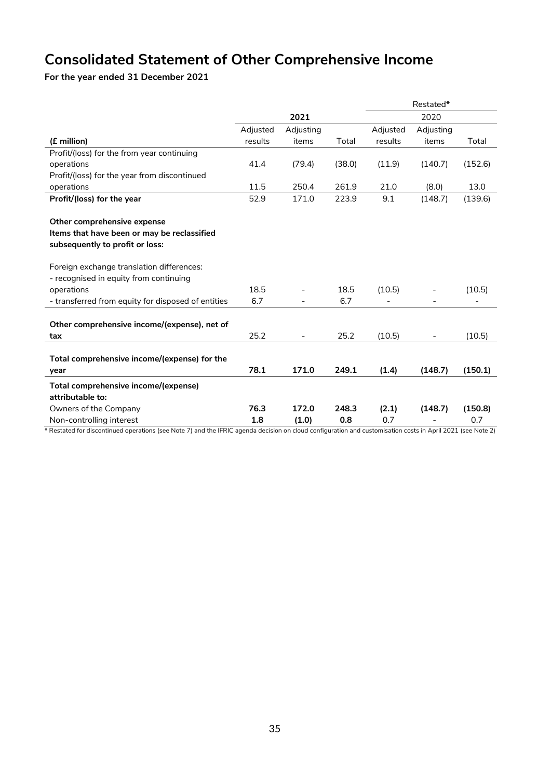### **Consolidated Statement of Other Comprehensive Income**

**For the year ended 31 December 2021**

|                                                    |          |                          |        |          | Restated* |         |
|----------------------------------------------------|----------|--------------------------|--------|----------|-----------|---------|
|                                                    |          | 2021                     |        |          | 2020      |         |
|                                                    | Adjusted | Adjusting                |        | Adjusted | Adjusting |         |
| (£ million)                                        | results  | items                    | Total  | results  | items     | Total   |
| Profit/(loss) for the from year continuing         |          |                          |        |          |           |         |
| operations                                         | 41.4     | (79.4)                   | (38.0) | (11.9)   | (140.7)   | (152.6) |
| Profit/(loss) for the year from discontinued       |          |                          |        |          |           |         |
| operations                                         | 11.5     | 250.4                    | 261.9  | 21.0     | (8.0)     | 13.0    |
| Profit/(loss) for the year                         | 52.9     | 171.0                    | 223.9  | 9.1      | (148.7)   | (139.6) |
|                                                    |          |                          |        |          |           |         |
| Other comprehensive expense                        |          |                          |        |          |           |         |
| Items that have been or may be reclassified        |          |                          |        |          |           |         |
| subsequently to profit or loss:                    |          |                          |        |          |           |         |
| Foreign exchange translation differences:          |          |                          |        |          |           |         |
| - recognised in equity from continuing             |          |                          |        |          |           |         |
| operations                                         | 18.5     |                          | 18.5   | (10.5)   |           | (10.5)  |
| - transferred from equity for disposed of entities | 6.7      |                          | 6.7    |          |           |         |
|                                                    |          |                          |        |          |           |         |
| Other comprehensive income/(expense), net of       |          |                          |        |          |           |         |
| tax                                                | 25.2     | $\overline{\phantom{0}}$ | 25.2   | (10.5)   |           | (10.5)  |
|                                                    |          |                          |        |          |           |         |
| Total comprehensive income/(expense) for the       |          |                          |        |          |           |         |
| year                                               | 78.1     | 171.0                    | 249.1  | (1.4)    | (148.7)   | (150.1) |
| Total comprehensive income/(expense)               |          |                          |        |          |           |         |
| attributable to:                                   |          |                          |        |          |           |         |
| Owners of the Company                              | 76.3     | 172.0                    | 248.3  | (2.1)    | (148.7)   | (150.8) |
| Non-controlling interest                           | 1.8      | (1.0)                    | 0.8    | 0.7      |           | 0.7     |

\* Restated for discontinued operations (see Note 7) and the IFRIC agenda decision on cloud configuration and customisation costs in April 2021 (see Note 2)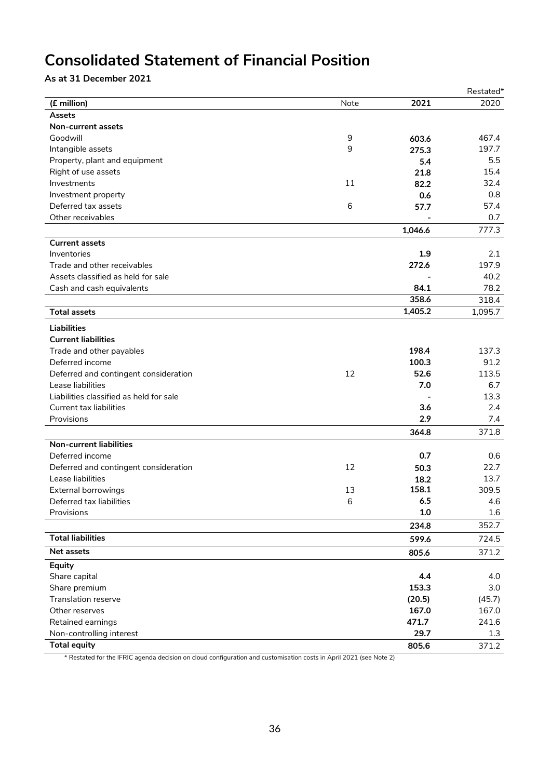### **Consolidated Statement of Financial Position**

### **As at 31 December 2021**

|                                         |      |         | Restated* |
|-----------------------------------------|------|---------|-----------|
| (£ million)                             | Note | 2021    | 2020      |
| Assets                                  |      |         |           |
| <b>Non-current assets</b>               |      |         |           |
| Goodwill                                | 9    | 603.6   | 467.4     |
| Intangible assets                       | 9    | 275.3   | 197.7     |
| Property, plant and equipment           |      | 5.4     | 5.5       |
| Right of use assets                     |      | 21.8    | 15.4      |
| Investments                             | 11   | 82.2    | 32.4      |
| Investment property                     |      | 0.6     | 0.8       |
| Deferred tax assets                     | 6    | 57.7    | 57.4      |
| Other receivables                       |      |         | 0.7       |
|                                         |      | 1,046.6 | 777.3     |
| <b>Current assets</b>                   |      |         |           |
| Inventories                             |      | 1.9     | 2.1       |
| Trade and other receivables             |      | 272.6   | 197.9     |
| Assets classified as held for sale      |      |         | 40.2      |
| Cash and cash equivalents               |      | 84.1    | 78.2      |
|                                         |      | 358.6   | 318.4     |
| <b>Total assets</b>                     |      | 1,405.2 | 1,095.7   |
| <b>Liabilities</b>                      |      |         |           |
| <b>Current liabilities</b>              |      |         |           |
| Trade and other payables                |      | 198.4   | 137.3     |
| Deferred income                         |      | 100.3   | 91.2      |
| Deferred and contingent consideration   | 12   | 52.6    | 113.5     |
| Lease liabilities                       |      | 7.0     | 6.7       |
| Liabilities classified as held for sale |      |         | 13.3      |
| <b>Current tax liabilities</b>          |      | 3.6     | 2.4       |
| Provisions                              |      | 2.9     | 7.4       |
|                                         |      | 364.8   | 371.8     |
| <b>Non-current liabilities</b>          |      |         |           |
| Deferred income                         |      | 0.7     | 0.6       |
| Deferred and contingent consideration   | 12   | 50.3    | 22.7      |
| Lease liabilities                       |      | 18.2    | 13.7      |
| <b>External borrowings</b>              | 13   | 158.1   | 309.5     |
| Deferred tax liabilities                | 6    | 6.5     | 4.6       |
| Provisions                              |      | 1.0     | 1.6       |
|                                         |      | 234.8   | 352.7     |
| <b>Total liabilities</b>                |      | 599.6   | 724.5     |
| Net assets                              |      | 805.6   | 371.2     |
| Equity                                  |      |         |           |
| Share capital                           |      | 4.4     | 4.0       |
| Share premium                           |      | 153.3   | 3.0       |
| Translation reserve                     |      | (20.5)  | (45.7)    |
| Other reserves                          |      | 167.0   | 167.0     |
| Retained earnings                       |      | 471.7   | 241.6     |
| Non-controlling interest                |      | 29.7    | 1.3       |
| <b>Total equity</b>                     |      | 805.6   | 371.2     |

\* Restated for the IFRIC agenda decision on cloud configuration and customisation costs in April 2021 (see Note 2)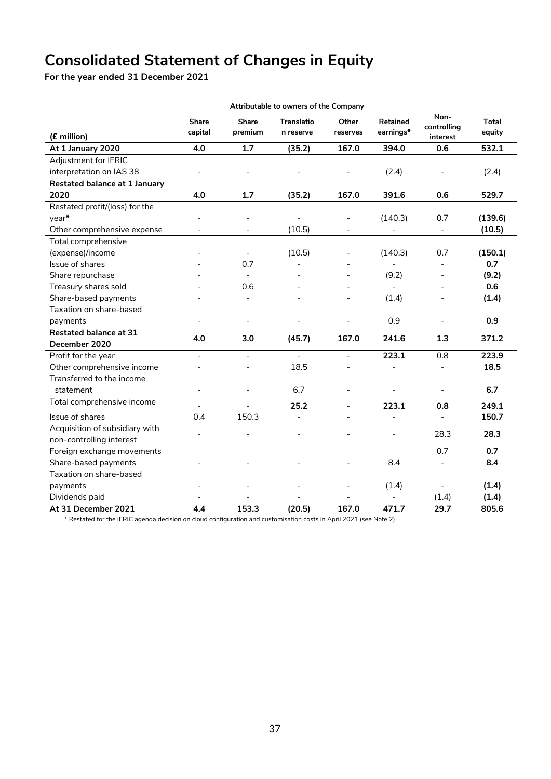### **Consolidated Statement of Changes in Equity**

**For the year ended 31 December 2021**

|                                | Attributable to owners of the Company |                          |                          |                   |                              |                                 |                        |  |
|--------------------------------|---------------------------------------|--------------------------|--------------------------|-------------------|------------------------------|---------------------------------|------------------------|--|
| (£ million)                    | <b>Share</b><br>capital               | <b>Share</b><br>premium  | Translatio<br>n reserve  | Other<br>reserves | <b>Retained</b><br>earnings* | Non-<br>controlling<br>interest | <b>Total</b><br>equity |  |
| At 1 January 2020              | 4.0                                   | 1.7                      | (35.2)                   | 167.0             | 394.0                        | 0.6                             | 532.1                  |  |
| Adjustment for IFRIC           |                                       |                          |                          |                   |                              |                                 |                        |  |
| interpretation on IAS 38       |                                       |                          |                          |                   | (2.4)                        |                                 | (2.4)                  |  |
| Restated balance at 1 January  |                                       |                          |                          |                   |                              |                                 |                        |  |
| 2020                           | 4.0                                   | 1.7                      | (35.2)                   | 167.0             | 391.6                        | 0.6                             | 529.7                  |  |
| Restated profit/(loss) for the |                                       |                          |                          |                   |                              |                                 |                        |  |
| year*                          | $\overline{a}$                        |                          |                          |                   | (140.3)                      | 0.7                             | (139.6)                |  |
| Other comprehensive expense    | $\overline{a}$                        |                          | (10.5)                   |                   |                              | $\overline{\phantom{a}}$        | (10.5)                 |  |
| Total comprehensive            |                                       |                          |                          |                   |                              |                                 |                        |  |
| (expense)/income               |                                       | $\overline{\phantom{a}}$ | (10.5)                   |                   | (140.3)                      | 0.7                             | (150.1)                |  |
| Issue of shares                |                                       | 0.7                      |                          |                   |                              |                                 | 0.7                    |  |
| Share repurchase               |                                       | $\overline{\phantom{a}}$ |                          |                   | (9.2)                        | $\overline{\phantom{a}}$        | (9.2)                  |  |
| Treasury shares sold           |                                       | 0.6                      |                          |                   | $\overline{\phantom{a}}$     |                                 | 0.6                    |  |
| Share-based payments           |                                       | $\overline{\phantom{a}}$ |                          |                   | (1.4)                        | $\overline{\phantom{a}}$        | (1.4)                  |  |
| Taxation on share-based        |                                       |                          |                          |                   |                              |                                 |                        |  |
| payments                       |                                       | $\overline{\phantom{a}}$ |                          |                   | 0.9                          | $\overline{\phantom{a}}$        | 0.9                    |  |
| <b>Restated balance at 31</b>  | 4.0                                   | 3.0                      | (45.7)                   | 167.0             | 241.6                        | 1.3                             | 371.2                  |  |
| December 2020                  |                                       |                          |                          |                   |                              |                                 |                        |  |
| Profit for the year            | $\overline{a}$                        | $\overline{\phantom{a}}$ | $\overline{\phantom{a}}$ |                   | 223.1                        | 0.8                             | 223.9                  |  |
| Other comprehensive income     | $\overline{a}$                        | $\overline{a}$           | 18.5                     |                   |                              |                                 | 18.5                   |  |
| Transferred to the income      |                                       |                          |                          |                   |                              |                                 |                        |  |
| statement                      | $\overline{\phantom{a}}$              |                          | 6.7                      | $\overline{a}$    |                              | $\qquad \qquad -$               | 6.7                    |  |
| Total comprehensive income     | $\overline{\phantom{a}}$              |                          | 25.2                     | $\overline{a}$    | 223.1                        | 0.8                             | 249.1                  |  |
| Issue of shares                | 0.4                                   | 150.3                    |                          |                   |                              | $\overline{a}$                  | 150.7                  |  |
| Acquisition of subsidiary with |                                       |                          |                          |                   |                              | 28.3                            | 28.3                   |  |
| non-controlling interest       |                                       |                          |                          |                   |                              |                                 |                        |  |
| Foreign exchange movements     |                                       |                          |                          |                   |                              | 0.7                             | 0.7                    |  |
| Share-based payments           |                                       |                          |                          |                   | 8.4                          | $\overline{\phantom{a}}$        | 8.4                    |  |
| Taxation on share-based        |                                       |                          |                          |                   |                              |                                 |                        |  |
| payments                       |                                       |                          |                          |                   | (1.4)                        | $\overline{\phantom{a}}$        | (1.4)                  |  |
| Dividends paid                 |                                       |                          |                          |                   |                              | (1.4)                           | (1.4)                  |  |
| At 31 December 2021            | 4.4                                   | 153.3                    | (20.5)                   | 167.0             | 471.7                        | 29.7                            | 805.6                  |  |

\* Restated for the IFRIC agenda decision on cloud configuration and customisation costs in April 2021 (see Note 2)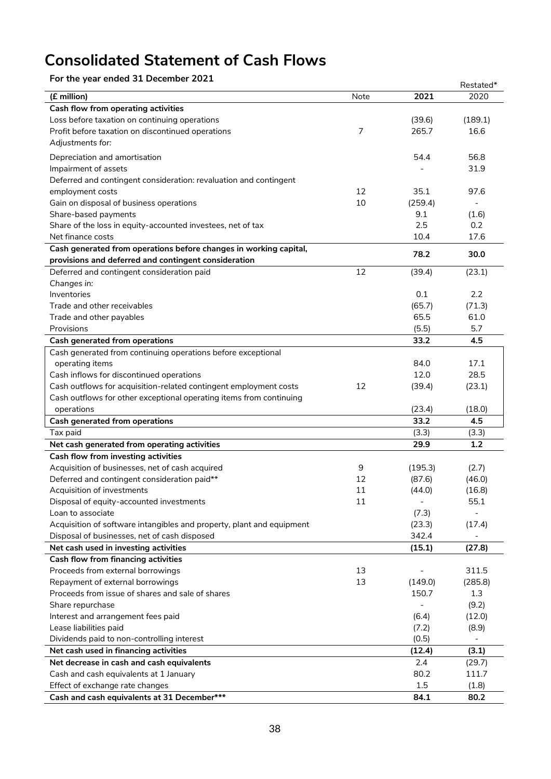### **Consolidated Statement of Cash Flows**

For the year ended 31 December 2021

| 2021<br>2020<br>(£ million)<br>Note<br>Cash flow from operating activities<br>Loss before taxation on continuing operations<br>(39.6)<br>(189.1)<br>7<br>265.7<br>Profit before taxation on discontinued operations<br>16.6<br>Adjustments for:<br>Depreciation and amortisation<br>54.4<br>56.8<br>31.9<br>Impairment of assets<br>Deferred and contingent consideration: revaluation and contingent<br>12<br>35.1<br>97.6<br>employment costs<br>Gain on disposal of business operations<br>10<br>(259.4)<br>$\overline{\phantom{a}}$<br>9.1<br>Share-based payments<br>(1.6)<br>2.5<br>0.2<br>Share of the loss in equity-accounted investees, net of tax<br>17.6<br>Net finance costs<br>10.4<br>Cash generated from operations before changes in working capital,<br>78.2<br>30.0<br>provisions and deferred and contingent consideration<br>12<br>Deferred and contingent consideration paid<br>(39.4)<br>(23.1)<br>Changes in:<br>0.1<br>2.2<br>Inventories<br>(65.7)<br>Trade and other receivables<br>(71.3)<br>65.5<br>61.0<br>Trade and other payables<br>Provisions<br>5.7<br>(5.5)<br>33.2<br>Cash generated from operations<br>4.5<br>Cash generated from continuing operations before exceptional<br>17.1<br>operating items<br>84.0<br>12.0<br>28.5<br>Cash inflows for discontinued operations<br>Cash outflows for acquisition-related contingent employment costs<br>12<br>(23.1)<br>(39.4)<br>Cash outflows for other exceptional operating items from continuing<br>operations<br>(23.4)<br>(18.0)<br>33.2<br>Cash generated from operations<br>4.5<br>Tax paid<br>(3.3)<br>(3.3)<br>29.9<br>1.2<br>Net cash generated from operating activities<br>Cash flow from investing activities<br>Acquisition of businesses, net of cash acquired<br>9<br>(195.3)<br>(2.7)<br>Deferred and contingent consideration paid**<br>(87.6)<br>(46.0)<br>12<br>Acquisition of investments<br>11<br>(44.0)<br>(16.8)<br>11<br>Disposal of equity-accounted investments<br>55.1<br>$\overline{\phantom{0}}$<br>Loan to associate<br>(7.3)<br>(23.3)<br>(17.4)<br>Acquisition of software intangibles and property, plant and equipment<br>342.4<br>Disposal of businesses, net of cash disposed<br>$\overline{\phantom{0}}$<br>Net cash used in investing activities<br>(15.1)<br>(27.8)<br>Cash flow from financing activities<br>Proceeds from external borrowings<br>13<br>311.5<br>Repayment of external borrowings<br>13<br>(149.0)<br>(285.8)<br>Proceeds from issue of shares and sale of shares<br>150.7<br>1.3 |                  |  | Restated* |
|------------------------------------------------------------------------------------------------------------------------------------------------------------------------------------------------------------------------------------------------------------------------------------------------------------------------------------------------------------------------------------------------------------------------------------------------------------------------------------------------------------------------------------------------------------------------------------------------------------------------------------------------------------------------------------------------------------------------------------------------------------------------------------------------------------------------------------------------------------------------------------------------------------------------------------------------------------------------------------------------------------------------------------------------------------------------------------------------------------------------------------------------------------------------------------------------------------------------------------------------------------------------------------------------------------------------------------------------------------------------------------------------------------------------------------------------------------------------------------------------------------------------------------------------------------------------------------------------------------------------------------------------------------------------------------------------------------------------------------------------------------------------------------------------------------------------------------------------------------------------------------------------------------------------------------------------------------------------------------------------------------------------------------------------------------------------------------------------------------------------------------------------------------------------------------------------------------------------------------------------------------------------------------------------------------------------------------------------------------------------------------------------------------------------------------------------------------------------------------------------------------------------------|------------------|--|-----------|
|                                                                                                                                                                                                                                                                                                                                                                                                                                                                                                                                                                                                                                                                                                                                                                                                                                                                                                                                                                                                                                                                                                                                                                                                                                                                                                                                                                                                                                                                                                                                                                                                                                                                                                                                                                                                                                                                                                                                                                                                                                                                                                                                                                                                                                                                                                                                                                                                                                                                                                                              |                  |  |           |
|                                                                                                                                                                                                                                                                                                                                                                                                                                                                                                                                                                                                                                                                                                                                                                                                                                                                                                                                                                                                                                                                                                                                                                                                                                                                                                                                                                                                                                                                                                                                                                                                                                                                                                                                                                                                                                                                                                                                                                                                                                                                                                                                                                                                                                                                                                                                                                                                                                                                                                                              |                  |  |           |
|                                                                                                                                                                                                                                                                                                                                                                                                                                                                                                                                                                                                                                                                                                                                                                                                                                                                                                                                                                                                                                                                                                                                                                                                                                                                                                                                                                                                                                                                                                                                                                                                                                                                                                                                                                                                                                                                                                                                                                                                                                                                                                                                                                                                                                                                                                                                                                                                                                                                                                                              |                  |  |           |
|                                                                                                                                                                                                                                                                                                                                                                                                                                                                                                                                                                                                                                                                                                                                                                                                                                                                                                                                                                                                                                                                                                                                                                                                                                                                                                                                                                                                                                                                                                                                                                                                                                                                                                                                                                                                                                                                                                                                                                                                                                                                                                                                                                                                                                                                                                                                                                                                                                                                                                                              |                  |  |           |
|                                                                                                                                                                                                                                                                                                                                                                                                                                                                                                                                                                                                                                                                                                                                                                                                                                                                                                                                                                                                                                                                                                                                                                                                                                                                                                                                                                                                                                                                                                                                                                                                                                                                                                                                                                                                                                                                                                                                                                                                                                                                                                                                                                                                                                                                                                                                                                                                                                                                                                                              |                  |  |           |
|                                                                                                                                                                                                                                                                                                                                                                                                                                                                                                                                                                                                                                                                                                                                                                                                                                                                                                                                                                                                                                                                                                                                                                                                                                                                                                                                                                                                                                                                                                                                                                                                                                                                                                                                                                                                                                                                                                                                                                                                                                                                                                                                                                                                                                                                                                                                                                                                                                                                                                                              |                  |  |           |
|                                                                                                                                                                                                                                                                                                                                                                                                                                                                                                                                                                                                                                                                                                                                                                                                                                                                                                                                                                                                                                                                                                                                                                                                                                                                                                                                                                                                                                                                                                                                                                                                                                                                                                                                                                                                                                                                                                                                                                                                                                                                                                                                                                                                                                                                                                                                                                                                                                                                                                                              |                  |  |           |
|                                                                                                                                                                                                                                                                                                                                                                                                                                                                                                                                                                                                                                                                                                                                                                                                                                                                                                                                                                                                                                                                                                                                                                                                                                                                                                                                                                                                                                                                                                                                                                                                                                                                                                                                                                                                                                                                                                                                                                                                                                                                                                                                                                                                                                                                                                                                                                                                                                                                                                                              |                  |  |           |
|                                                                                                                                                                                                                                                                                                                                                                                                                                                                                                                                                                                                                                                                                                                                                                                                                                                                                                                                                                                                                                                                                                                                                                                                                                                                                                                                                                                                                                                                                                                                                                                                                                                                                                                                                                                                                                                                                                                                                                                                                                                                                                                                                                                                                                                                                                                                                                                                                                                                                                                              |                  |  |           |
|                                                                                                                                                                                                                                                                                                                                                                                                                                                                                                                                                                                                                                                                                                                                                                                                                                                                                                                                                                                                                                                                                                                                                                                                                                                                                                                                                                                                                                                                                                                                                                                                                                                                                                                                                                                                                                                                                                                                                                                                                                                                                                                                                                                                                                                                                                                                                                                                                                                                                                                              |                  |  |           |
|                                                                                                                                                                                                                                                                                                                                                                                                                                                                                                                                                                                                                                                                                                                                                                                                                                                                                                                                                                                                                                                                                                                                                                                                                                                                                                                                                                                                                                                                                                                                                                                                                                                                                                                                                                                                                                                                                                                                                                                                                                                                                                                                                                                                                                                                                                                                                                                                                                                                                                                              |                  |  |           |
|                                                                                                                                                                                                                                                                                                                                                                                                                                                                                                                                                                                                                                                                                                                                                                                                                                                                                                                                                                                                                                                                                                                                                                                                                                                                                                                                                                                                                                                                                                                                                                                                                                                                                                                                                                                                                                                                                                                                                                                                                                                                                                                                                                                                                                                                                                                                                                                                                                                                                                                              |                  |  |           |
|                                                                                                                                                                                                                                                                                                                                                                                                                                                                                                                                                                                                                                                                                                                                                                                                                                                                                                                                                                                                                                                                                                                                                                                                                                                                                                                                                                                                                                                                                                                                                                                                                                                                                                                                                                                                                                                                                                                                                                                                                                                                                                                                                                                                                                                                                                                                                                                                                                                                                                                              |                  |  |           |
|                                                                                                                                                                                                                                                                                                                                                                                                                                                                                                                                                                                                                                                                                                                                                                                                                                                                                                                                                                                                                                                                                                                                                                                                                                                                                                                                                                                                                                                                                                                                                                                                                                                                                                                                                                                                                                                                                                                                                                                                                                                                                                                                                                                                                                                                                                                                                                                                                                                                                                                              |                  |  |           |
|                                                                                                                                                                                                                                                                                                                                                                                                                                                                                                                                                                                                                                                                                                                                                                                                                                                                                                                                                                                                                                                                                                                                                                                                                                                                                                                                                                                                                                                                                                                                                                                                                                                                                                                                                                                                                                                                                                                                                                                                                                                                                                                                                                                                                                                                                                                                                                                                                                                                                                                              |                  |  |           |
|                                                                                                                                                                                                                                                                                                                                                                                                                                                                                                                                                                                                                                                                                                                                                                                                                                                                                                                                                                                                                                                                                                                                                                                                                                                                                                                                                                                                                                                                                                                                                                                                                                                                                                                                                                                                                                                                                                                                                                                                                                                                                                                                                                                                                                                                                                                                                                                                                                                                                                                              |                  |  |           |
|                                                                                                                                                                                                                                                                                                                                                                                                                                                                                                                                                                                                                                                                                                                                                                                                                                                                                                                                                                                                                                                                                                                                                                                                                                                                                                                                                                                                                                                                                                                                                                                                                                                                                                                                                                                                                                                                                                                                                                                                                                                                                                                                                                                                                                                                                                                                                                                                                                                                                                                              |                  |  |           |
|                                                                                                                                                                                                                                                                                                                                                                                                                                                                                                                                                                                                                                                                                                                                                                                                                                                                                                                                                                                                                                                                                                                                                                                                                                                                                                                                                                                                                                                                                                                                                                                                                                                                                                                                                                                                                                                                                                                                                                                                                                                                                                                                                                                                                                                                                                                                                                                                                                                                                                                              |                  |  |           |
|                                                                                                                                                                                                                                                                                                                                                                                                                                                                                                                                                                                                                                                                                                                                                                                                                                                                                                                                                                                                                                                                                                                                                                                                                                                                                                                                                                                                                                                                                                                                                                                                                                                                                                                                                                                                                                                                                                                                                                                                                                                                                                                                                                                                                                                                                                                                                                                                                                                                                                                              |                  |  |           |
|                                                                                                                                                                                                                                                                                                                                                                                                                                                                                                                                                                                                                                                                                                                                                                                                                                                                                                                                                                                                                                                                                                                                                                                                                                                                                                                                                                                                                                                                                                                                                                                                                                                                                                                                                                                                                                                                                                                                                                                                                                                                                                                                                                                                                                                                                                                                                                                                                                                                                                                              |                  |  |           |
|                                                                                                                                                                                                                                                                                                                                                                                                                                                                                                                                                                                                                                                                                                                                                                                                                                                                                                                                                                                                                                                                                                                                                                                                                                                                                                                                                                                                                                                                                                                                                                                                                                                                                                                                                                                                                                                                                                                                                                                                                                                                                                                                                                                                                                                                                                                                                                                                                                                                                                                              |                  |  |           |
|                                                                                                                                                                                                                                                                                                                                                                                                                                                                                                                                                                                                                                                                                                                                                                                                                                                                                                                                                                                                                                                                                                                                                                                                                                                                                                                                                                                                                                                                                                                                                                                                                                                                                                                                                                                                                                                                                                                                                                                                                                                                                                                                                                                                                                                                                                                                                                                                                                                                                                                              |                  |  |           |
|                                                                                                                                                                                                                                                                                                                                                                                                                                                                                                                                                                                                                                                                                                                                                                                                                                                                                                                                                                                                                                                                                                                                                                                                                                                                                                                                                                                                                                                                                                                                                                                                                                                                                                                                                                                                                                                                                                                                                                                                                                                                                                                                                                                                                                                                                                                                                                                                                                                                                                                              |                  |  |           |
|                                                                                                                                                                                                                                                                                                                                                                                                                                                                                                                                                                                                                                                                                                                                                                                                                                                                                                                                                                                                                                                                                                                                                                                                                                                                                                                                                                                                                                                                                                                                                                                                                                                                                                                                                                                                                                                                                                                                                                                                                                                                                                                                                                                                                                                                                                                                                                                                                                                                                                                              |                  |  |           |
|                                                                                                                                                                                                                                                                                                                                                                                                                                                                                                                                                                                                                                                                                                                                                                                                                                                                                                                                                                                                                                                                                                                                                                                                                                                                                                                                                                                                                                                                                                                                                                                                                                                                                                                                                                                                                                                                                                                                                                                                                                                                                                                                                                                                                                                                                                                                                                                                                                                                                                                              |                  |  |           |
|                                                                                                                                                                                                                                                                                                                                                                                                                                                                                                                                                                                                                                                                                                                                                                                                                                                                                                                                                                                                                                                                                                                                                                                                                                                                                                                                                                                                                                                                                                                                                                                                                                                                                                                                                                                                                                                                                                                                                                                                                                                                                                                                                                                                                                                                                                                                                                                                                                                                                                                              |                  |  |           |
|                                                                                                                                                                                                                                                                                                                                                                                                                                                                                                                                                                                                                                                                                                                                                                                                                                                                                                                                                                                                                                                                                                                                                                                                                                                                                                                                                                                                                                                                                                                                                                                                                                                                                                                                                                                                                                                                                                                                                                                                                                                                                                                                                                                                                                                                                                                                                                                                                                                                                                                              |                  |  |           |
|                                                                                                                                                                                                                                                                                                                                                                                                                                                                                                                                                                                                                                                                                                                                                                                                                                                                                                                                                                                                                                                                                                                                                                                                                                                                                                                                                                                                                                                                                                                                                                                                                                                                                                                                                                                                                                                                                                                                                                                                                                                                                                                                                                                                                                                                                                                                                                                                                                                                                                                              |                  |  |           |
|                                                                                                                                                                                                                                                                                                                                                                                                                                                                                                                                                                                                                                                                                                                                                                                                                                                                                                                                                                                                                                                                                                                                                                                                                                                                                                                                                                                                                                                                                                                                                                                                                                                                                                                                                                                                                                                                                                                                                                                                                                                                                                                                                                                                                                                                                                                                                                                                                                                                                                                              |                  |  |           |
|                                                                                                                                                                                                                                                                                                                                                                                                                                                                                                                                                                                                                                                                                                                                                                                                                                                                                                                                                                                                                                                                                                                                                                                                                                                                                                                                                                                                                                                                                                                                                                                                                                                                                                                                                                                                                                                                                                                                                                                                                                                                                                                                                                                                                                                                                                                                                                                                                                                                                                                              |                  |  |           |
|                                                                                                                                                                                                                                                                                                                                                                                                                                                                                                                                                                                                                                                                                                                                                                                                                                                                                                                                                                                                                                                                                                                                                                                                                                                                                                                                                                                                                                                                                                                                                                                                                                                                                                                                                                                                                                                                                                                                                                                                                                                                                                                                                                                                                                                                                                                                                                                                                                                                                                                              |                  |  |           |
|                                                                                                                                                                                                                                                                                                                                                                                                                                                                                                                                                                                                                                                                                                                                                                                                                                                                                                                                                                                                                                                                                                                                                                                                                                                                                                                                                                                                                                                                                                                                                                                                                                                                                                                                                                                                                                                                                                                                                                                                                                                                                                                                                                                                                                                                                                                                                                                                                                                                                                                              |                  |  |           |
|                                                                                                                                                                                                                                                                                                                                                                                                                                                                                                                                                                                                                                                                                                                                                                                                                                                                                                                                                                                                                                                                                                                                                                                                                                                                                                                                                                                                                                                                                                                                                                                                                                                                                                                                                                                                                                                                                                                                                                                                                                                                                                                                                                                                                                                                                                                                                                                                                                                                                                                              |                  |  |           |
|                                                                                                                                                                                                                                                                                                                                                                                                                                                                                                                                                                                                                                                                                                                                                                                                                                                                                                                                                                                                                                                                                                                                                                                                                                                                                                                                                                                                                                                                                                                                                                                                                                                                                                                                                                                                                                                                                                                                                                                                                                                                                                                                                                                                                                                                                                                                                                                                                                                                                                                              |                  |  |           |
|                                                                                                                                                                                                                                                                                                                                                                                                                                                                                                                                                                                                                                                                                                                                                                                                                                                                                                                                                                                                                                                                                                                                                                                                                                                                                                                                                                                                                                                                                                                                                                                                                                                                                                                                                                                                                                                                                                                                                                                                                                                                                                                                                                                                                                                                                                                                                                                                                                                                                                                              |                  |  |           |
|                                                                                                                                                                                                                                                                                                                                                                                                                                                                                                                                                                                                                                                                                                                                                                                                                                                                                                                                                                                                                                                                                                                                                                                                                                                                                                                                                                                                                                                                                                                                                                                                                                                                                                                                                                                                                                                                                                                                                                                                                                                                                                                                                                                                                                                                                                                                                                                                                                                                                                                              |                  |  |           |
|                                                                                                                                                                                                                                                                                                                                                                                                                                                                                                                                                                                                                                                                                                                                                                                                                                                                                                                                                                                                                                                                                                                                                                                                                                                                                                                                                                                                                                                                                                                                                                                                                                                                                                                                                                                                                                                                                                                                                                                                                                                                                                                                                                                                                                                                                                                                                                                                                                                                                                                              |                  |  |           |
|                                                                                                                                                                                                                                                                                                                                                                                                                                                                                                                                                                                                                                                                                                                                                                                                                                                                                                                                                                                                                                                                                                                                                                                                                                                                                                                                                                                                                                                                                                                                                                                                                                                                                                                                                                                                                                                                                                                                                                                                                                                                                                                                                                                                                                                                                                                                                                                                                                                                                                                              |                  |  |           |
|                                                                                                                                                                                                                                                                                                                                                                                                                                                                                                                                                                                                                                                                                                                                                                                                                                                                                                                                                                                                                                                                                                                                                                                                                                                                                                                                                                                                                                                                                                                                                                                                                                                                                                                                                                                                                                                                                                                                                                                                                                                                                                                                                                                                                                                                                                                                                                                                                                                                                                                              |                  |  |           |
|                                                                                                                                                                                                                                                                                                                                                                                                                                                                                                                                                                                                                                                                                                                                                                                                                                                                                                                                                                                                                                                                                                                                                                                                                                                                                                                                                                                                                                                                                                                                                                                                                                                                                                                                                                                                                                                                                                                                                                                                                                                                                                                                                                                                                                                                                                                                                                                                                                                                                                                              |                  |  |           |
|                                                                                                                                                                                                                                                                                                                                                                                                                                                                                                                                                                                                                                                                                                                                                                                                                                                                                                                                                                                                                                                                                                                                                                                                                                                                                                                                                                                                                                                                                                                                                                                                                                                                                                                                                                                                                                                                                                                                                                                                                                                                                                                                                                                                                                                                                                                                                                                                                                                                                                                              |                  |  |           |
|                                                                                                                                                                                                                                                                                                                                                                                                                                                                                                                                                                                                                                                                                                                                                                                                                                                                                                                                                                                                                                                                                                                                                                                                                                                                                                                                                                                                                                                                                                                                                                                                                                                                                                                                                                                                                                                                                                                                                                                                                                                                                                                                                                                                                                                                                                                                                                                                                                                                                                                              |                  |  |           |
|                                                                                                                                                                                                                                                                                                                                                                                                                                                                                                                                                                                                                                                                                                                                                                                                                                                                                                                                                                                                                                                                                                                                                                                                                                                                                                                                                                                                                                                                                                                                                                                                                                                                                                                                                                                                                                                                                                                                                                                                                                                                                                                                                                                                                                                                                                                                                                                                                                                                                                                              |                  |  |           |
|                                                                                                                                                                                                                                                                                                                                                                                                                                                                                                                                                                                                                                                                                                                                                                                                                                                                                                                                                                                                                                                                                                                                                                                                                                                                                                                                                                                                                                                                                                                                                                                                                                                                                                                                                                                                                                                                                                                                                                                                                                                                                                                                                                                                                                                                                                                                                                                                                                                                                                                              |                  |  |           |
|                                                                                                                                                                                                                                                                                                                                                                                                                                                                                                                                                                                                                                                                                                                                                                                                                                                                                                                                                                                                                                                                                                                                                                                                                                                                                                                                                                                                                                                                                                                                                                                                                                                                                                                                                                                                                                                                                                                                                                                                                                                                                                                                                                                                                                                                                                                                                                                                                                                                                                                              |                  |  |           |
|                                                                                                                                                                                                                                                                                                                                                                                                                                                                                                                                                                                                                                                                                                                                                                                                                                                                                                                                                                                                                                                                                                                                                                                                                                                                                                                                                                                                                                                                                                                                                                                                                                                                                                                                                                                                                                                                                                                                                                                                                                                                                                                                                                                                                                                                                                                                                                                                                                                                                                                              | Share repurchase |  | (9.2)     |
| Interest and arrangement fees paid<br>(6.4)<br>(12.0)                                                                                                                                                                                                                                                                                                                                                                                                                                                                                                                                                                                                                                                                                                                                                                                                                                                                                                                                                                                                                                                                                                                                                                                                                                                                                                                                                                                                                                                                                                                                                                                                                                                                                                                                                                                                                                                                                                                                                                                                                                                                                                                                                                                                                                                                                                                                                                                                                                                                        |                  |  |           |
| Lease liabilities paid<br>(7.2)<br>(8.9)                                                                                                                                                                                                                                                                                                                                                                                                                                                                                                                                                                                                                                                                                                                                                                                                                                                                                                                                                                                                                                                                                                                                                                                                                                                                                                                                                                                                                                                                                                                                                                                                                                                                                                                                                                                                                                                                                                                                                                                                                                                                                                                                                                                                                                                                                                                                                                                                                                                                                     |                  |  |           |
| Dividends paid to non-controlling interest<br>(0.5)                                                                                                                                                                                                                                                                                                                                                                                                                                                                                                                                                                                                                                                                                                                                                                                                                                                                                                                                                                                                                                                                                                                                                                                                                                                                                                                                                                                                                                                                                                                                                                                                                                                                                                                                                                                                                                                                                                                                                                                                                                                                                                                                                                                                                                                                                                                                                                                                                                                                          |                  |  |           |
| Net cash used in financing activities<br>(12.4)<br>(3.1)                                                                                                                                                                                                                                                                                                                                                                                                                                                                                                                                                                                                                                                                                                                                                                                                                                                                                                                                                                                                                                                                                                                                                                                                                                                                                                                                                                                                                                                                                                                                                                                                                                                                                                                                                                                                                                                                                                                                                                                                                                                                                                                                                                                                                                                                                                                                                                                                                                                                     |                  |  |           |
| Net decrease in cash and cash equivalents<br>2.4<br>(29.7)                                                                                                                                                                                                                                                                                                                                                                                                                                                                                                                                                                                                                                                                                                                                                                                                                                                                                                                                                                                                                                                                                                                                                                                                                                                                                                                                                                                                                                                                                                                                                                                                                                                                                                                                                                                                                                                                                                                                                                                                                                                                                                                                                                                                                                                                                                                                                                                                                                                                   |                  |  |           |
| Cash and cash equivalents at 1 January<br>80.2<br>111.7                                                                                                                                                                                                                                                                                                                                                                                                                                                                                                                                                                                                                                                                                                                                                                                                                                                                                                                                                                                                                                                                                                                                                                                                                                                                                                                                                                                                                                                                                                                                                                                                                                                                                                                                                                                                                                                                                                                                                                                                                                                                                                                                                                                                                                                                                                                                                                                                                                                                      |                  |  |           |
| Effect of exchange rate changes<br>1.5<br>(1.8)                                                                                                                                                                                                                                                                                                                                                                                                                                                                                                                                                                                                                                                                                                                                                                                                                                                                                                                                                                                                                                                                                                                                                                                                                                                                                                                                                                                                                                                                                                                                                                                                                                                                                                                                                                                                                                                                                                                                                                                                                                                                                                                                                                                                                                                                                                                                                                                                                                                                              |                  |  |           |
| Cash and cash equivalents at 31 December***<br>84.1<br>80.2                                                                                                                                                                                                                                                                                                                                                                                                                                                                                                                                                                                                                                                                                                                                                                                                                                                                                                                                                                                                                                                                                                                                                                                                                                                                                                                                                                                                                                                                                                                                                                                                                                                                                                                                                                                                                                                                                                                                                                                                                                                                                                                                                                                                                                                                                                                                                                                                                                                                  |                  |  |           |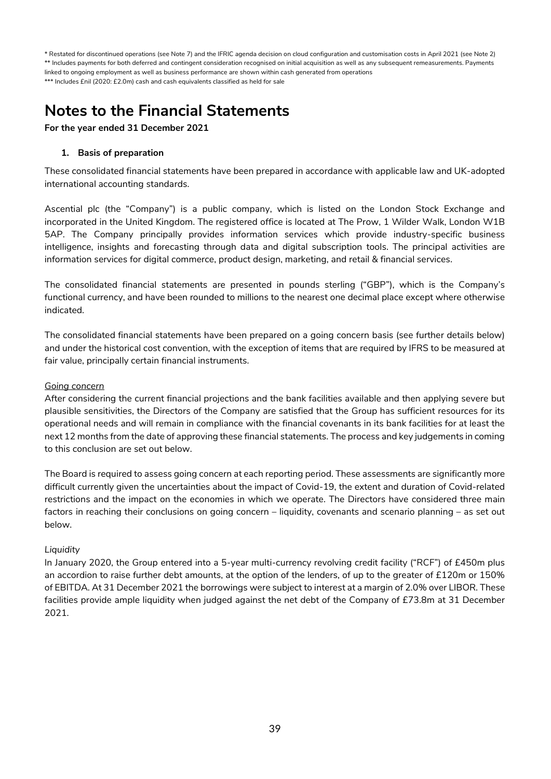\* Restated for discontinued operations (see Note 7) and the IFRIC agenda decision on cloud configuration and customisation costs in April 2021 (see Note 2) \*\* Includes payments for both deferred and contingent consideration recognised on initial acquisition as well as any subsequent remeasurements. Payments linked to ongoing employment as well as business performance are shown within cash generated from operations \*\*\* Includes £nil (2020: £2.0m) cash and cash equivalents classified as held for sale

### **Notes to the Financial Statements**

**For the year ended 31 December 2021**

#### **1. Basis of preparation**

These consolidated financial statements have been prepared in accordance with applicable law and UK-adopted international accounting standards.

Ascential plc (the "Company") is a public company, which is listed on the London Stock Exchange and incorporated in the United Kingdom. The registered office is located at The Prow, 1 Wilder Walk, London W1B 5AP. The Company principally provides information services which provide industry-specific business intelligence, insights and forecasting through data and digital subscription tools. The principal activities are information services for digital commerce, product design, marketing, and retail & financial services.

The consolidated financial statements are presented in pounds sterling ("GBP"), which is the Company's functional currency, and have been rounded to millions to the nearest one decimal place except where otherwise indicated.

The consolidated financial statements have been prepared on a going concern basis (see further details below) and under the historical cost convention, with the exception of items that are required by IFRS to be measured at fair value, principally certain financial instruments.

#### *Going concern*

After considering the current financial projections and the bank facilities available and then applying severe but plausible sensitivities, the Directors of the Company are satisfied that the Group has sufficient resources for its operational needs and will remain in compliance with the financial covenants in its bank facilities for at least the next 12 months from the date of approving these financial statements. The process and key judgements in coming to this conclusion are set out below.

The Board is required to assess going concern at each reporting period. These assessments are significantly more difficult currently given the uncertainties about the impact of Covid-19, the extent and duration of Covid-related restrictions and the impact on the economies in which we operate. The Directors have considered three main factors in reaching their conclusions on going concern – liquidity, covenants and scenario planning – as set out below.

#### *Liquidity*

In January 2020, the Group entered into a 5-year multi-currency revolving credit facility ("RCF") of £450m plus an accordion to raise further debt amounts, at the option of the lenders, of up to the greater of £120m or 150% of EBITDA. At 31 December 2021 the borrowings were subject to interest at a margin of 2.0% over LIBOR. These facilities provide ample liquidity when judged against the net debt of the Company of £73.8m at 31 December 2021.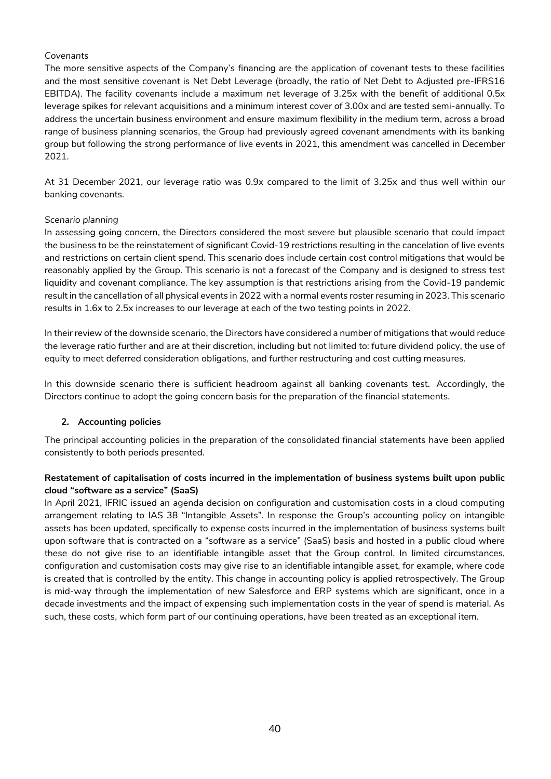#### *Covenants*

The more sensitive aspects of the Company's financing are the application of covenant tests to these facilities and the most sensitive covenant is Net Debt Leverage (broadly, the ratio of Net Debt to Adjusted pre-IFRS16 EBITDA). The facility covenants include a maximum net leverage of 3.25x with the benefit of additional 0.5x leverage spikes for relevant acquisitions and a minimum interest cover of 3.00x and are tested semi-annually. To address the uncertain business environment and ensure maximum flexibility in the medium term, across a broad range of business planning scenarios, the Group had previously agreed covenant amendments with its banking group but following the strong performance of live events in 2021, this amendment was cancelled in December 2021.

At 31 December 2021, our leverage ratio was 0.9x compared to the limit of 3.25x and thus well within our banking covenants.

#### *Scenario planning*

In assessing going concern, the Directors considered the most severe but plausible scenario that could impact the business to be the reinstatement of significant Covid-19 restrictions resulting in the cancelation of live events and restrictions on certain client spend. This scenario does include certain cost control mitigations that would be reasonably applied by the Group. This scenario is not a forecast of the Company and is designed to stress test liquidity and covenant compliance. The key assumption is that restrictions arising from the Covid-19 pandemic result in the cancellation of all physical events in 2022 with a normal events roster resuming in 2023. This scenario results in 1.6x to 2.5x increases to our leverage at each of the two testing points in 2022.

In their review of the downside scenario, the Directors have considered a number of mitigations that would reduce the leverage ratio further and are at their discretion, including but not limited to: future dividend policy, the use of equity to meet deferred consideration obligations, and further restructuring and cost cutting measures.

In this downside scenario there is sufficient headroom against all banking covenants test. Accordingly, the Directors continue to adopt the going concern basis for the preparation of the financial statements.

#### **2. Accounting policies**

The principal accounting policies in the preparation of the consolidated financial statements have been applied consistently to both periods presented.

#### **Restatement of capitalisation of costs incurred in the implementation of business systems built upon public cloud "software as a service" (SaaS)**

In April 2021, IFRIC issued an agenda decision on configuration and customisation costs in a cloud computing arrangement relating to IAS 38 "Intangible Assets". In response the Group's accounting policy on intangible assets has been updated, specifically to expense costs incurred in the implementation of business systems built upon software that is contracted on a "software as a service" (SaaS) basis and hosted in a public cloud where these do not give rise to an identifiable intangible asset that the Group control. In limited circumstances, configuration and customisation costs may give rise to an identifiable intangible asset, for example, where code is created that is controlled by the entity. This change in accounting policy is applied retrospectively. The Group is mid-way through the implementation of new Salesforce and ERP systems which are significant, once in a decade investments and the impact of expensing such implementation costs in the year of spend is material. As such, these costs, which form part of our continuing operations, have been treated as an exceptional item.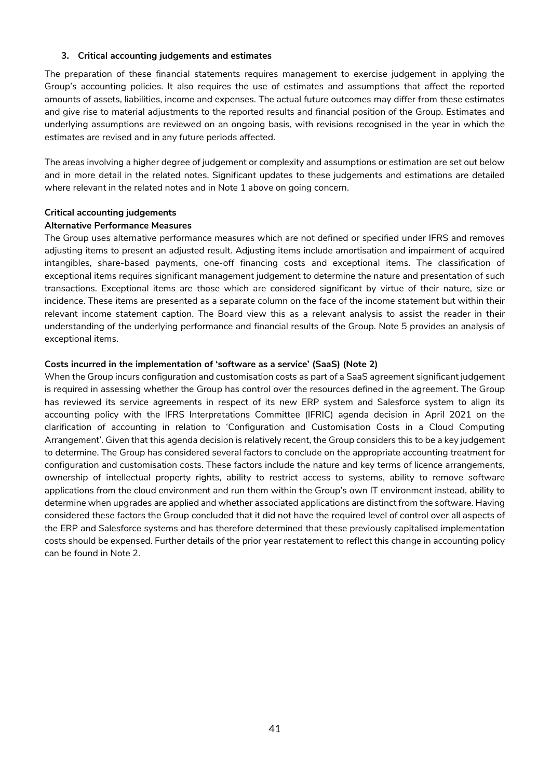#### **3. Critical accounting judgements and estimates**

The preparation of these financial statements requires management to exercise judgement in applying the Group's accounting policies. It also requires the use of estimates and assumptions that affect the reported amounts of assets, liabilities, income and expenses. The actual future outcomes may differ from these estimates and give rise to material adjustments to the reported results and financial position of the Group. Estimates and underlying assumptions are reviewed on an ongoing basis, with revisions recognised in the year in which the estimates are revised and in any future periods affected.

The areas involving a higher degree of judgement or complexity and assumptions or estimation are set out below and in more detail in the related notes. Significant updates to these judgements and estimations are detailed where relevant in the related notes and in Note 1 above on going concern.

### **Critical accounting judgements**

#### **Alternative Performance Measures**

The Group uses alternative performance measures which are not defined or specified under IFRS and removes adjusting items to present an adjusted result. Adjusting items include amortisation and impairment of acquired intangibles, share-based payments, one-off financing costs and exceptional items. The classification of exceptional items requires significant management judgement to determine the nature and presentation of such transactions. Exceptional items are those which are considered significant by virtue of their nature, size or incidence. These items are presented as a separate column on the face of the income statement but within their relevant income statement caption. The Board view this as a relevant analysis to assist the reader in their understanding of the underlying performance and financial results of the Group. Note 5 provides an analysis of exceptional items.

#### **Costs incurred in the implementation of 'software as a service' (SaaS) (Note 2)**

When the Group incurs configuration and customisation costs as part of a SaaS agreement significant judgement is required in assessing whether the Group has control over the resources defined in the agreement. The Group has reviewed its service agreements in respect of its new ERP system and Salesforce system to align its accounting policy with the IFRS Interpretations Committee (IFRIC) agenda decision in April 2021 on the clarification of accounting in relation to 'Configuration and Customisation Costs in a Cloud Computing Arrangement'. Given that this agenda decision is relatively recent, the Group considers this to be a key judgement to determine. The Group has considered several factors to conclude on the appropriate accounting treatment for configuration and customisation costs. These factors include the nature and key terms of licence arrangements, ownership of intellectual property rights, ability to restrict access to systems, ability to remove software applications from the cloud environment and run them within the Group's own IT environment instead, ability to determine when upgrades are applied and whether associated applications are distinct from the software. Having considered these factors the Group concluded that it did not have the required level of control over all aspects of the ERP and Salesforce systems and has therefore determined that these previously capitalised implementation costs should be expensed. Further details of the prior year restatement to reflect this change in accounting policy can be found in Note 2.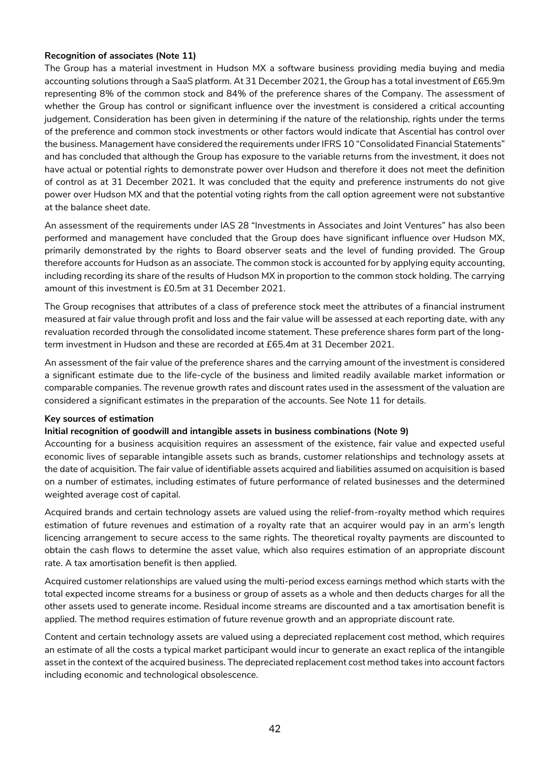#### **Recognition of associates (Note 11)**

The Group has a material investment in Hudson MX a software business providing media buying and media accounting solutions through a SaaS platform. At 31 December 2021, the Group has a total investment of £65.9m representing 8% of the common stock and 84% of the preference shares of the Company. The assessment of whether the Group has control or significant influence over the investment is considered a critical accounting judgement. Consideration has been given in determining if the nature of the relationship, rights under the terms of the preference and common stock investments or other factors would indicate that Ascential has control over the business. Management have considered the requirements under IFRS 10 "Consolidated Financial Statements" and has concluded that although the Group has exposure to the variable returns from the investment, it does not have actual or potential rights to demonstrate power over Hudson and therefore it does not meet the definition of control as at 31 December 2021. It was concluded that the equity and preference instruments do not give power over Hudson MX and that the potential voting rights from the call option agreement were not substantive at the balance sheet date.

An assessment of the requirements under IAS 28 "Investments in Associates and Joint Ventures" has also been performed and management have concluded that the Group does have significant influence over Hudson MX, primarily demonstrated by the rights to Board observer seats and the level of funding provided. The Group therefore accounts for Hudson as an associate. The common stock is accounted for by applying equity accounting, including recording its share of the results of Hudson MX in proportion to the common stock holding. The carrying amount of this investment is £0.5m at 31 December 2021.

The Group recognises that attributes of a class of preference stock meet the attributes of a financial instrument measured at fair value through profit and loss and the fair value will be assessed at each reporting date, with any revaluation recorded through the consolidated income statement. These preference shares form part of the longterm investment in Hudson and these are recorded at £65.4m at 31 December 2021.

An assessment of the fair value of the preference shares and the carrying amount of the investment is considered a significant estimate due to the life-cycle of the business and limited readily available market information or comparable companies. The revenue growth rates and discount rates used in the assessment of the valuation are considered a significant estimates in the preparation of the accounts. See Note 11 for details.

#### **Key sources of estimation**

#### **Initial recognition of goodwill and intangible assets in business combinations (Note 9)**

Accounting for a business acquisition requires an assessment of the existence, fair value and expected useful economic lives of separable intangible assets such as brands, customer relationships and technology assets at the date of acquisition. The fair value of identifiable assets acquired and liabilities assumed on acquisition is based on a number of estimates, including estimates of future performance of related businesses and the determined weighted average cost of capital.

Acquired brands and certain technology assets are valued using the relief-from-royalty method which requires estimation of future revenues and estimation of a royalty rate that an acquirer would pay in an arm's length licencing arrangement to secure access to the same rights. The theoretical royalty payments are discounted to obtain the cash flows to determine the asset value, which also requires estimation of an appropriate discount rate. A tax amortisation benefit is then applied.

Acquired customer relationships are valued using the multi-period excess earnings method which starts with the total expected income streams for a business or group of assets as a whole and then deducts charges for all the other assets used to generate income. Residual income streams are discounted and a tax amortisation benefit is applied. The method requires estimation of future revenue growth and an appropriate discount rate.

Content and certain technology assets are valued using a depreciated replacement cost method, which requires an estimate of all the costs a typical market participant would incur to generate an exact replica of the intangible asset in the context of the acquired business. The depreciated replacement cost method takes into account factors including economic and technological obsolescence.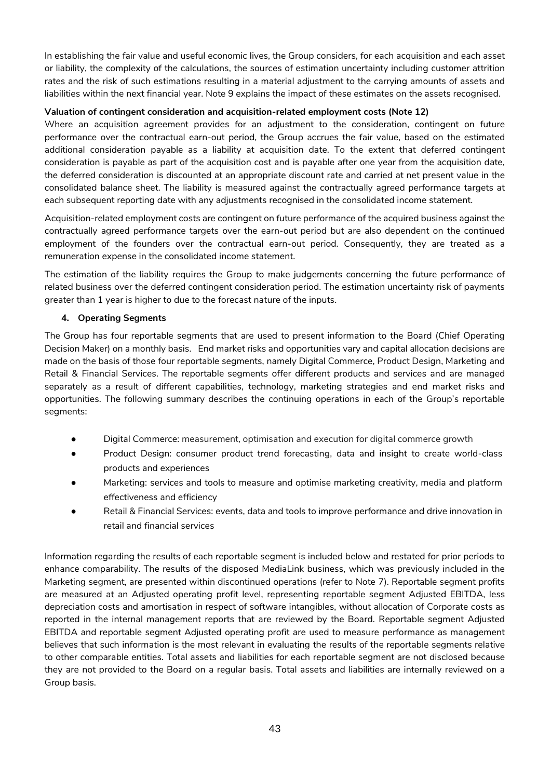In establishing the fair value and useful economic lives, the Group considers, for each acquisition and each asset or liability, the complexity of the calculations, the sources of estimation uncertainty including customer attrition rates and the risk of such estimations resulting in a material adjustment to the carrying amounts of assets and liabilities within the next financial year. Note 9 explains the impact of these estimates on the assets recognised.

#### **Valuation of contingent consideration and acquisition-related employment costs (Note 12)**

Where an acquisition agreement provides for an adjustment to the consideration, contingent on future performance over the contractual earn-out period, the Group accrues the fair value, based on the estimated additional consideration payable as a liability at acquisition date. To the extent that deferred contingent consideration is payable as part of the acquisition cost and is payable after one year from the acquisition date, the deferred consideration is discounted at an appropriate discount rate and carried at net present value in the consolidated balance sheet. The liability is measured against the contractually agreed performance targets at each subsequent reporting date with any adjustments recognised in the consolidated income statement.

Acquisition-related employment costs are contingent on future performance of the acquired business against the contractually agreed performance targets over the earn-out period but are also dependent on the continued employment of the founders over the contractual earn-out period. Consequently, they are treated as a remuneration expense in the consolidated income statement.

The estimation of the liability requires the Group to make judgements concerning the future performance of related business over the deferred contingent consideration period. The estimation uncertainty risk of payments greater than 1 year is higher to due to the forecast nature of the inputs.

#### **4. Operating Segments**

The Group has four reportable segments that are used to present information to the Board (Chief Operating Decision Maker) on a monthly basis. End market risks and opportunities vary and capital allocation decisions are made on the basis of those four reportable segments, namely Digital Commerce, Product Design, Marketing and Retail & Financial Services. The reportable segments offer different products and services and are managed separately as a result of different capabilities, technology, marketing strategies and end market risks and opportunities. The following summary describes the continuing operations in each of the Group's reportable segments:

- Digital Commerce: measurement, optimisation and execution for digital commerce growth
- Product Design: consumer product trend forecasting, data and insight to create world-class products and experiences
- Marketing: services and tools to measure and optimise marketing creativity, media and platform effectiveness and efficiency
- Retail & Financial Services: events, data and tools to improve performance and drive innovation in retail and financial services

Information regarding the results of each reportable segment is included below and restated for prior periods to enhance comparability. The results of the disposed MediaLink business, which was previously included in the Marketing segment, are presented within discontinued operations (refer to Note 7). Reportable segment profits are measured at an Adjusted operating profit level, representing reportable segment Adjusted EBITDA, less depreciation costs and amortisation in respect of software intangibles, without allocation of Corporate costs as reported in the internal management reports that are reviewed by the Board. Reportable segment Adjusted EBITDA and reportable segment Adjusted operating profit are used to measure performance as management believes that such information is the most relevant in evaluating the results of the reportable segments relative to other comparable entities. Total assets and liabilities for each reportable segment are not disclosed because they are not provided to the Board on a regular basis. Total assets and liabilities are internally reviewed on a Group basis.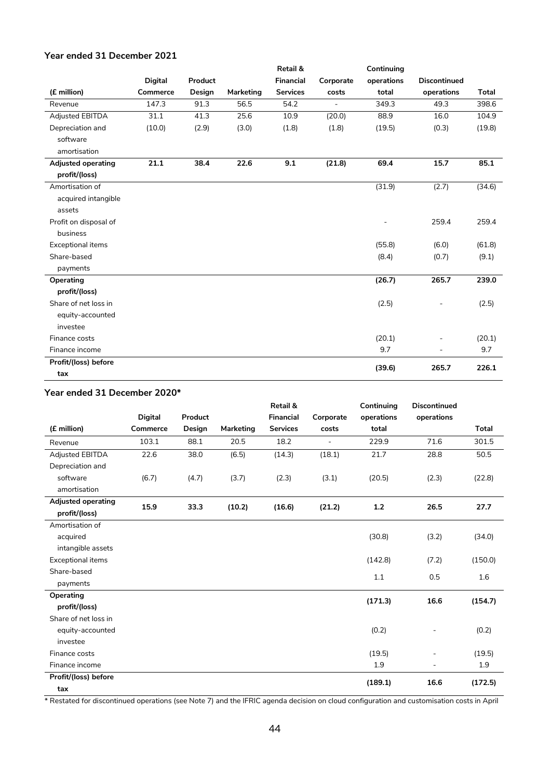|                           |                |         |           | Retail &         |                          | Continuing |                          |              |
|---------------------------|----------------|---------|-----------|------------------|--------------------------|------------|--------------------------|--------------|
|                           | <b>Digital</b> | Product |           | <b>Financial</b> | Corporate                | operations | <b>Discontinued</b>      |              |
| (£ million)               | Commerce       | Design  | Marketing | <b>Services</b>  | costs                    | total      | operations               | <b>Total</b> |
| Revenue                   | 147.3          | 91.3    | 56.5      | 54.2             | $\overline{\phantom{a}}$ | 349.3      | 49.3                     | 398.6        |
| Adjusted EBITDA           | 31.1           | 41.3    | 25.6      | 10.9             | (20.0)                   | 88.9       | 16.0                     | 104.9        |
| Depreciation and          | (10.0)         | (2.9)   | (3.0)     | (1.8)            | (1.8)                    | (19.5)     | (0.3)                    | (19.8)       |
| software                  |                |         |           |                  |                          |            |                          |              |
| amortisation              |                |         |           |                  |                          |            |                          |              |
| <b>Adjusted operating</b> | 21.1           | 38.4    | 22.6      | 9.1              | (21.8)                   | 69.4       | 15.7                     | 85.1         |
| profit/(loss)             |                |         |           |                  |                          |            |                          |              |
| Amortisation of           |                |         |           |                  |                          | (31.9)     | (2.7)                    | (34.6)       |
| acquired intangible       |                |         |           |                  |                          |            |                          |              |
| assets                    |                |         |           |                  |                          |            |                          |              |
| Profit on disposal of     |                |         |           |                  |                          |            | 259.4                    | 259.4        |
| business                  |                |         |           |                  |                          |            |                          |              |
| Exceptional items         |                |         |           |                  |                          | (55.8)     | (6.0)                    | (61.8)       |
| Share-based               |                |         |           |                  |                          | (8.4)      | (0.7)                    | (9.1)        |
| payments                  |                |         |           |                  |                          |            |                          |              |
| Operating                 |                |         |           |                  |                          | (26.7)     | 265.7                    | 239.0        |
| profit/(loss)             |                |         |           |                  |                          |            |                          |              |
| Share of net loss in      |                |         |           |                  |                          | (2.5)      |                          | (2.5)        |
| equity-accounted          |                |         |           |                  |                          |            |                          |              |
| investee                  |                |         |           |                  |                          |            |                          |              |
| Finance costs             |                |         |           |                  |                          | (20.1)     |                          | (20.1)       |
| Finance income            |                |         |           |                  |                          | 9.7        | $\overline{\phantom{0}}$ | 9.7          |
| Profit/(loss) before      |                |         |           |                  |                          |            | 265.7                    | 226.1        |
| tax                       |                |         |           |                  |                          | (39.6)     |                          |              |

#### **Year ended 31 December 2021**

#### **Year ended 31 December 2020\***

|                           |                |         |           | Retail &         |           | Continuing | <b>Discontinued</b>      |              |
|---------------------------|----------------|---------|-----------|------------------|-----------|------------|--------------------------|--------------|
|                           | <b>Digital</b> | Product |           | <b>Financial</b> | Corporate | operations | operations               |              |
| (£ million)               | Commerce       | Design  | Marketing | <b>Services</b>  | costs     | total      |                          | <b>Total</b> |
| Revenue                   | 103.1          | 88.1    | 20.5      | 18.2             |           | 229.9      | 71.6                     | 301.5        |
| Adjusted EBITDA           | 22.6           | 38.0    | (6.5)     | (14.3)           | (18.1)    | 21.7       | 28.8                     | 50.5         |
| Depreciation and          |                |         |           |                  |           |            |                          |              |
| software                  | (6.7)          | (4.7)   | (3.7)     | (2.3)            | (3.1)     | (20.5)     | (2.3)                    | (22.8)       |
| amortisation              |                |         |           |                  |           |            |                          |              |
| <b>Adjusted operating</b> | 15.9           | 33.3    | (10.2)    | (16.6)           | (21.2)    | 1.2        | 26.5                     | 27.7         |
| profit/(loss)             |                |         |           |                  |           |            |                          |              |
| Amortisation of           |                |         |           |                  |           |            |                          |              |
| acquired                  |                |         |           |                  |           | (30.8)     | (3.2)                    | (34.0)       |
| intangible assets         |                |         |           |                  |           |            |                          |              |
| <b>Exceptional items</b>  |                |         |           |                  |           | (142.8)    | (7.2)                    | (150.0)      |
| Share-based               |                |         |           |                  |           | 1.1        | 0.5                      | 1.6          |
| payments                  |                |         |           |                  |           |            |                          |              |
| Operating                 |                |         |           |                  |           | (171.3)    | 16.6                     | (154.7)      |
| profit/(loss)             |                |         |           |                  |           |            |                          |              |
| Share of net loss in      |                |         |           |                  |           |            |                          |              |
| equity-accounted          |                |         |           |                  |           | (0.2)      |                          | (0.2)        |
| investee                  |                |         |           |                  |           |            |                          |              |
| Finance costs             |                |         |           |                  |           | (19.5)     | $\overline{\phantom{0}}$ | (19.5)       |
| Finance income            |                |         |           |                  |           | 1.9        | $\overline{\phantom{0}}$ | 1.9          |
| Profit/(loss) before      |                |         |           |                  |           | (189.1)    | 16.6                     | (172.5)      |
| tax                       |                |         |           |                  |           |            |                          |              |

\* Restated for discontinued operations (see Note 7) and the IFRIC agenda decision on cloud configuration and customisation costs in April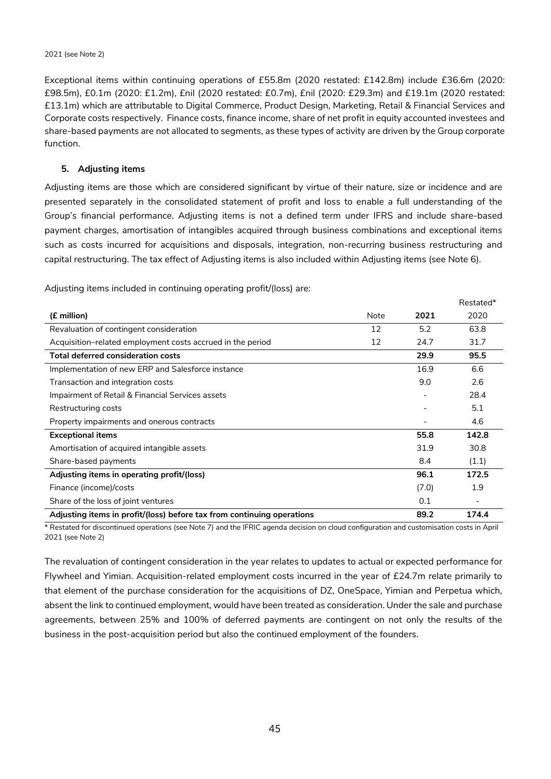Exceptional items within continuing operations of £55.8m (2020 restated: £142.8m) include £36.6m (2020: £98.5m), £0.1m (2020: £1.2m), £nil (2020 restated: £0.7m), £nil (2020: £29.3m) and £19.1m (2020 restated: £13.1m) which are attributable to Digital Commerce, Product Design, Marketing, Retail & Financial Services and Corporate costs respectively. Finance costs, finance income, share of net profit in equity accounted investees and share-based payments are not allocated to segments, as these types of activity are driven by the Group corporate function.

#### **5. Adjusting items**

Adjusting items are those which are considered significant by virtue of their nature, size or incidence and are presented separately in the consolidated statement of profit and loss to enable a full understanding of the Group's financial performance. Adjusting items is not a defined term under IFRS and include share-based payment charges, amortisation of intangibles acquired through business combinations and exceptional items such as costs incurred for acquisitions and disposals, integration, non-recurring business restructuring and capital restructuring. The tax effect of Adjusting items is also included within Adjusting items (see Note 6).

|                                                                        |      |       | Restated* |
|------------------------------------------------------------------------|------|-------|-----------|
| (£ million)                                                            | Note | 2021  | 2020      |
| Revaluation of contingent consideration                                | 12   | 5.2   | 63.8      |
| Acquisition-related employment costs accrued in the period             | 12   | 24.7  | 31.7      |
| Total deferred consideration costs                                     |      | 29.9  | 95.5      |
| Implementation of new ERP and Salesforce instance                      |      | 16.9  | 6.6       |
| Transaction and integration costs                                      |      | 9.0   | 2.6       |
| Impairment of Retail & Financial Services assets                       |      |       | 28.4      |
| Restructuring costs                                                    |      |       | 5.1       |
| Property impairments and onerous contracts                             |      |       | 4.6       |
| <b>Exceptional items</b>                                               |      | 55.8  | 142.8     |
| Amortisation of acquired intangible assets                             |      | 31.9  | 30.8      |
| Share-based payments                                                   |      | 8.4   | (1.1)     |
| Adjusting items in operating profit/(loss)                             |      | 96.1  | 172.5     |
| Finance (income)/costs                                                 |      | (7.0) | 1.9       |
| Share of the loss of joint ventures                                    |      | 0.1   |           |
| Adjusting items in profit/(loss) before tax from continuing operations |      | 89.2  | 174.4     |

Adjusting items included in continuing operating profit/(loss) are:

\* Restated for discontinued operations (see Note 7) and the IFRIC agenda decision on cloud configuration and customisation costs in April 2021 (see Note 2)

The revaluation of contingent consideration in the year relates to updates to actual or expected performance for Flywheel and Yimian. Acquisition-related employment costs incurred in the year of £24.7m relate primarily to that element of the purchase consideration for the acquisitions of DZ, OneSpace, Yimian and Perpetua which, absent the link to continued employment, would have been treated as consideration. Under the sale and purchase agreements, between 25% and 100% of deferred payments are contingent on not only the results of the business in the post-acquisition period but also the continued employment of the founders.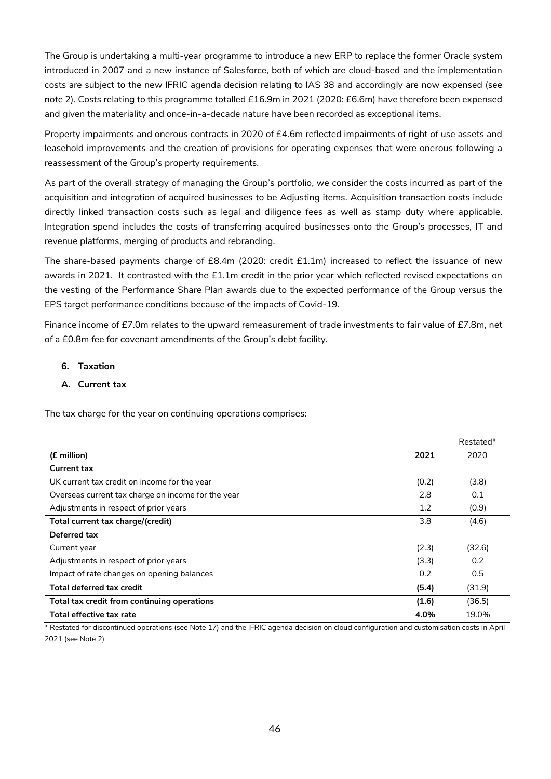The Group is undertaking a multi-year programme to introduce a new ERP to replace the former Oracle system introduced in 2007 and a new instance of Salesforce, both of which are cloud-based and the implementation costs are subject to the new IFRIC agenda decision relating to IAS 38 and accordingly are now expensed (see note 2). Costs relating to this programme totalled £16.9m in 2021 (2020: £6.6m) have therefore been expensed and given the materiality and once-in-a-decade nature have been recorded as exceptional items.

Property impairments and onerous contracts in 2020 of £4.6m reflected impairments of right of use assets and leasehold improvements and the creation of provisions for operating expenses that were onerous following a reassessment of the Group's property requirements.

As part of the overall strategy of managing the Group's portfolio, we consider the costs incurred as part of the acquisition and integration of acquired businesses to be Adjusting items. Acquisition transaction costs include directly linked transaction costs such as legal and diligence fees as well as stamp duty where applicable. Integration spend includes the costs of transferring acquired businesses onto the Group's processes, IT and revenue platforms, merging of products and rebranding.

The share-based payments charge of £8.4m (2020: credit £1.1m) increased to reflect the issuance of new awards in 2021. It contrasted with the £1.1m credit in the prior year which reflected revised expectations on the vesting of the Performance Share Plan awards due to the expected performance of the Group versus the EPS target performance conditions because of the impacts of Covid-19.

Finance income of £7.0m relates to the upward remeasurement of trade investments to fair value of £7.8m, net of a £0.8m fee for covenant amendments of the Group's debt facility.

#### **6. Taxation**

#### **A. Current tax**

The tax charge for the year on continuing operations comprises:

|                                                    |       | Restated* |
|----------------------------------------------------|-------|-----------|
| (£ million)                                        | 2021  | 2020      |
| Current tax                                        |       |           |
| UK current tax credit on income for the year       | (0.2) | (3.8)     |
| Overseas current tax charge on income for the year | 2.8   | 0.1       |
| Adjustments in respect of prior years              | 1.2   | (0.9)     |
| Total current tax charge/(credit)                  | 3.8   | (4.6)     |
| Deferred tax                                       |       |           |
| Current year                                       | (2.3) | (32.6)    |
| Adjustments in respect of prior years              | (3.3) | 0.2       |
| Impact of rate changes on opening balances         | 0.2   | 0.5       |
| Total deferred tax credit                          | (5.4) | (31.9)    |
| Total tax credit from continuing operations        | (1.6) | (36.5)    |
| Total effective tax rate                           | 4.0%  | 19.0%     |

\* Restated for discontinued operations (see Note 17) and the IFRIC agenda decision on cloud configuration and customisation costs in April 2021 (see Note 2)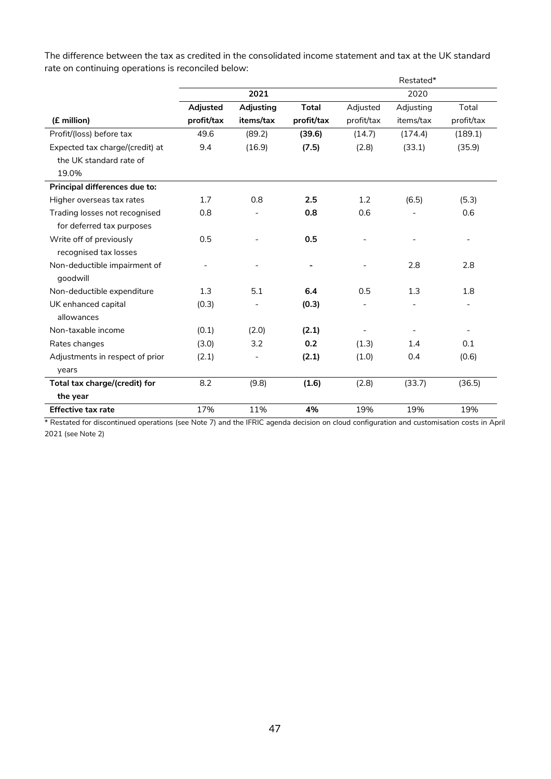The difference between the tax as credited in the consolidated income statement and tax at the UK standard rate on continuing operations is reconciled below:

|                                 |            |           |              |            | Restated* |                          |
|---------------------------------|------------|-----------|--------------|------------|-----------|--------------------------|
|                                 |            | 2021      |              |            | 2020      |                          |
|                                 | Adjusted   | Adjusting | <b>Total</b> | Adjusted   | Adjusting | Total                    |
| (£ million)                     | profit/tax | items/tax | profit/tax   | profit/tax | items/tax | profit/tax               |
| Profit/(loss) before tax        | 49.6       | (89.2)    | (39.6)       | (14.7)     | (174.4)   | (189.1)                  |
| Expected tax charge/(credit) at | 9.4        | (16.9)    | (7.5)        | (2.8)      | (33.1)    | (35.9)                   |
| the UK standard rate of         |            |           |              |            |           |                          |
| 19.0%                           |            |           |              |            |           |                          |
| Principal differences due to:   |            |           |              |            |           |                          |
| Higher overseas tax rates       | 1.7        | 0.8       | 2.5          | 1.2        | (6.5)     | (5.3)                    |
| Trading losses not recognised   | 0.8        |           | 0.8          | 0.6        |           | 0.6                      |
| for deferred tax purposes       |            |           |              |            |           |                          |
| Write off of previously         | 0.5        |           | 0.5          |            |           | $\overline{\phantom{a}}$ |
| recognised tax losses           |            |           |              |            |           |                          |
| Non-deductible impairment of    |            |           |              |            | 2.8       | 2.8                      |
| qoodwill                        |            |           |              |            |           |                          |
| Non-deductible expenditure      | 1.3        | 5.1       | 6.4          | 0.5        | 1.3       | 1.8                      |
| UK enhanced capital             | (0.3)      |           | (0.3)        |            |           |                          |
| allowances                      |            |           |              |            |           |                          |
| Non-taxable income              | (0.1)      | (2.0)     | (2.1)        |            |           | $\overline{\phantom{a}}$ |
| Rates changes                   | (3.0)      | 3.2       | 0.2          | (1.3)      | 1.4       | 0.1                      |
| Adjustments in respect of prior | (2.1)      |           | (2.1)        | (1.0)      | 0.4       | (0.6)                    |
| years                           |            |           |              |            |           |                          |
| Total tax charge/(credit) for   | 8.2        | (9.8)     | (1.6)        | (2.8)      | (33.7)    | (36.5)                   |
| the year                        |            |           |              |            |           |                          |
| <b>Effective tax rate</b>       | 17%        | 11%       | 4%           | 19%        | 19%       | 19%                      |

\* Restated for discontinued operations (see Note 7) and the IFRIC agenda decision on cloud configuration and customisation costs in April 2021 (see Note 2)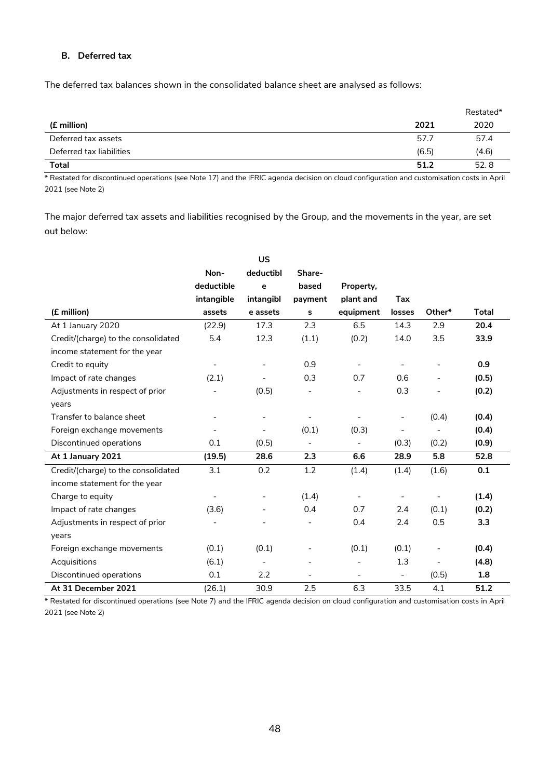#### **B. Deferred tax**

The deferred tax balances shown in the consolidated balance sheet are analysed as follows:

|                          |       | Restated* |
|--------------------------|-------|-----------|
| (£ million)              | 2021  | 2020      |
| Deferred tax assets      | 57.7  | 57.4      |
| Deferred tax liabilities | (6.5) | (4.6)     |
| <b>Total</b>             | 51.2  | 52.8      |

\* Restated for discontinued operations (see Note 17) and the IFRIC agenda decision on cloud configuration and customisation costs in April 2021 (see Note 2)

The major deferred tax assets and liabilities recognised by the Group, and the movements in the year, are set out below:

|                                     |                          | <b>US</b>                |                          |                          |                          |                          |       |
|-------------------------------------|--------------------------|--------------------------|--------------------------|--------------------------|--------------------------|--------------------------|-------|
|                                     | Non-                     | deductibl                | Share-                   |                          |                          |                          |       |
|                                     | deductible               | e                        | based                    | Property,                |                          |                          |       |
|                                     | intangible               | intangibl                | payment                  | plant and                | Tax                      |                          |       |
| (£ million)                         | assets                   | e assets                 | s                        | equipment                | losses                   | Other*                   | Total |
| At 1 January 2020                   | (22.9)                   | 17.3                     | 2.3                      | 6.5                      | 14.3                     | 2.9                      | 20.4  |
| Credit/(charge) to the consolidated | 5.4                      | 12.3                     | (1.1)                    | (0.2)                    | 14.0                     | 3.5                      | 33.9  |
| income statement for the year       |                          |                          |                          |                          |                          |                          |       |
| Credit to equity                    |                          | $\overline{\phantom{a}}$ | 0.9                      |                          |                          | $\overline{a}$           | 0.9   |
| Impact of rate changes              | (2.1)                    |                          | 0.3                      | 0.7                      | 0.6                      | $\overline{\phantom{a}}$ | (0.5) |
| Adjustments in respect of prior     |                          | (0.5)                    | $\overline{\phantom{0}}$ |                          | 0.3                      |                          | (0.2) |
| years                               |                          |                          |                          |                          |                          |                          |       |
| Transfer to balance sheet           | $\overline{\phantom{a}}$ | $\overline{\phantom{0}}$ | $\overline{\phantom{a}}$ | $\overline{\phantom{a}}$ | $\overline{\phantom{a}}$ | (0.4)                    | (0.4) |
| Foreign exchange movements          | $\overline{\phantom{a}}$ | $\overline{\phantom{a}}$ | (0.1)                    | (0.3)                    | $\overline{\phantom{a}}$ | $\overline{\phantom{a}}$ | (0.4) |
| Discontinued operations             | 0.1                      | (0.5)                    | $\overline{\phantom{a}}$ | $\overline{\phantom{a}}$ | (0.3)                    | (0.2)                    | (0.9) |
| At 1 January 2021                   | (19.5)                   | 28.6                     | 2.3                      | 6.6                      | 28.9                     | 5.8                      | 52.8  |
| Credit/(charge) to the consolidated | 3.1                      | 0.2                      | 1.2                      | (1.4)                    | (1.4)                    | (1.6)                    | 0.1   |
| income statement for the year       |                          |                          |                          |                          |                          |                          |       |
| Charge to equity                    |                          | $\overline{\phantom{a}}$ | (1.4)                    | $\overline{\phantom{a}}$ | $\overline{\phantom{a}}$ |                          | (1.4) |
| Impact of rate changes              | (3.6)                    | $\overline{\phantom{a}}$ | 0.4                      | 0.7                      | 2.4                      | (0.1)                    | (0.2) |
| Adjustments in respect of prior     |                          |                          | $\overline{\phantom{0}}$ | 0.4                      | 2.4                      | 0.5                      | 3.3   |
| years                               |                          |                          |                          |                          |                          |                          |       |
| Foreign exchange movements          | (0.1)                    | (0.1)                    | $\qquad \qquad -$        | (0.1)                    | (0.1)                    | $\qquad \qquad -$        | (0.4) |
| Acquisitions                        | (6.1)                    | $\overline{\phantom{a}}$ | $\overline{\phantom{a}}$ | $\overline{\phantom{a}}$ | 1.3                      | $\overline{\phantom{0}}$ | (4.8) |
| Discontinued operations             | 0.1                      | 2.2                      | $\overline{\phantom{0}}$ | $\overline{\phantom{a}}$ | $\blacksquare$           | (0.5)                    | 1.8   |
| At 31 December 2021                 | (26.1)                   | 30.9                     | 2.5                      | 6.3                      | 33.5                     | 4.1                      | 51.2  |

\* Restated for discontinued operations (see Note 7) and the IFRIC agenda decision on cloud configuration and customisation costs in April 2021 (see Note 2)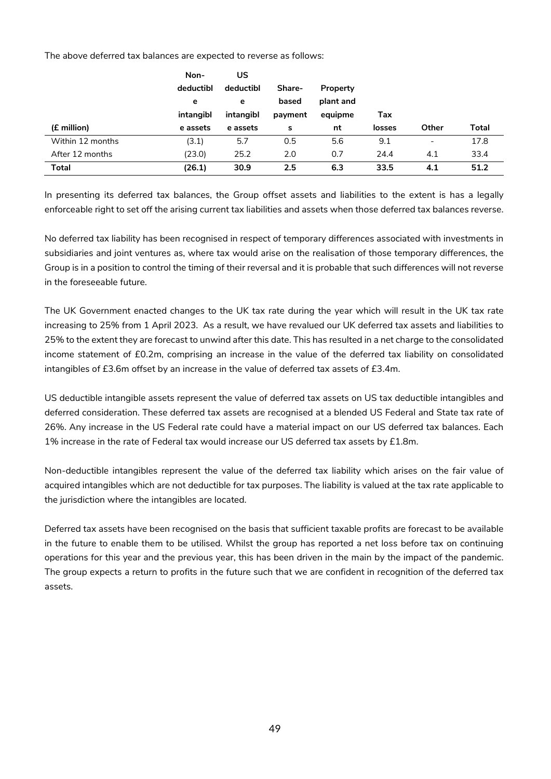The above deferred tax balances are expected to reverse as follows:

|                  | Non-      | US        |         |           |               |                          |       |
|------------------|-----------|-----------|---------|-----------|---------------|--------------------------|-------|
|                  | deductibl | deductibl | Share-  | Property  |               |                          |       |
|                  | е         | е         | based   | plant and |               |                          |       |
|                  | intangibl | intangibl | payment | equipme   | Tax           |                          |       |
| (£ million)      | e assets  | e assets  | s       | nt        | <b>losses</b> | Other                    | Total |
|                  |           |           |         |           |               |                          |       |
| Within 12 months | (3.1)     | 5.7       | 0.5     | 5.6       | 9.1           | $\overline{\phantom{a}}$ | 17.8  |
| After 12 months  | (23.0)    | 25.2      | 2.0     | 0.7       | 24.4          | 4.1                      | 33.4  |

In presenting its deferred tax balances, the Group offset assets and liabilities to the extent is has a legally enforceable right to set off the arising current tax liabilities and assets when those deferred tax balances reverse.

No deferred tax liability has been recognised in respect of temporary differences associated with investments in subsidiaries and joint ventures as, where tax would arise on the realisation of those temporary differences, the Group is in a position to control the timing of their reversal and it is probable that such differences will not reverse in the foreseeable future.

The UK Government enacted changes to the UK tax rate during the year which will result in the UK tax rate increasing to 25% from 1 April 2023. As a result, we have revalued our UK deferred tax assets and liabilities to 25% to the extent they are forecast to unwind after this date. This has resulted in a net charge to the consolidated income statement of £0.2m, comprising an increase in the value of the deferred tax liability on consolidated intangibles of £3.6m offset by an increase in the value of deferred tax assets of £3.4m.

US deductible intangible assets represent the value of deferred tax assets on US tax deductible intangibles and deferred consideration. These deferred tax assets are recognised at a blended US Federal and State tax rate of 26%. Any increase in the US Federal rate could have a material impact on our US deferred tax balances. Each 1% increase in the rate of Federal tax would increase our US deferred tax assets by £1.8m.

Non-deductible intangibles represent the value of the deferred tax liability which arises on the fair value of acquired intangibles which are not deductible for tax purposes. The liability is valued at the tax rate applicable to the jurisdiction where the intangibles are located.

Deferred tax assets have been recognised on the basis that sufficient taxable profits are forecast to be available in the future to enable them to be utilised. Whilst the group has reported a net loss before tax on continuing operations for this year and the previous year, this has been driven in the main by the impact of the pandemic. The group expects a return to profits in the future such that we are confident in recognition of the deferred tax assets.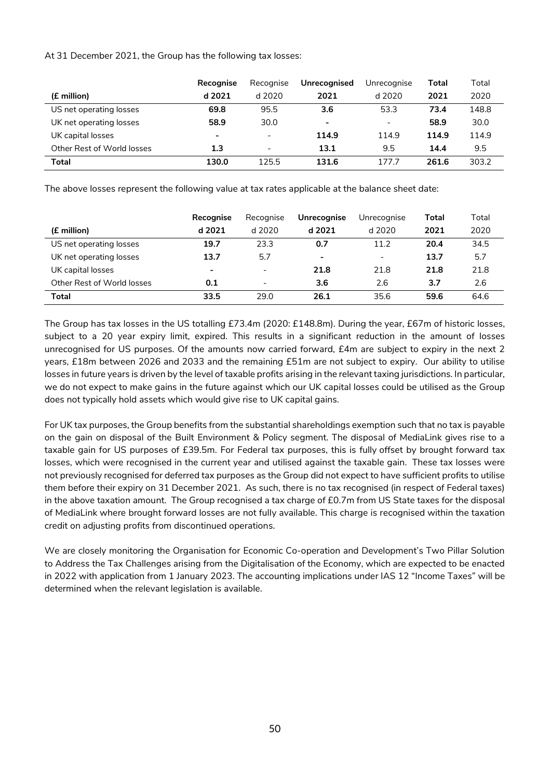At 31 December 2021, the Group has the following tax losses:

|                            | Recognise | Recognise                | <b>Unrecognised</b> | Unrecognise | Total | Total |
|----------------------------|-----------|--------------------------|---------------------|-------------|-------|-------|
| (£ million)                | d 2021    | d 2020                   | 2021                | d 2020      | 2021  | 2020  |
| US net operating losses    | 69.8      | 95.5                     | 3.6                 | 53.3        | 73.4  | 148.8 |
| UK net operating losses    | 58.9      | 30.0                     | ۰.                  |             | 58.9  | 30.0  |
| UK capital losses          | -         | $\overline{\phantom{a}}$ | 114.9               | 114.9       | 114.9 | 114.9 |
| Other Rest of World losses | 1.3       | $\overline{\phantom{a}}$ | 13.1                | 9.5         | 14.4  | 9.5   |
| Total                      | 130.0     | 125.5                    | 131.6               | 177.7       | 261.6 | 303.2 |

The above losses represent the following value at tax rates applicable at the balance sheet date:

|                            | Recognise                | Recognise                | Unrecognise              | Unrecognise              | Total | Total |
|----------------------------|--------------------------|--------------------------|--------------------------|--------------------------|-------|-------|
| (£ million)                | d 2021                   | d 2020                   | d 2021                   | d 2020                   | 2021  | 2020  |
| US net operating losses    | 19.7                     | 23.3                     | 0.7                      | 11.2                     | 20.4  | 34.5  |
| UK net operating losses    | 13.7                     | 5.7                      | $\overline{\phantom{0}}$ | $\overline{\phantom{a}}$ | 13.7  | 5.7   |
| UK capital losses          | $\overline{\phantom{a}}$ |                          | 21.8                     | 21.8                     | 21.8  | 21.8  |
| Other Rest of World losses | 0.1                      | $\overline{\phantom{0}}$ | 3.6                      | 2.6                      | 3.7   | 2.6   |
| Total                      | 33.5                     | 29.0                     | 26.1                     | 35.6                     | 59.6  | 64.6  |

The Group has tax losses in the US totalling £73.4m (2020: £148.8m). During the year, £67m of historic losses, subject to a 20 year expiry limit, expired. This results in a significant reduction in the amount of losses unrecognised for US purposes. Of the amounts now carried forward, £4m are subject to expiry in the next 2 years, £18m between 2026 and 2033 and the remaining £51m are not subject to expiry. Our ability to utilise losses in future years is driven by the level of taxable profits arising in the relevant taxing jurisdictions. In particular, we do not expect to make gains in the future against which our UK capital losses could be utilised as the Group does not typically hold assets which would give rise to UK capital gains.

For UK tax purposes, the Group benefits from the substantial shareholdings exemption such that no tax is payable on the gain on disposal of the Built Environment & Policy segment. The disposal of MediaLink gives rise to a taxable gain for US purposes of £39.5m. For Federal tax purposes, this is fully offset by brought forward tax losses, which were recognised in the current year and utilised against the taxable gain. These tax losses were not previously recognised for deferred tax purposes as the Group did not expect to have sufficient profits to utilise them before their expiry on 31 December 2021. As such, there is no tax recognised (in respect of Federal taxes) in the above taxation amount. The Group recognised a tax charge of £0.7m from US State taxes for the disposal of MediaLink where brought forward losses are not fully available. This charge is recognised within the taxation credit on adjusting profits from discontinued operations.

We are closely monitoring the Organisation for Economic Co-operation and Development's Two Pillar Solution to Address the Tax Challenges arising from the Digitalisation of the Economy, which are expected to be enacted in 2022 with application from 1 January 2023. The accounting implications under IAS 12 "Income Taxes" will be determined when the relevant legislation is available.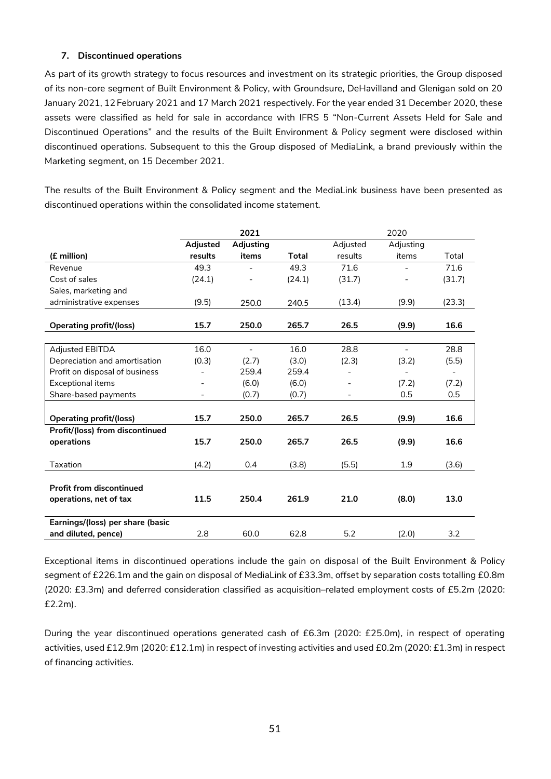#### **7. Discontinued operations**

As part of its growth strategy to focus resources and investment on its strategic priorities, the Group disposed of its non-core segment of Built Environment & Policy, with Groundsure, DeHavilland and Glenigan sold on 20 January 2021, 12 February 2021 and 17 March 2021 respectively. For the year ended 31 December 2020, these assets were classified as held for sale in accordance with IFRS 5 "Non-Current Assets Held for Sale and Discontinued Operations" and the results of the Built Environment & Policy segment were disclosed within discontinued operations. Subsequent to this the Group disposed of MediaLink, a brand previously within the Marketing segment, on 15 December 2021.

The results of the Built Environment & Policy segment and the MediaLink business have been presented as discontinued operations within the consolidated income statement.

|                                  |                          | 2021                     |        |                          | 2020                     |        |
|----------------------------------|--------------------------|--------------------------|--------|--------------------------|--------------------------|--------|
|                                  | Adjusted                 | Adjusting                |        | Adjusted                 | Adjusting                |        |
| (£ million)                      | results                  | items                    | Total  | results                  | items                    | Total  |
| Revenue                          | 49.3                     |                          | 49.3   | 71.6                     |                          | 71.6   |
| Cost of sales                    | (24.1)                   |                          | (24.1) | (31.7)                   | $\overline{\phantom{0}}$ | (31.7) |
| Sales, marketing and             |                          |                          |        |                          |                          |        |
| administrative expenses          | (9.5)                    | 250.0                    | 240.5  | (13.4)                   | (9.9)                    | (23.3) |
|                                  |                          |                          |        |                          |                          |        |
| Operating profit/(loss)          | 15.7                     | 250.0                    | 265.7  | 26.5                     | (9.9)                    | 16.6   |
|                                  |                          |                          |        |                          |                          |        |
| <b>Adjusted EBITDA</b>           | 16.0                     | $\overline{\phantom{0}}$ | 16.0   | 28.8                     | $\overline{\phantom{a}}$ | 28.8   |
| Depreciation and amortisation    | (0.3)                    | (2.7)                    | (3.0)  | (2.3)                    | (3.2)                    | (5.5)  |
| Profit on disposal of business   | -                        | 259.4                    | 259.4  | $\overline{\phantom{0}}$ | $\overline{a}$           | -      |
| <b>Exceptional items</b>         |                          | (6.0)                    | (6.0)  |                          | (7.2)                    | (7.2)  |
| Share-based payments             | $\overline{\phantom{0}}$ | (0.7)                    | (0.7)  | $\overline{\phantom{a}}$ | 0.5                      | 0.5    |
|                                  |                          |                          |        |                          |                          |        |
| <b>Operating profit/(loss)</b>   | 15.7                     | 250.0                    | 265.7  | 26.5                     | (9.9)                    | 16.6   |
| Profit/(loss) from discontinued  |                          |                          |        |                          |                          |        |
| operations                       | 15.7                     | 250.0                    | 265.7  | 26.5                     | (9.9)                    | 16.6   |
|                                  |                          |                          |        |                          |                          |        |
| Taxation                         | (4.2)                    | 0.4                      | (3.8)  | (5.5)                    | 1.9                      | (3.6)  |
|                                  |                          |                          |        |                          |                          |        |
| <b>Profit from discontinued</b>  |                          |                          |        |                          |                          |        |
| operations, net of tax           | 11.5                     | 250.4                    | 261.9  | 21.0                     | (8.0)                    | 13.0   |
|                                  |                          |                          |        |                          |                          |        |
| Earnings/(loss) per share (basic |                          |                          |        |                          |                          |        |
| and diluted, pence)              | 2.8                      | 60.0                     | 62.8   | 5.2                      | (2.0)                    | 3.2    |

Exceptional items in discontinued operations include the gain on disposal of the Built Environment & Policy segment of £226.1m and the gain on disposal of MediaLink of £33.3m, offset by separation costs totalling £0.8m (2020: £3.3m) and deferred consideration classified as acquisition–related employment costs of £5.2m (2020: £2.2m).

During the year discontinued operations generated cash of £6.3m (2020: £25.0m), in respect of operating activities, used £12.9m (2020: £12.1m) in respect of investing activities and used £0.2m (2020: £1.3m) in respect of financing activities.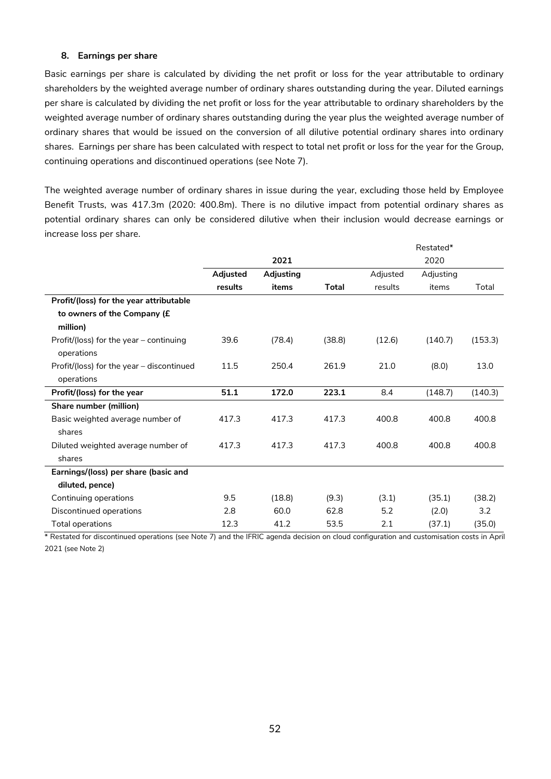#### **8. Earnings per share**

Basic earnings per share is calculated by dividing the net profit or loss for the year attributable to ordinary shareholders by the weighted average number of ordinary shares outstanding during the year. Diluted earnings per share is calculated by dividing the net profit or loss for the year attributable to ordinary shareholders by the weighted average number of ordinary shares outstanding during the year plus the weighted average number of ordinary shares that would be issued on the conversion of all dilutive potential ordinary shares into ordinary shares. Earnings per share has been calculated with respect to total net profit or loss for the year for the Group, continuing operations and discontinued operations (see Note 7).

The weighted average number of ordinary shares in issue during the year, excluding those held by Employee Benefit Trusts, was 417.3m (2020: 400.8m). There is no dilutive impact from potential ordinary shares as potential ordinary shares can only be considered dilutive when their inclusion would decrease earnings or increase loss per share.

|                                           |          |           |        |          | Restated* |         |
|-------------------------------------------|----------|-----------|--------|----------|-----------|---------|
|                                           |          | 2021      |        |          | 2020      |         |
|                                           | Adjusted | Adjusting |        | Adjusted | Adjusting |         |
|                                           | results  | items     | Total  | results  | items     | Total   |
| Profit/(loss) for the year attributable   |          |           |        |          |           |         |
| to owners of the Company (£               |          |           |        |          |           |         |
| million)                                  |          |           |        |          |           |         |
| Profit/(loss) for the year - continuing   | 39.6     | (78.4)    | (38.8) | (12.6)   | (140.7)   | (153.3) |
| operations                                |          |           |        |          |           |         |
| Profit/(loss) for the year – discontinued | 11.5     | 250.4     | 261.9  | 21.0     | (8.0)     | 13.0    |
| operations                                |          |           |        |          |           |         |
| Profit/(loss) for the year                | 51.1     | 172.0     | 223.1  | 8.4      | (148.7)   | (140.3) |
| Share number (million)                    |          |           |        |          |           |         |
| Basic weighted average number of          | 417.3    | 417.3     | 417.3  | 400.8    | 400.8     | 400.8   |
| shares                                    |          |           |        |          |           |         |
| Diluted weighted average number of        | 417.3    | 417.3     | 417.3  | 400.8    | 400.8     | 400.8   |
| shares                                    |          |           |        |          |           |         |
| Earnings/(loss) per share (basic and      |          |           |        |          |           |         |
| diluted, pence)                           |          |           |        |          |           |         |
| Continuing operations                     | 9.5      | (18.8)    | (9.3)  | (3.1)    | (35.1)    | (38.2)  |
| Discontinued operations                   | 2.8      | 60.0      | 62.8   | 5.2      | (2.0)     | 3.2     |
| Total operations                          | 12.3     | 41.2      | 53.5   | 2.1      | (37.1)    | (35.0)  |

\* Restated for discontinued operations (see Note 7) and the IFRIC agenda decision on cloud configuration and customisation costs in April 2021 (see Note 2)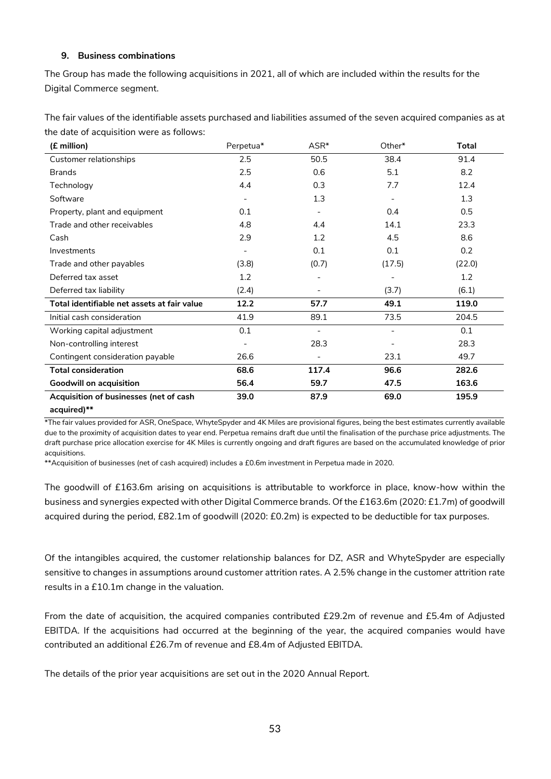#### **9. Business combinations**

The Group has made the following acquisitions in 2021, all of which are included within the results for the Digital Commerce segment.

| (£ million)                                 | Perpetua*                | $ASR^*$                  | Other*                   | <b>Total</b> |
|---------------------------------------------|--------------------------|--------------------------|--------------------------|--------------|
| Customer relationships                      | 2.5                      | 50.5                     | 38.4                     | 91.4         |
| <b>Brands</b>                               | 2.5                      | 0.6                      | 5.1                      | 8.2          |
| Technology                                  | 4.4                      | 0.3                      | 7.7                      | 12.4         |
| Software                                    | $\overline{\phantom{a}}$ | 1.3                      | $\overline{\phantom{a}}$ | 1.3          |
| Property, plant and equipment               | 0.1                      |                          | 0.4                      | 0.5          |
| Trade and other receivables                 | 4.8                      | 4.4                      | 14.1                     | 23.3         |
| Cash                                        | 2.9                      | 1.2                      | 4.5                      | 8.6          |
| Investments                                 | $\overline{\phantom{a}}$ | 0.1                      | 0.1                      | 0.2          |
| Trade and other payables                    | (3.8)                    | (0.7)                    | (17.5)                   | (22.0)       |
| Deferred tax asset                          | 1.2                      | $\overline{\phantom{a}}$ |                          | 1.2          |
| Deferred tax liability                      | (2.4)                    |                          | (3.7)                    | (6.1)        |
| Total identifiable net assets at fair value | 12.2                     | 57.7                     | 49.1                     | 119.0        |
| Initial cash consideration                  | 41.9                     | 89.1                     | 73.5                     | 204.5        |
| Working capital adjustment                  | 0.1                      | $\overline{\phantom{a}}$ | $\overline{\phantom{a}}$ | 0.1          |
| Non-controlling interest                    | $\overline{\phantom{a}}$ | 28.3                     |                          | 28.3         |
| Contingent consideration payable            | 26.6                     |                          | 23.1                     | 49.7         |
| <b>Total consideration</b>                  | 68.6                     | 117.4                    | 96.6                     | 282.6        |
| <b>Goodwill on acquisition</b>              | 56.4                     | 59.7                     | 47.5                     | 163.6        |
| Acquisition of businesses (net of cash      | 39.0                     | 87.9                     | 69.0                     | 195.9        |
| acquired)**                                 |                          |                          |                          |              |

The fair values of the identifiable assets purchased and liabilities assumed of the seven acquired companies as at the date of acquisition were as follows:

\*The fair values provided for ASR, OneSpace, WhyteSpyder and 4K Miles are provisional figures, being the best estimates currently available due to the proximity of acquisition dates to year end. Perpetua remains draft due until the finalisation of the purchase price adjustments. The draft purchase price allocation exercise for 4K Miles is currently ongoing and draft figures are based on the accumulated knowledge of prior acquisitions.

\*\*Acquisition of businesses (net of cash acquired) includes a £0.6m investment in Perpetua made in 2020.

The goodwill of £163.6m arising on acquisitions is attributable to workforce in place, know-how within the business and synergies expected with other Digital Commerce brands. Of the £163.6m (2020: £1.7m) of goodwill acquired during the period, £82.1m of goodwill (2020: £0.2m) is expected to be deductible for tax purposes.

Of the intangibles acquired, the customer relationship balances for DZ, ASR and WhyteSpyder are especially sensitive to changes in assumptions around customer attrition rates. A 2.5% change in the customer attrition rate results in a £10.1m change in the valuation.

From the date of acquisition, the acquired companies contributed £29.2m of revenue and £5.4m of Adjusted EBITDA. If the acquisitions had occurred at the beginning of the year, the acquired companies would have contributed an additional £26.7m of revenue and £8.4m of Adjusted EBITDA.

The details of the prior year acquisitions are set out in the 2020 Annual Report.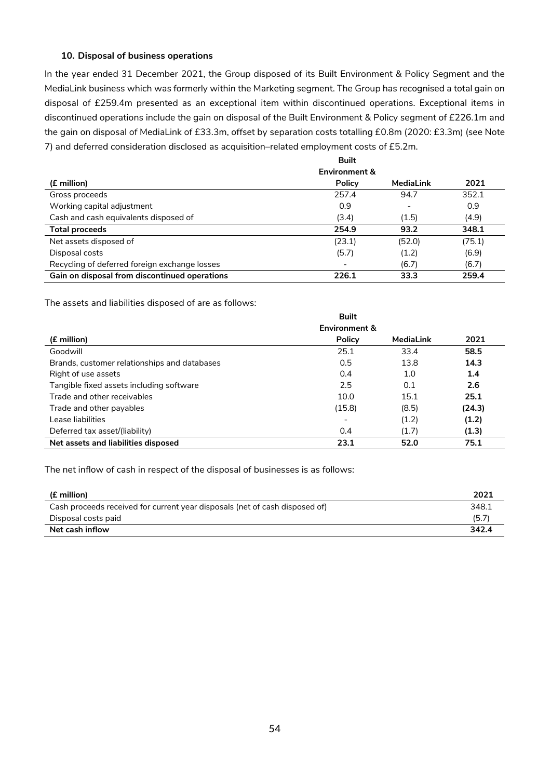#### **10. Disposal of business operations**

In the year ended 31 December 2021, the Group disposed of its Built Environment & Policy Segment and the MediaLink business which was formerly within the Marketing segment. The Group has recognised a total gain on disposal of £259.4m presented as an exceptional item within discontinued operations. Exceptional items in discontinued operations include the gain on disposal of the Built Environment & Policy segment of £226.1m and the gain on disposal of MediaLink of £33.3m, offset by separation costs totalling £0.8m (2020: £3.3m) (see Note 7) and deferred consideration disclosed as acquisition–related employment costs of £5.2m.

|                                               | <b>Built</b><br><b>Environment &amp;</b> |           |        |
|-----------------------------------------------|------------------------------------------|-----------|--------|
| (£ million)                                   | <b>Policy</b>                            | MediaLink | 2021   |
| Gross proceeds                                | 257.4                                    | 94.7      | 352.1  |
| Working capital adjustment                    | 0.9                                      |           | 0.9    |
| Cash and cash equivalents disposed of         | (3.4)                                    | (1.5)     | (4.9)  |
| <b>Total proceeds</b>                         | 254.9                                    | 93.2      | 348.1  |
| Net assets disposed of                        | (23.1)                                   | (52.0)    | (75.1) |
| Disposal costs                                | (5.7)                                    | (1.2)     | (6.9)  |
| Recycling of deferred foreign exchange losses |                                          | (6.7)     | (6.7)  |
| Gain on disposal from discontinued operations | 226.1                                    | 33.3      | 259.4  |

The assets and liabilities disposed of are as follows:

|                                              | <b>Built</b>             |                  |        |
|----------------------------------------------|--------------------------|------------------|--------|
|                                              | <b>Environment &amp;</b> |                  |        |
| (£ million)                                  | <b>Policy</b>            | <b>MediaLink</b> | 2021   |
| Goodwill                                     | 25.1                     | 33.4             | 58.5   |
| Brands, customer relationships and databases | 0.5                      | 13.8             | 14.3   |
| Right of use assets                          | 0.4                      | 1.0              | 1.4    |
| Tangible fixed assets including software     | 2.5                      | 0.1              | 2.6    |
| Trade and other receivables                  | 10.0                     | 15.1             | 25.1   |
| Trade and other payables                     | (15.8)                   | (8.5)            | (24.3) |
| Lease liabilities                            |                          | (1.2)            | (1.2)  |
| Deferred tax asset/(liability)               | 0.4                      | (1.7)            | (1.3)  |
| Net assets and liabilities disposed          | 23.1                     | 52.0             | 75.1   |

The net inflow of cash in respect of the disposal of businesses is as follows:

| (£ million)                                                                 | 2021  |
|-----------------------------------------------------------------------------|-------|
| Cash proceeds received for current year disposals (net of cash disposed of) | 348.1 |
| Disposal costs paid                                                         | (5.7) |
| Net cash inflow                                                             | 342.4 |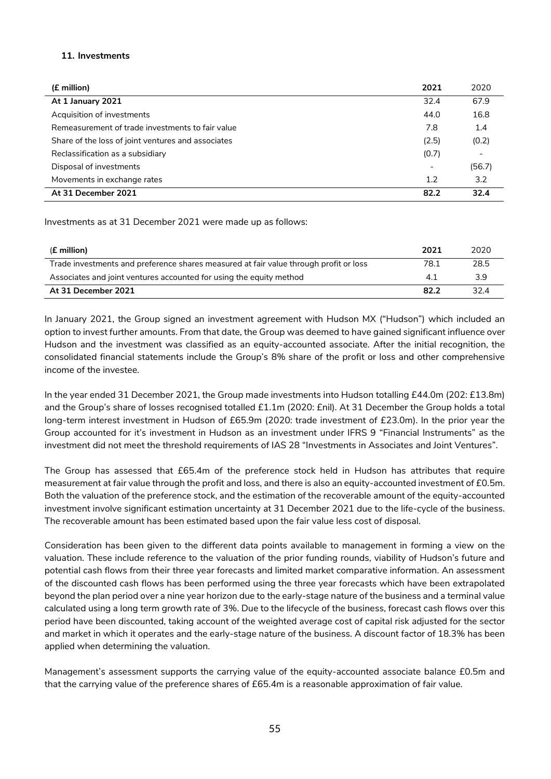#### **11. Investments**

| (£ million)                                        | 2021                     | 2020   |
|----------------------------------------------------|--------------------------|--------|
| At 1 January 2021                                  | 32.4                     | 67.9   |
| Acquisition of investments                         | 44.0                     | 16.8   |
| Remeasurement of trade investments to fair value   | 7.8                      | 1.4    |
| Share of the loss of joint ventures and associates | (2.5)                    | (0.2)  |
| Reclassification as a subsidiary                   | (0.7)                    |        |
| Disposal of investments                            | $\overline{\phantom{0}}$ | (56.7) |
| Movements in exchange rates                        | 1.2                      | 3.2    |
| At 31 December 2021                                | 82.2                     | 32.4   |

Investments as at 31 December 2021 were made up as follows:

| (£ million)                                                                           | 2021 | 2020 |
|---------------------------------------------------------------------------------------|------|------|
| Trade investments and preference shares measured at fair value through profit or loss | 78.1 | 28.5 |
| Associates and joint ventures accounted for using the equity method                   | 4.1  | 3.9  |
| At 31 December 2021                                                                   | 82.2 | 32.4 |

In January 2021, the Group signed an investment agreement with Hudson MX ("Hudson") which included an option to invest further amounts. From that date, the Group was deemed to have gained significant influence over Hudson and the investment was classified as an equity-accounted associate. After the initial recognition, the consolidated financial statements include the Group's 8% share of the profit or loss and other comprehensive income of the investee.

In the year ended 31 December 2021, the Group made investments into Hudson totalling £44.0m (202: £13.8m) and the Group's share of losses recognised totalled £1.1m (2020: £nil). At 31 December the Group holds a total long-term interest investment in Hudson of £65.9m (2020: trade investment of £23.0m). In the prior year the Group accounted for it's investment in Hudson as an investment under IFRS 9 "Financial Instruments" as the investment did not meet the threshold requirements of IAS 28 "Investments in Associates and Joint Ventures".

The Group has assessed that £65.4m of the preference stock held in Hudson has attributes that require measurement at fair value through the profit and loss, and there is also an equity-accounted investment of £0.5m. Both the valuation of the preference stock, and the estimation of the recoverable amount of the equity-accounted investment involve significant estimation uncertainty at 31 December 2021 due to the life-cycle of the business. The recoverable amount has been estimated based upon the fair value less cost of disposal.

Consideration has been given to the different data points available to management in forming a view on the valuation. These include reference to the valuation of the prior funding rounds, viability of Hudson's future and potential cash flows from their three year forecasts and limited market comparative information. An assessment of the discounted cash flows has been performed using the three year forecasts which have been extrapolated beyond the plan period over a nine year horizon due to the early-stage nature of the business and a terminal value calculated using a long term growth rate of 3%. Due to the lifecycle of the business, forecast cash flows over this period have been discounted, taking account of the weighted average cost of capital risk adjusted for the sector and market in which it operates and the early-stage nature of the business. A discount factor of 18.3% has been applied when determining the valuation.

Management's assessment supports the carrying value of the equity-accounted associate balance £0.5m and that the carrying value of the preference shares of £65.4m is a reasonable approximation of fair value.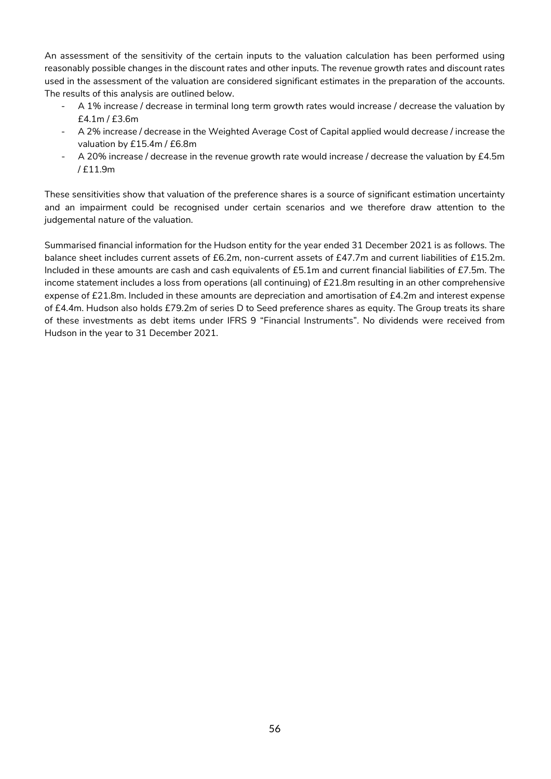An assessment of the sensitivity of the certain inputs to the valuation calculation has been performed using reasonably possible changes in the discount rates and other inputs. The revenue growth rates and discount rates used in the assessment of the valuation are considered significant estimates in the preparation of the accounts. The results of this analysis are outlined below.

- A 1% increase / decrease in terminal long term growth rates would increase / decrease the valuation by £4.1m / £3.6m
- A 2% increase / decrease in the Weighted Average Cost of Capital applied would decrease / increase the valuation by £15.4m / £6.8m
- A 20% increase / decrease in the revenue growth rate would increase / decrease the valuation by £4.5m / £11.9m

These sensitivities show that valuation of the preference shares is a source of significant estimation uncertainty and an impairment could be recognised under certain scenarios and we therefore draw attention to the judgemental nature of the valuation.

Summarised financial information for the Hudson entity for the year ended 31 December 2021 is as follows. The balance sheet includes current assets of £6.2m, non-current assets of £47.7m and current liabilities of £15.2m. Included in these amounts are cash and cash equivalents of £5.1m and current financial liabilities of £7.5m. The income statement includes a loss from operations (all continuing) of £21.8m resulting in an other comprehensive expense of £21.8m. Included in these amounts are depreciation and amortisation of £4.2m and interest expense of £4.4m. Hudson also holds £79.2m of series D to Seed preference shares as equity. The Group treats its share of these investments as debt items under IFRS 9 "Financial Instruments". No dividends were received from Hudson in the year to 31 December 2021.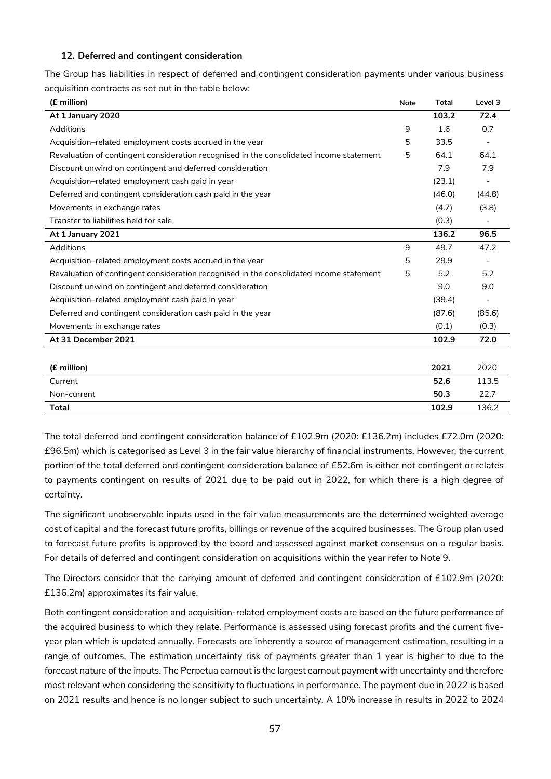#### **12. Deferred and contingent consideration**

The Group has liabilities in respect of deferred and contingent consideration payments under various business acquisition contracts as set out in the table below:

| (£ million)                                                                             | Note | Total  | Level 3                  |
|-----------------------------------------------------------------------------------------|------|--------|--------------------------|
| At 1 January 2020                                                                       |      | 103.2  | 72.4                     |
| Additions                                                                               | 9    | 1.6    | 0.7                      |
| Acquisition–related employment costs accrued in the year                                | 5    | 33.5   | $\overline{\phantom{a}}$ |
| Revaluation of contingent consideration recognised in the consolidated income statement | 5    | 64.1   | 64.1                     |
| Discount unwind on contingent and deferred consideration                                |      | 7.9    | 7.9                      |
| Acquisition-related employment cash paid in year                                        |      | (23.1) | $\overline{\phantom{a}}$ |
| Deferred and contingent consideration cash paid in the year                             |      | (46.0) | (44.8)                   |
| Movements in exchange rates                                                             |      | (4.7)  | (3.8)                    |
| Transfer to liabilities held for sale                                                   |      | (0.3)  |                          |
| At 1 January 2021                                                                       |      | 136.2  | 96.5                     |
| Additions                                                                               | 9    | 49.7   | 47.2                     |
| Acquisition-related employment costs accrued in the year                                | 5    | 29.9   | $\overline{\phantom{a}}$ |
| Revaluation of contingent consideration recognised in the consolidated income statement | 5    | 5.2    | 5.2                      |
| Discount unwind on contingent and deferred consideration                                |      | 9.0    | 9.0                      |
| Acquisition-related employment cash paid in year                                        |      | (39.4) | $\overline{\phantom{a}}$ |
| Deferred and contingent consideration cash paid in the year                             |      | (87.6) | (85.6)                   |
| Movements in exchange rates                                                             |      | (0.1)  | (0.3)                    |
| At 31 December 2021                                                                     |      | 102.9  | 72.0                     |
|                                                                                         |      |        |                          |
| (£ million)                                                                             |      | 2021   | 2020                     |
| Current                                                                                 |      | 52.6   | 113.5                    |
| Non-current                                                                             |      | 50.3   | 22.7                     |
| Total                                                                                   |      | 102.9  | 136.2                    |

The total deferred and contingent consideration balance of £102.9m (2020: £136.2m) includes £72.0m (2020: £96.5m) which is categorised as Level 3 in the fair value hierarchy of financial instruments. However, the current portion of the total deferred and contingent consideration balance of £52.6m is either not contingent or relates to payments contingent on results of 2021 due to be paid out in 2022, for which there is a high degree of certainty.

The significant unobservable inputs used in the fair value measurements are the determined weighted average cost of capital and the forecast future profits, billings or revenue of the acquired businesses. The Group plan used to forecast future profits is approved by the board and assessed against market consensus on a regular basis. For details of deferred and contingent consideration on acquisitions within the year refer to Note 9.

The Directors consider that the carrying amount of deferred and contingent consideration of £102.9m (2020: £136.2m) approximates its fair value.

Both contingent consideration and acquisition-related employment costs are based on the future performance of the acquired business to which they relate. Performance is assessed using forecast profits and the current fiveyear plan which is updated annually. Forecasts are inherently a source of management estimation, resulting in a range of outcomes, The estimation uncertainty risk of payments greater than 1 year is higher to due to the forecast nature of the inputs. The Perpetua earnout is the largest earnout payment with uncertainty and therefore most relevant when considering the sensitivity to fluctuations in performance. The payment due in 2022 is based on 2021 results and hence is no longer subject to such uncertainty. A 10% increase in results in 2022 to 2024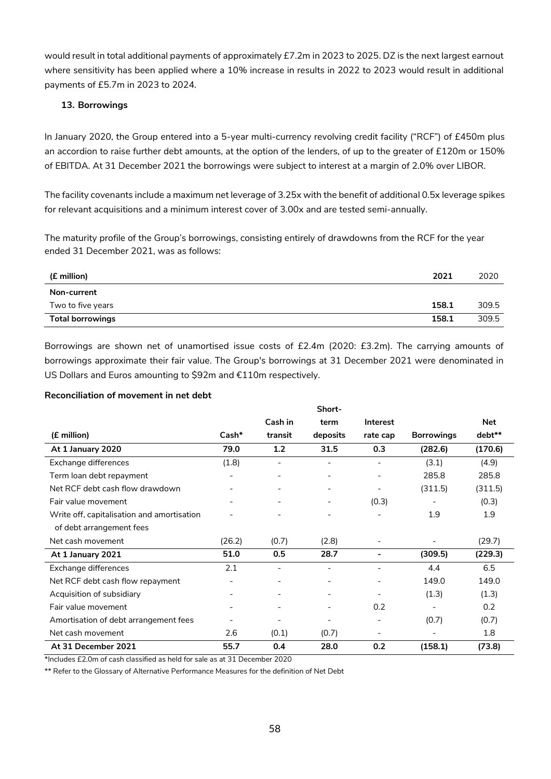would result in total additional payments of approximately £7.2m in 2023 to 2025. DZ is the next largest earnout where sensitivity has been applied where a 10% increase in results in 2022 to 2023 would result in additional payments of £5.7m in 2023 to 2024.

#### **13. Borrowings**

In January 2020, the Group entered into a 5-year multi-currency revolving credit facility ("RCF") of £450m plus an accordion to raise further debt amounts, at the option of the lenders, of up to the greater of £120m or 150% of EBITDA. At 31 December 2021 the borrowings were subject to interest at a margin of 2.0% over LIBOR.

The facility covenants include a maximum net leverage of 3.25x with the benefit of additional 0.5x leverage spikes for relevant acquisitions and a minimum interest cover of 3.00x and are tested semi-annually.

The maturity profile of the Group's borrowings, consisting entirely of drawdowns from the RCF for the year ended 31 December 2021, was as follows:

| (£ million)             | 2021  | 2020  |
|-------------------------|-------|-------|
| Non-current             |       |       |
| Two to five years       | 158.1 | 309.5 |
| <b>Total borrowings</b> | 158.1 | 309.5 |

Borrowings are shown net of unamortised issue costs of £2.4m (2020: £3.2m). The carrying amounts of borrowings approximate their fair value. The Group's borrowings at 31 December 2021 were denominated in US Dollars and Euros amounting to \$92m and €110m respectively.

#### **Reconciliation of movement in net debt**

|                                            |        |                          | Short-                   |                          |                   |            |
|--------------------------------------------|--------|--------------------------|--------------------------|--------------------------|-------------------|------------|
|                                            |        | Cash in                  | term                     | <b>Interest</b>          |                   | <b>Net</b> |
| (£ million)                                | Cash*  | transit                  | deposits                 | rate cap                 | <b>Borrowings</b> | debt**     |
| At 1 January 2020                          | 79.0   | 1.2                      | 31.5                     | 0.3                      | (282.6)           | (170.6)    |
| Exchange differences                       | (1.8)  | $\overline{\phantom{a}}$ | $\overline{\phantom{a}}$ | $\overline{\phantom{a}}$ | (3.1)             | (4.9)      |
| Term loan debt repayment                   |        | $\overline{\phantom{a}}$ |                          | $\overline{\phantom{0}}$ | 285.8             | 285.8      |
| Net RCF debt cash flow drawdown            |        | $\overline{\phantom{a}}$ | $\overline{\phantom{a}}$ |                          | (311.5)           | (311.5)    |
| Fair value movement                        |        | $\overline{\phantom{a}}$ | $\overline{\phantom{a}}$ | (0.3)                    |                   | (0.3)      |
| Write off, capitalisation and amortisation |        |                          |                          |                          | 1.9               | 1.9        |
| of debt arrangement fees                   |        |                          |                          |                          |                   |            |
| Net cash movement                          | (26.2) | (0.7)                    | (2.8)                    |                          |                   | (29.7)     |
| At 1 January 2021                          | 51.0   | 0.5                      | 28.7                     | $\overline{\phantom{a}}$ | (309.5)           | (229.3)    |
| Exchange differences                       | 2.1    | $\overline{\phantom{a}}$ | $\overline{\phantom{a}}$ |                          | 4.4               | 6.5        |
| Net RCF debt cash flow repayment           |        | $\overline{\phantom{a}}$ |                          |                          | 149.0             | 149.0      |
| Acquisition of subsidiary                  |        | $\overline{\phantom{0}}$ | $\overline{\phantom{a}}$ |                          | (1.3)             | (1.3)      |
| Fair value movement                        |        |                          | $\overline{\phantom{a}}$ | 0.2                      |                   | 0.2        |
| Amortisation of debt arrangement fees      |        | $\overline{\phantom{a}}$ |                          | $\overline{\phantom{a}}$ | (0.7)             | (0.7)      |
| Net cash movement                          | 2.6    | (0.1)                    | (0.7)                    | $\overline{\phantom{0}}$ |                   | 1.8        |
| At 31 December 2021                        | 55.7   | 0.4                      | 28.0                     | 0.2                      | (158.1)           | (73.8)     |

\*Includes £2.0m of cash classified as held for sale as at 31 December 2020

\*\* Refer to the Glossary of Alternative Performance Measures for the definition of Net Debt